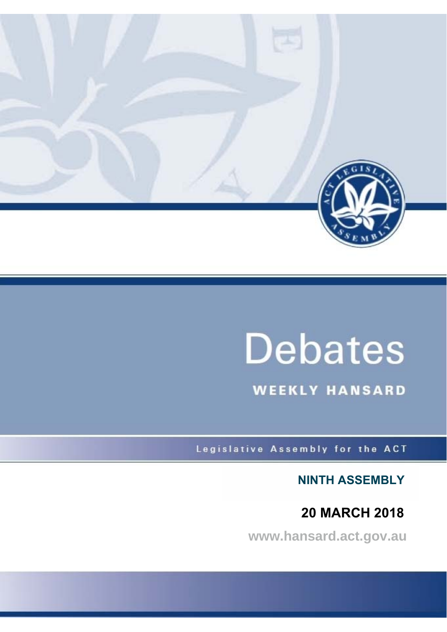

# **Debates**

**WEEKLY HANSARD** 

Legislative Assembly for the ACT

**NINTH ASSEMBLY**

## **20 MARCH 2018**

**www.hansard.act.gov.au**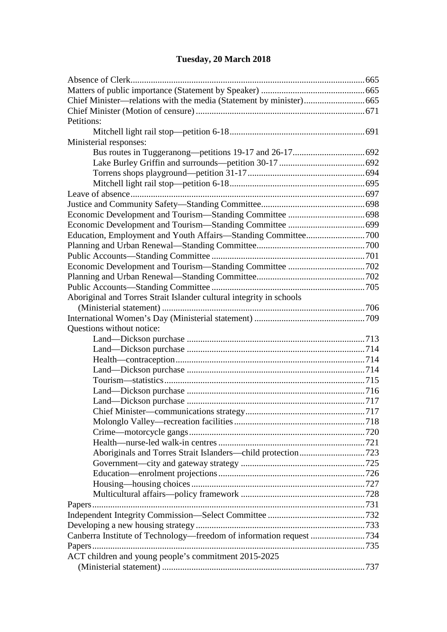## **[Tuesday, 20 March 2018](#page-3-0)**

| Petitions:                                                          |  |
|---------------------------------------------------------------------|--|
|                                                                     |  |
| Ministerial responses:                                              |  |
|                                                                     |  |
|                                                                     |  |
|                                                                     |  |
|                                                                     |  |
|                                                                     |  |
|                                                                     |  |
|                                                                     |  |
|                                                                     |  |
|                                                                     |  |
|                                                                     |  |
|                                                                     |  |
|                                                                     |  |
|                                                                     |  |
|                                                                     |  |
| Aboriginal and Torres Strait Islander cultural integrity in schools |  |
|                                                                     |  |
|                                                                     |  |
| Questions without notice:                                           |  |
|                                                                     |  |
|                                                                     |  |
|                                                                     |  |
|                                                                     |  |
|                                                                     |  |
|                                                                     |  |
|                                                                     |  |
|                                                                     |  |
|                                                                     |  |
|                                                                     |  |
|                                                                     |  |
|                                                                     |  |
|                                                                     |  |
|                                                                     |  |
|                                                                     |  |
|                                                                     |  |
|                                                                     |  |
|                                                                     |  |
|                                                                     |  |
|                                                                     |  |
| Canberra Institute of Technology—freedom of information request 734 |  |
|                                                                     |  |
| ACT children and young people's commitment 2015-2025                |  |
|                                                                     |  |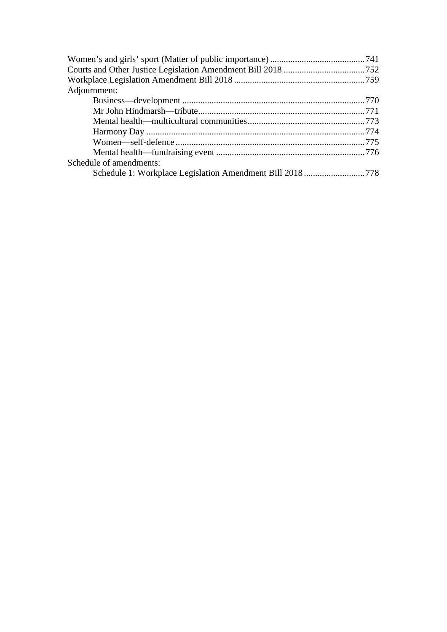| Adjournment:            |  |
|-------------------------|--|
|                         |  |
|                         |  |
|                         |  |
|                         |  |
|                         |  |
|                         |  |
| Schedule of amendments: |  |
|                         |  |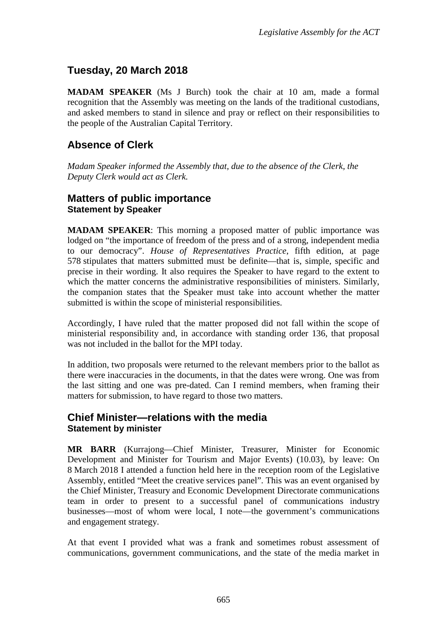## <span id="page-3-0"></span>**Tuesday, 20 March 2018**

**MADAM SPEAKER** (Ms J Burch) took the chair at 10 am, made a formal recognition that the Assembly was meeting on the lands of the traditional custodians, and asked members to stand in silence and pray or reflect on their responsibilities to the people of the Australian Capital Territory.

## <span id="page-3-1"></span>**Absence of Clerk**

*Madam Speaker informed the Assembly that, due to the absence of the Clerk, the Deputy Clerk would act as Clerk.* 

#### <span id="page-3-3"></span><span id="page-3-2"></span>**Matters of public importance Statement by Speaker**

**MADAM SPEAKER**: This morning a proposed matter of public importance was lodged on "the importance of freedom of the press and of a strong, independent media to our democracy". *House of Representatives Practice*, fifth edition, at page 578 stipulates that matters submitted must be definite—that is, simple, specific and precise in their wording. It also requires the Speaker to have regard to the extent to which the matter concerns the administrative responsibilities of ministers. Similarly, the companion states that the Speaker must take into account whether the matter submitted is within the scope of ministerial responsibilities.

Accordingly, I have ruled that the matter proposed did not fall within the scope of ministerial responsibility and, in accordance with standing order 136, that proposal was not included in the ballot for the MPI today.

In addition, two proposals were returned to the relevant members prior to the ballot as there were inaccuracies in the documents, in that the dates were wrong. One was from the last sitting and one was pre-dated. Can I remind members, when framing their matters for submission, to have regard to those two matters.

#### <span id="page-3-5"></span><span id="page-3-4"></span>**Chief Minister—relations with the media Statement by minister**

**MR BARR** (Kurrajong—Chief Minister, Treasurer, Minister for Economic Development and Minister for Tourism and Major Events) (10.03), by leave: On 8 March 2018 I attended a function held here in the reception room of the Legislative Assembly, entitled "Meet the creative services panel". This was an event organised by the Chief Minister, Treasury and Economic Development Directorate communications team in order to present to a successful panel of communications industry businesses—most of whom were local, I note—the government's communications and engagement strategy.

At that event I provided what was a frank and sometimes robust assessment of communications, government communications, and the state of the media market in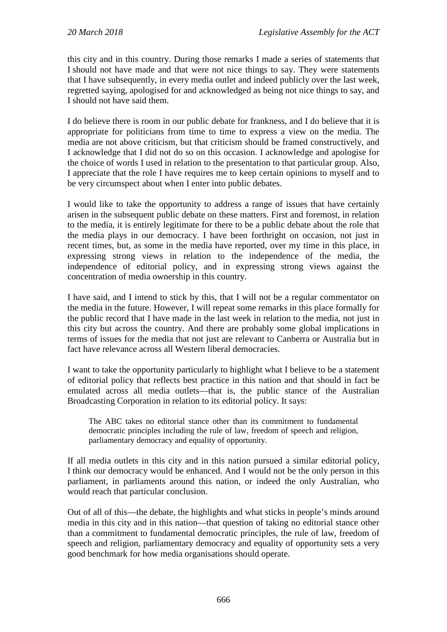this city and in this country. During those remarks I made a series of statements that I should not have made and that were not nice things to say. They were statements that I have subsequently, in every media outlet and indeed publicly over the last week, regretted saying, apologised for and acknowledged as being not nice things to say, and I should not have said them.

I do believe there is room in our public debate for frankness, and I do believe that it is appropriate for politicians from time to time to express a view on the media. The media are not above criticism, but that criticism should be framed constructively, and I acknowledge that I did not do so on this occasion. I acknowledge and apologise for the choice of words I used in relation to the presentation to that particular group. Also, I appreciate that the role I have requires me to keep certain opinions to myself and to be very circumspect about when I enter into public debates.

I would like to take the opportunity to address a range of issues that have certainly arisen in the subsequent public debate on these matters. First and foremost, in relation to the media, it is entirely legitimate for there to be a public debate about the role that the media plays in our democracy. I have been forthright on occasion, not just in recent times, but, as some in the media have reported, over my time in this place, in expressing strong views in relation to the independence of the media, the independence of editorial policy, and in expressing strong views against the concentration of media ownership in this country.

I have said, and I intend to stick by this, that I will not be a regular commentator on the media in the future. However, I will repeat some remarks in this place formally for the public record that I have made in the last week in relation to the media, not just in this city but across the country. And there are probably some global implications in terms of issues for the media that not just are relevant to Canberra or Australia but in fact have relevance across all Western liberal democracies.

I want to take the opportunity particularly to highlight what I believe to be a statement of editorial policy that reflects best practice in this nation and that should in fact be emulated across all media outlets—that is, the public stance of the Australian Broadcasting Corporation in relation to its editorial policy. It says:

The ABC takes no editorial stance other than its commitment to fundamental democratic principles including the rule of law, freedom of speech and religion, parliamentary democracy and equality of opportunity.

If all media outlets in this city and in this nation pursued a similar editorial policy, I think our democracy would be enhanced. And I would not be the only person in this parliament, in parliaments around this nation, or indeed the only Australian, who would reach that particular conclusion.

Out of all of this—the debate, the highlights and what sticks in people's minds around media in this city and in this nation—that question of taking no editorial stance other than a commitment to fundamental democratic principles, the rule of law, freedom of speech and religion, parliamentary democracy and equality of opportunity sets a very good benchmark for how media organisations should operate.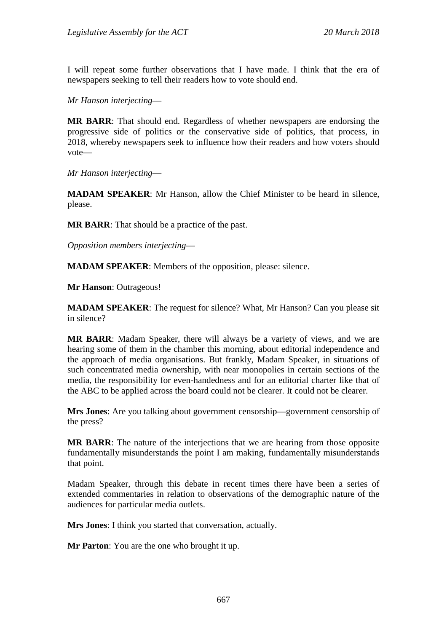I will repeat some further observations that I have made. I think that the era of newspapers seeking to tell their readers how to vote should end.

*Mr Hanson interjecting*—

**MR BARR**: That should end. Regardless of whether newspapers are endorsing the progressive side of politics or the conservative side of politics, that process, in 2018, whereby newspapers seek to influence how their readers and how voters should vote—

*Mr Hanson interjecting*—

**MADAM SPEAKER**: Mr Hanson, allow the Chief Minister to be heard in silence, please.

**MR BARR**: That should be a practice of the past.

*Opposition members interjecting*—

**MADAM SPEAKER**: Members of the opposition, please: silence.

**Mr Hanson**: Outrageous!

**MADAM SPEAKER**: The request for silence? What, Mr Hanson? Can you please sit in silence?

**MR BARR**: Madam Speaker, there will always be a variety of views, and we are hearing some of them in the chamber this morning, about editorial independence and the approach of media organisations. But frankly, Madam Speaker, in situations of such concentrated media ownership, with near monopolies in certain sections of the media, the responsibility for even-handedness and for an editorial charter like that of the ABC to be applied across the board could not be clearer. It could not be clearer.

**Mrs Jones**: Are you talking about government censorship—government censorship of the press?

**MR BARR**: The nature of the interjections that we are hearing from those opposite fundamentally misunderstands the point I am making, fundamentally misunderstands that point.

Madam Speaker, through this debate in recent times there have been a series of extended commentaries in relation to observations of the demographic nature of the audiences for particular media outlets.

**Mrs Jones**: I think you started that conversation, actually.

**Mr Parton**: You are the one who brought it up.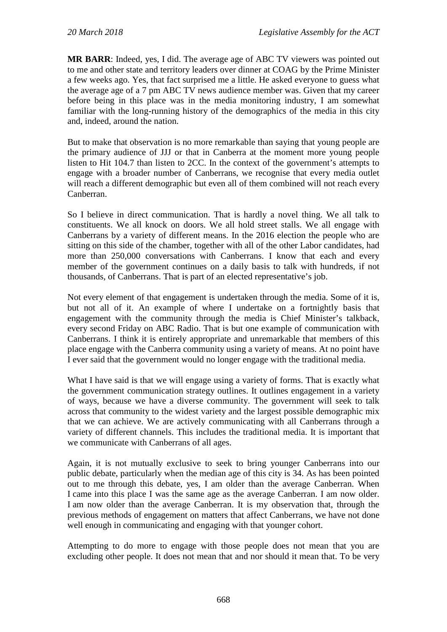**MR BARR**: Indeed, yes, I did. The average age of ABC TV viewers was pointed out to me and other state and territory leaders over dinner at COAG by the Prime Minister a few weeks ago. Yes, that fact surprised me a little. He asked everyone to guess what the average age of a 7 pm ABC TV news audience member was. Given that my career before being in this place was in the media monitoring industry, I am somewhat familiar with the long-running history of the demographics of the media in this city and, indeed, around the nation.

But to make that observation is no more remarkable than saying that young people are the primary audience of JJJ or that in Canberra at the moment more young people listen to Hit 104.7 than listen to 2CC. In the context of the government's attempts to engage with a broader number of Canberrans, we recognise that every media outlet will reach a different demographic but even all of them combined will not reach every Canberran.

So I believe in direct communication. That is hardly a novel thing. We all talk to constituents. We all knock on doors. We all hold street stalls. We all engage with Canberrans by a variety of different means. In the 2016 election the people who are sitting on this side of the chamber, together with all of the other Labor candidates, had more than 250,000 conversations with Canberrans. I know that each and every member of the government continues on a daily basis to talk with hundreds, if not thousands, of Canberrans. That is part of an elected representative's job.

Not every element of that engagement is undertaken through the media. Some of it is, but not all of it. An example of where I undertake on a fortnightly basis that engagement with the community through the media is Chief Minister's talkback, every second Friday on ABC Radio. That is but one example of communication with Canberrans. I think it is entirely appropriate and unremarkable that members of this place engage with the Canberra community using a variety of means. At no point have I ever said that the government would no longer engage with the traditional media.

What I have said is that we will engage using a variety of forms. That is exactly what the government communication strategy outlines. It outlines engagement in a variety of ways, because we have a diverse community. The government will seek to talk across that community to the widest variety and the largest possible demographic mix that we can achieve. We are actively communicating with all Canberrans through a variety of different channels. This includes the traditional media. It is important that we communicate with Canberrans of all ages.

Again, it is not mutually exclusive to seek to bring younger Canberrans into our public debate, particularly when the median age of this city is 34. As has been pointed out to me through this debate, yes, I am older than the average Canberran. When I came into this place I was the same age as the average Canberran. I am now older. I am now older than the average Canberran. It is my observation that, through the previous methods of engagement on matters that affect Canberrans, we have not done well enough in communicating and engaging with that younger cohort.

Attempting to do more to engage with those people does not mean that you are excluding other people. It does not mean that and nor should it mean that. To be very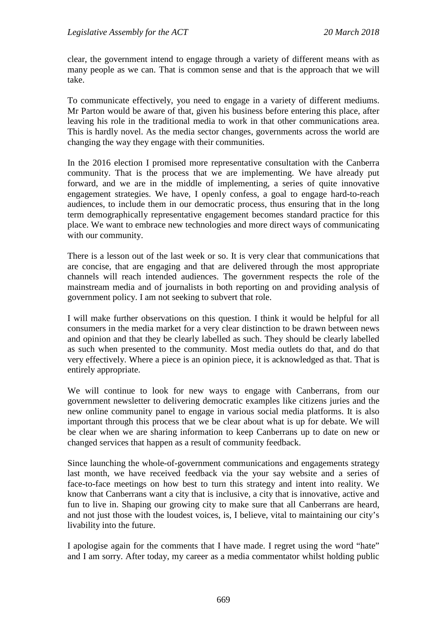clear, the government intend to engage through a variety of different means with as many people as we can. That is common sense and that is the approach that we will take.

To communicate effectively, you need to engage in a variety of different mediums. Mr Parton would be aware of that, given his business before entering this place, after leaving his role in the traditional media to work in that other communications area. This is hardly novel. As the media sector changes, governments across the world are changing the way they engage with their communities.

In the 2016 election I promised more representative consultation with the Canberra community. That is the process that we are implementing. We have already put forward, and we are in the middle of implementing, a series of quite innovative engagement strategies. We have, I openly confess, a goal to engage hard-to-reach audiences, to include them in our democratic process, thus ensuring that in the long term demographically representative engagement becomes standard practice for this place. We want to embrace new technologies and more direct ways of communicating with our community.

There is a lesson out of the last week or so. It is very clear that communications that are concise, that are engaging and that are delivered through the most appropriate channels will reach intended audiences. The government respects the role of the mainstream media and of journalists in both reporting on and providing analysis of government policy. I am not seeking to subvert that role.

I will make further observations on this question. I think it would be helpful for all consumers in the media market for a very clear distinction to be drawn between news and opinion and that they be clearly labelled as such. They should be clearly labelled as such when presented to the community. Most media outlets do that, and do that very effectively. Where a piece is an opinion piece, it is acknowledged as that. That is entirely appropriate.

We will continue to look for new ways to engage with Canberrans, from our government newsletter to delivering democratic examples like citizens juries and the new online community panel to engage in various social media platforms. It is also important through this process that we be clear about what is up for debate. We will be clear when we are sharing information to keep Canberrans up to date on new or changed services that happen as a result of community feedback.

Since launching the whole-of-government communications and engagements strategy last month, we have received feedback via the your say website and a series of face-to-face meetings on how best to turn this strategy and intent into reality. We know that Canberrans want a city that is inclusive, a city that is innovative, active and fun to live in. Shaping our growing city to make sure that all Canberrans are heard, and not just those with the loudest voices, is, I believe, vital to maintaining our city's livability into the future.

I apologise again for the comments that I have made. I regret using the word "hate" and I am sorry. After today, my career as a media commentator whilst holding public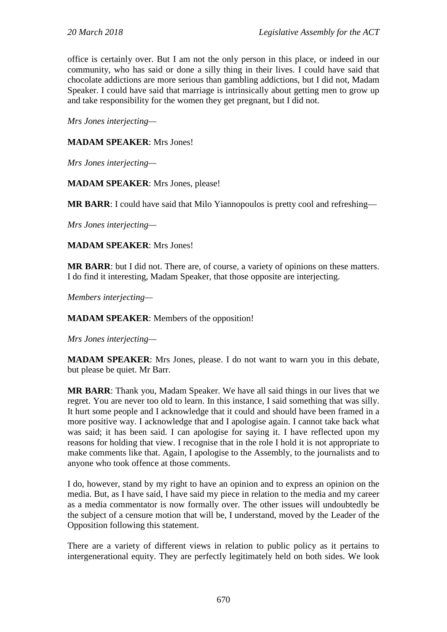office is certainly over. But I am not the only person in this place, or indeed in our community, who has said or done a silly thing in their lives. I could have said that chocolate addictions are more serious than gambling addictions, but I did not, Madam Speaker. I could have said that marriage is intrinsically about getting men to grow up and take responsibility for the women they get pregnant, but I did not.

*Mrs Jones interjecting—*

#### **MADAM SPEAKER**: Mrs Jones!

*Mrs Jones interjecting—*

**MADAM SPEAKER**: Mrs Jones, please!

**MR BARR**: I could have said that Milo Yiannopoulos is pretty cool and refreshing—

*Mrs Jones interjecting—*

**MADAM SPEAKER**: Mrs Jones!

**MR BARR**: but I did not. There are, of course, a variety of opinions on these matters. I do find it interesting, Madam Speaker, that those opposite are interjecting.

*Members interjecting—*

**MADAM SPEAKER**: Members of the opposition!

*Mrs Jones interjecting—*

**MADAM SPEAKER**: Mrs Jones, please. I do not want to warn you in this debate, but please be quiet. Mr Barr.

**MR BARR**: Thank you, Madam Speaker. We have all said things in our lives that we regret. You are never too old to learn. In this instance, I said something that was silly. It hurt some people and I acknowledge that it could and should have been framed in a more positive way. I acknowledge that and I apologise again. I cannot take back what was said; it has been said. I can apologise for saying it. I have reflected upon my reasons for holding that view. I recognise that in the role I hold it is not appropriate to make comments like that. Again, I apologise to the Assembly, to the journalists and to anyone who took offence at those comments.

I do, however, stand by my right to have an opinion and to express an opinion on the media. But, as I have said, I have said my piece in relation to the media and my career as a media commentator is now formally over. The other issues will undoubtedly be the subject of a censure motion that will be, I understand, moved by the Leader of the Opposition following this statement.

There are a variety of different views in relation to public policy as it pertains to intergenerational equity. They are perfectly legitimately held on both sides. We look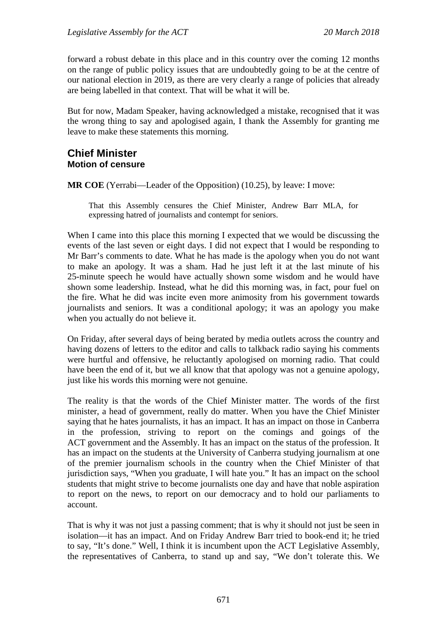forward a robust debate in this place and in this country over the coming 12 months on the range of public policy issues that are undoubtedly going to be at the centre of our national election in 2019, as there are very clearly a range of policies that already are being labelled in that context. That will be what it will be.

But for now, Madam Speaker, having acknowledged a mistake, recognised that it was the wrong thing to say and apologised again, I thank the Assembly for granting me leave to make these statements this morning.

#### <span id="page-9-1"></span><span id="page-9-0"></span>**Chief Minister Motion of censure**

**MR COE** (Yerrabi—Leader of the Opposition) (10.25), by leave: I move:

That this Assembly censures the Chief Minister, Andrew Barr MLA, for expressing hatred of journalists and contempt for seniors.

When I came into this place this morning I expected that we would be discussing the events of the last seven or eight days. I did not expect that I would be responding to Mr Barr's comments to date. What he has made is the apology when you do not want to make an apology. It was a sham. Had he just left it at the last minute of his 25-minute speech he would have actually shown some wisdom and he would have shown some leadership. Instead, what he did this morning was, in fact, pour fuel on the fire. What he did was incite even more animosity from his government towards journalists and seniors. It was a conditional apology; it was an apology you make when you actually do not believe it.

On Friday, after several days of being berated by media outlets across the country and having dozens of letters to the editor and calls to talkback radio saying his comments were hurtful and offensive, he reluctantly apologised on morning radio. That could have been the end of it, but we all know that that apology was not a genuine apology, just like his words this morning were not genuine.

The reality is that the words of the Chief Minister matter. The words of the first minister, a head of government, really do matter. When you have the Chief Minister saying that he hates journalists, it has an impact. It has an impact on those in Canberra in the profession, striving to report on the comings and goings of the ACT government and the Assembly. It has an impact on the status of the profession. It has an impact on the students at the University of Canberra studying journalism at one of the premier journalism schools in the country when the Chief Minister of that jurisdiction says, "When you graduate, I will hate you." It has an impact on the school students that might strive to become journalists one day and have that noble aspiration to report on the news, to report on our democracy and to hold our parliaments to account.

That is why it was not just a passing comment; that is why it should not just be seen in isolation—it has an impact. And on Friday Andrew Barr tried to book-end it; he tried to say, "It's done." Well, I think it is incumbent upon the ACT Legislative Assembly, the representatives of Canberra, to stand up and say, "We don't tolerate this. We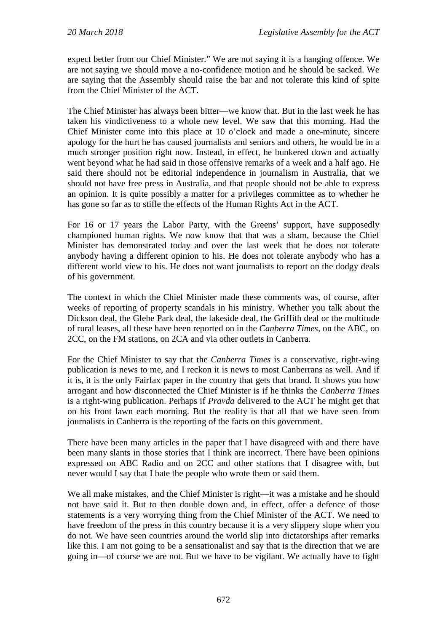expect better from our Chief Minister." We are not saying it is a hanging offence. We are not saying we should move a no-confidence motion and he should be sacked. We are saying that the Assembly should raise the bar and not tolerate this kind of spite from the Chief Minister of the ACT.

The Chief Minister has always been bitter—we know that. But in the last week he has taken his vindictiveness to a whole new level. We saw that this morning. Had the Chief Minister come into this place at 10 o'clock and made a one-minute, sincere apology for the hurt he has caused journalists and seniors and others, he would be in a much stronger position right now. Instead, in effect, he bunkered down and actually went beyond what he had said in those offensive remarks of a week and a half ago. He said there should not be editorial independence in journalism in Australia, that we should not have free press in Australia, and that people should not be able to express an opinion. It is quite possibly a matter for a privileges committee as to whether he has gone so far as to stifle the effects of the Human Rights Act in the ACT.

For 16 or 17 years the Labor Party, with the Greens' support, have supposedly championed human rights. We now know that that was a sham, because the Chief Minister has demonstrated today and over the last week that he does not tolerate anybody having a different opinion to his. He does not tolerate anybody who has a different world view to his. He does not want journalists to report on the dodgy deals of his government.

The context in which the Chief Minister made these comments was, of course, after weeks of reporting of property scandals in his ministry. Whether you talk about the Dickson deal, the Glebe Park deal, the lakeside deal, the Griffith deal or the multitude of rural leases, all these have been reported on in the *Canberra Times*, on the ABC, on 2CC, on the FM stations, on 2CA and via other outlets in Canberra.

For the Chief Minister to say that the *Canberra Times* is a conservative, right-wing publication is news to me, and I reckon it is news to most Canberrans as well. And if it is, it is the only Fairfax paper in the country that gets that brand. It shows you how arrogant and how disconnected the Chief Minister is if he thinks the *Canberra Times* is a right-wing publication. Perhaps if *Pravda* delivered to the ACT he might get that on his front lawn each morning. But the reality is that all that we have seen from journalists in Canberra is the reporting of the facts on this government.

There have been many articles in the paper that I have disagreed with and there have been many slants in those stories that I think are incorrect. There have been opinions expressed on ABC Radio and on 2CC and other stations that I disagree with, but never would I say that I hate the people who wrote them or said them.

We all make mistakes, and the Chief Minister is right—it was a mistake and he should not have said it. But to then double down and, in effect, offer a defence of those statements is a very worrying thing from the Chief Minister of the ACT. We need to have freedom of the press in this country because it is a very slippery slope when you do not. We have seen countries around the world slip into dictatorships after remarks like this. I am not going to be a sensationalist and say that is the direction that we are going in—of course we are not. But we have to be vigilant. We actually have to fight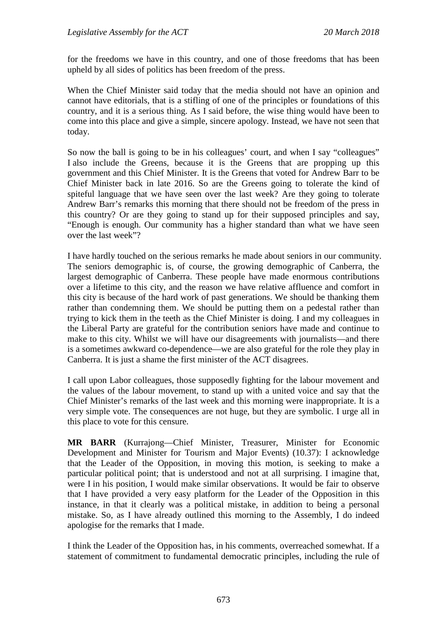for the freedoms we have in this country, and one of those freedoms that has been upheld by all sides of politics has been freedom of the press.

When the Chief Minister said today that the media should not have an opinion and cannot have editorials, that is a stifling of one of the principles or foundations of this country, and it is a serious thing. As I said before, the wise thing would have been to come into this place and give a simple, sincere apology. Instead, we have not seen that today.

So now the ball is going to be in his colleagues' court, and when I say "colleagues" I also include the Greens, because it is the Greens that are propping up this government and this Chief Minister. It is the Greens that voted for Andrew Barr to be Chief Minister back in late 2016. So are the Greens going to tolerate the kind of spiteful language that we have seen over the last week? Are they going to tolerate Andrew Barr's remarks this morning that there should not be freedom of the press in this country? Or are they going to stand up for their supposed principles and say, "Enough is enough. Our community has a higher standard than what we have seen over the last week"?

I have hardly touched on the serious remarks he made about seniors in our community. The seniors demographic is, of course, the growing demographic of Canberra, the largest demographic of Canberra. These people have made enormous contributions over a lifetime to this city, and the reason we have relative affluence and comfort in this city is because of the hard work of past generations. We should be thanking them rather than condemning them. We should be putting them on a pedestal rather than trying to kick them in the teeth as the Chief Minister is doing. I and my colleagues in the Liberal Party are grateful for the contribution seniors have made and continue to make to this city. Whilst we will have our disagreements with journalists—and there is a sometimes awkward co-dependence—we are also grateful for the role they play in Canberra. It is just a shame the first minister of the ACT disagrees.

I call upon Labor colleagues, those supposedly fighting for the labour movement and the values of the labour movement, to stand up with a united voice and say that the Chief Minister's remarks of the last week and this morning were inappropriate. It is a very simple vote. The consequences are not huge, but they are symbolic. I urge all in this place to vote for this censure.

**MR BARR** (Kurrajong—Chief Minister, Treasurer, Minister for Economic Development and Minister for Tourism and Major Events) (10.37): I acknowledge that the Leader of the Opposition, in moving this motion, is seeking to make a particular political point; that is understood and not at all surprising. I imagine that, were I in his position, I would make similar observations. It would be fair to observe that I have provided a very easy platform for the Leader of the Opposition in this instance, in that it clearly was a political mistake, in addition to being a personal mistake. So, as I have already outlined this morning to the Assembly, I do indeed apologise for the remarks that I made.

I think the Leader of the Opposition has, in his comments, overreached somewhat. If a statement of commitment to fundamental democratic principles, including the rule of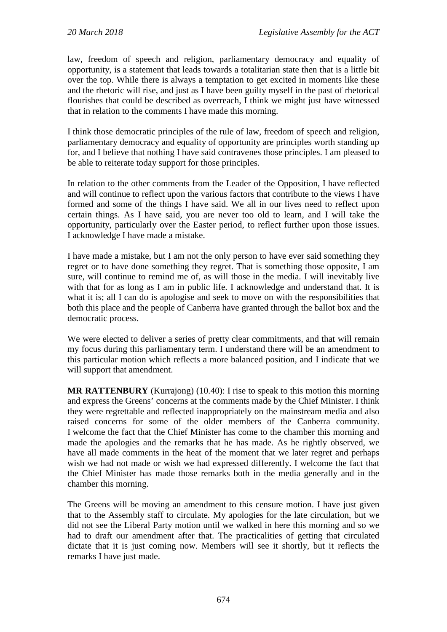law, freedom of speech and religion, parliamentary democracy and equality of opportunity, is a statement that leads towards a totalitarian state then that is a little bit over the top. While there is always a temptation to get excited in moments like these and the rhetoric will rise, and just as I have been guilty myself in the past of rhetorical flourishes that could be described as overreach, I think we might just have witnessed that in relation to the comments I have made this morning.

I think those democratic principles of the rule of law, freedom of speech and religion, parliamentary democracy and equality of opportunity are principles worth standing up for, and I believe that nothing I have said contravenes those principles. I am pleased to be able to reiterate today support for those principles.

In relation to the other comments from the Leader of the Opposition, I have reflected and will continue to reflect upon the various factors that contribute to the views I have formed and some of the things I have said. We all in our lives need to reflect upon certain things. As I have said, you are never too old to learn, and I will take the opportunity, particularly over the Easter period, to reflect further upon those issues. I acknowledge I have made a mistake.

I have made a mistake, but I am not the only person to have ever said something they regret or to have done something they regret. That is something those opposite, I am sure, will continue to remind me of, as will those in the media. I will inevitably live with that for as long as I am in public life. I acknowledge and understand that. It is what it is; all I can do is apologise and seek to move on with the responsibilities that both this place and the people of Canberra have granted through the ballot box and the democratic process.

We were elected to deliver a series of pretty clear commitments, and that will remain my focus during this parliamentary term. I understand there will be an amendment to this particular motion which reflects a more balanced position, and I indicate that we will support that amendment.

**MR RATTENBURY** (Kurrajong) (10.40): I rise to speak to this motion this morning and express the Greens' concerns at the comments made by the Chief Minister. I think they were regrettable and reflected inappropriately on the mainstream media and also raised concerns for some of the older members of the Canberra community. I welcome the fact that the Chief Minister has come to the chamber this morning and made the apologies and the remarks that he has made. As he rightly observed, we have all made comments in the heat of the moment that we later regret and perhaps wish we had not made or wish we had expressed differently. I welcome the fact that the Chief Minister has made those remarks both in the media generally and in the chamber this morning.

The Greens will be moving an amendment to this censure motion. I have just given that to the Assembly staff to circulate. My apologies for the late circulation, but we did not see the Liberal Party motion until we walked in here this morning and so we had to draft our amendment after that. The practicalities of getting that circulated dictate that it is just coming now. Members will see it shortly, but it reflects the remarks I have just made.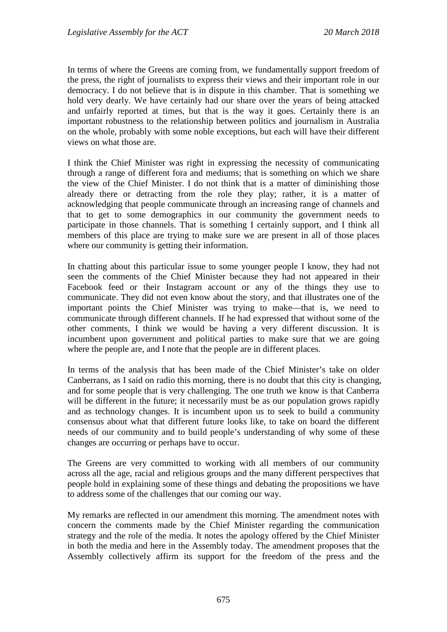In terms of where the Greens are coming from, we fundamentally support freedom of the press, the right of journalists to express their views and their important role in our democracy. I do not believe that is in dispute in this chamber. That is something we hold very dearly. We have certainly had our share over the years of being attacked and unfairly reported at times, but that is the way it goes. Certainly there is an important robustness to the relationship between politics and journalism in Australia on the whole, probably with some noble exceptions, but each will have their different views on what those are.

I think the Chief Minister was right in expressing the necessity of communicating through a range of different fora and mediums; that is something on which we share the view of the Chief Minister. I do not think that is a matter of diminishing those already there or detracting from the role they play; rather, it is a matter of acknowledging that people communicate through an increasing range of channels and that to get to some demographics in our community the government needs to participate in those channels. That is something I certainly support, and I think all members of this place are trying to make sure we are present in all of those places where our community is getting their information.

In chatting about this particular issue to some younger people I know, they had not seen the comments of the Chief Minister because they had not appeared in their Facebook feed or their Instagram account or any of the things they use to communicate. They did not even know about the story, and that illustrates one of the important points the Chief Minister was trying to make—that is, we need to communicate through different channels. If he had expressed that without some of the other comments, I think we would be having a very different discussion. It is incumbent upon government and political parties to make sure that we are going where the people are, and I note that the people are in different places.

In terms of the analysis that has been made of the Chief Minister's take on older Canberrans, as I said on radio this morning, there is no doubt that this city is changing, and for some people that is very challenging. The one truth we know is that Canberra will be different in the future; it necessarily must be as our population grows rapidly and as technology changes. It is incumbent upon us to seek to build a community consensus about what that different future looks like, to take on board the different needs of our community and to build people's understanding of why some of these changes are occurring or perhaps have to occur.

The Greens are very committed to working with all members of our community across all the age, racial and religious groups and the many different perspectives that people hold in explaining some of these things and debating the propositions we have to address some of the challenges that our coming our way.

My remarks are reflected in our amendment this morning. The amendment notes with concern the comments made by the Chief Minister regarding the communication strategy and the role of the media. It notes the apology offered by the Chief Minister in both the media and here in the Assembly today. The amendment proposes that the Assembly collectively affirm its support for the freedom of the press and the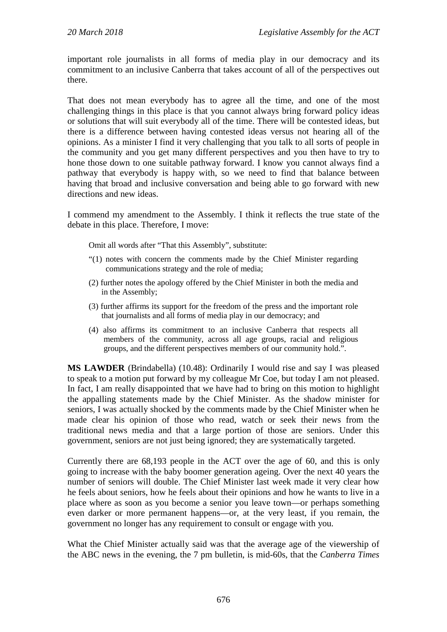important role journalists in all forms of media play in our democracy and its commitment to an inclusive Canberra that takes account of all of the perspectives out there.

That does not mean everybody has to agree all the time, and one of the most challenging things in this place is that you cannot always bring forward policy ideas or solutions that will suit everybody all of the time. There will be contested ideas, but there is a difference between having contested ideas versus not hearing all of the opinions. As a minister I find it very challenging that you talk to all sorts of people in the community and you get many different perspectives and you then have to try to hone those down to one suitable pathway forward. I know you cannot always find a pathway that everybody is happy with, so we need to find that balance between having that broad and inclusive conversation and being able to go forward with new directions and new ideas.

I commend my amendment to the Assembly. I think it reflects the true state of the debate in this place. Therefore, I move:

Omit all words after "That this Assembly", substitute:

- "(1) notes with concern the comments made by the Chief Minister regarding communications strategy and the role of media;
- (2) further notes the apology offered by the Chief Minister in both the media and in the Assembly;
- (3) further affirms its support for the freedom of the press and the important role that journalists and all forms of media play in our democracy; and
- (4) also affirms its commitment to an inclusive Canberra that respects all members of the community, across all age groups, racial and religious groups, and the different perspectives members of our community hold.".

**MS LAWDER** (Brindabella) (10.48): Ordinarily I would rise and say I was pleased to speak to a motion put forward by my colleague Mr Coe, but today I am not pleased. In fact, I am really disappointed that we have had to bring on this motion to highlight the appalling statements made by the Chief Minister. As the shadow minister for seniors, I was actually shocked by the comments made by the Chief Minister when he made clear his opinion of those who read, watch or seek their news from the traditional news media and that a large portion of those are seniors. Under this government, seniors are not just being ignored; they are systematically targeted.

Currently there are 68,193 people in the ACT over the age of 60, and this is only going to increase with the baby boomer generation ageing. Over the next 40 years the number of seniors will double. The Chief Minister last week made it very clear how he feels about seniors, how he feels about their opinions and how he wants to live in a place where as soon as you become a senior you leave town—or perhaps something even darker or more permanent happens—or, at the very least, if you remain, the government no longer has any requirement to consult or engage with you.

What the Chief Minister actually said was that the average age of the viewership of the ABC news in the evening, the 7 pm bulletin, is mid-60s, that the *Canberra Times*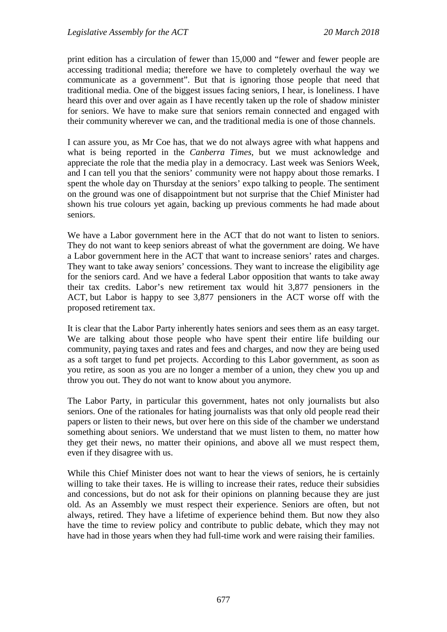print edition has a circulation of fewer than 15,000 and "fewer and fewer people are accessing traditional media; therefore we have to completely overhaul the way we communicate as a government". But that is ignoring those people that need that traditional media. One of the biggest issues facing seniors, I hear, is loneliness. I have heard this over and over again as I have recently taken up the role of shadow minister for seniors. We have to make sure that seniors remain connected and engaged with their community wherever we can, and the traditional media is one of those channels.

I can assure you, as Mr Coe has, that we do not always agree with what happens and what is being reported in the *Canberra Times*, but we must acknowledge and appreciate the role that the media play in a democracy. Last week was Seniors Week, and I can tell you that the seniors' community were not happy about those remarks. I spent the whole day on Thursday at the seniors' expo talking to people. The sentiment on the ground was one of disappointment but not surprise that the Chief Minister had shown his true colours yet again, backing up previous comments he had made about seniors.

We have a Labor government here in the ACT that do not want to listen to seniors. They do not want to keep seniors abreast of what the government are doing. We have a Labor government here in the ACT that want to increase seniors' rates and charges. They want to take away seniors' concessions. They want to increase the eligibility age for the seniors card. And we have a federal Labor opposition that wants to take away their tax credits. Labor's new retirement tax would hit 3,877 pensioners in the ACT, but Labor is happy to see 3,877 pensioners in the ACT worse off with the proposed retirement tax.

It is clear that the Labor Party inherently hates seniors and sees them as an easy target. We are talking about those people who have spent their entire life building our community, paying taxes and rates and fees and charges, and now they are being used as a soft target to fund pet projects. According to this Labor government, as soon as you retire, as soon as you are no longer a member of a union, they chew you up and throw you out. They do not want to know about you anymore.

The Labor Party, in particular this government, hates not only journalists but also seniors. One of the rationales for hating journalists was that only old people read their papers or listen to their news, but over here on this side of the chamber we understand something about seniors. We understand that we must listen to them, no matter how they get their news, no matter their opinions, and above all we must respect them, even if they disagree with us.

While this Chief Minister does not want to hear the views of seniors, he is certainly willing to take their taxes. He is willing to increase their rates, reduce their subsidies and concessions, but do not ask for their opinions on planning because they are just old. As an Assembly we must respect their experience. Seniors are often, but not always, retired. They have a lifetime of experience behind them. But now they also have the time to review policy and contribute to public debate, which they may not have had in those years when they had full-time work and were raising their families.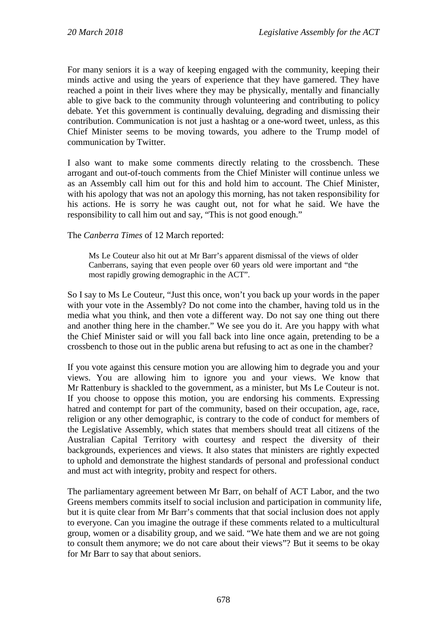For many seniors it is a way of keeping engaged with the community, keeping their minds active and using the years of experience that they have garnered. They have reached a point in their lives where they may be physically, mentally and financially able to give back to the community through volunteering and contributing to policy debate. Yet this government is continually devaluing, degrading and dismissing their contribution. Communication is not just a hashtag or a one-word tweet, unless, as this Chief Minister seems to be moving towards, you adhere to the Trump model of communication by Twitter.

I also want to make some comments directly relating to the crossbench. These arrogant and out-of-touch comments from the Chief Minister will continue unless we as an Assembly call him out for this and hold him to account. The Chief Minister, with his apology that was not an apology this morning, has not taken responsibility for his actions. He is sorry he was caught out, not for what he said. We have the responsibility to call him out and say, "This is not good enough."

The *Canberra Times* of 12 March reported:

Ms Le Couteur also hit out at Mr Barr's apparent dismissal of the views of older Canberrans, saying that even people over 60 years old were important and "the most rapidly growing demographic in the ACT".

So I say to Ms Le Couteur, "Just this once, won't you back up your words in the paper with your vote in the Assembly? Do not come into the chamber, having told us in the media what you think, and then vote a different way. Do not say one thing out there and another thing here in the chamber." We see you do it. Are you happy with what the Chief Minister said or will you fall back into line once again, pretending to be a crossbench to those out in the public arena but refusing to act as one in the chamber?

If you vote against this censure motion you are allowing him to degrade you and your views. You are allowing him to ignore you and your views. We know that Mr Rattenbury is shackled to the government, as a minister, but Ms Le Couteur is not. If you choose to oppose this motion, you are endorsing his comments. Expressing hatred and contempt for part of the community, based on their occupation, age, race, religion or any other demographic, is contrary to the code of conduct for members of the Legislative Assembly, which states that members should treat all citizens of the Australian Capital Territory with courtesy and respect the diversity of their backgrounds, experiences and views. It also states that ministers are rightly expected to uphold and demonstrate the highest standards of personal and professional conduct and must act with integrity, probity and respect for others.

The parliamentary agreement between Mr Barr, on behalf of ACT Labor, and the two Greens members commits itself to social inclusion and participation in community life, but it is quite clear from Mr Barr's comments that that social inclusion does not apply to everyone. Can you imagine the outrage if these comments related to a multicultural group, women or a disability group, and we said. "We hate them and we are not going to consult them anymore; we do not care about their views"? But it seems to be okay for Mr Barr to say that about seniors.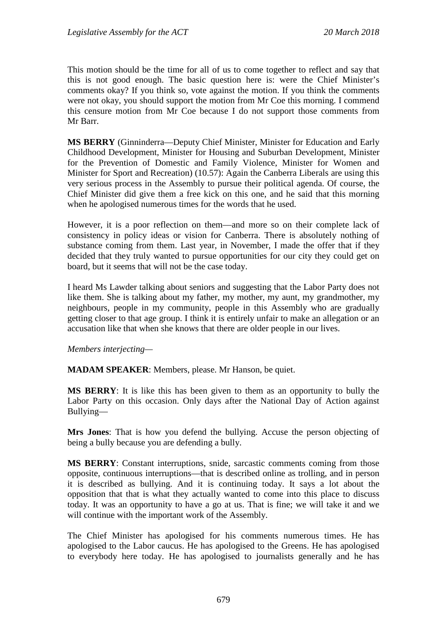This motion should be the time for all of us to come together to reflect and say that this is not good enough. The basic question here is: were the Chief Minister's comments okay? If you think so, vote against the motion. If you think the comments were not okay, you should support the motion from Mr Coe this morning. I commend this censure motion from Mr Coe because I do not support those comments from Mr Barr.

**MS BERRY** (Ginninderra—Deputy Chief Minister, Minister for Education and Early Childhood Development, Minister for Housing and Suburban Development, Minister for the Prevention of Domestic and Family Violence, Minister for Women and Minister for Sport and Recreation) (10.57): Again the Canberra Liberals are using this very serious process in the Assembly to pursue their political agenda. Of course, the Chief Minister did give them a free kick on this one, and he said that this morning when he apologised numerous times for the words that he used.

However, it is a poor reflection on them—and more so on their complete lack of consistency in policy ideas or vision for Canberra. There is absolutely nothing of substance coming from them. Last year, in November, I made the offer that if they decided that they truly wanted to pursue opportunities for our city they could get on board, but it seems that will not be the case today.

I heard Ms Lawder talking about seniors and suggesting that the Labor Party does not like them. She is talking about my father, my mother, my aunt, my grandmother, my neighbours, people in my community, people in this Assembly who are gradually getting closer to that age group. I think it is entirely unfair to make an allegation or an accusation like that when she knows that there are older people in our lives.

*Members interjecting—*

**MADAM SPEAKER**: Members, please. Mr Hanson, be quiet.

**MS BERRY**: It is like this has been given to them as an opportunity to bully the Labor Party on this occasion. Only days after the National Day of Action against Bullying—

**Mrs Jones**: That is how you defend the bullying. Accuse the person objecting of being a bully because you are defending a bully.

**MS BERRY**: Constant interruptions, snide, sarcastic comments coming from those opposite, continuous interruptions—that is described online as trolling, and in person it is described as bullying. And it is continuing today. It says a lot about the opposition that that is what they actually wanted to come into this place to discuss today. It was an opportunity to have a go at us. That is fine; we will take it and we will continue with the important work of the Assembly.

The Chief Minister has apologised for his comments numerous times. He has apologised to the Labor caucus. He has apologised to the Greens. He has apologised to everybody here today. He has apologised to journalists generally and he has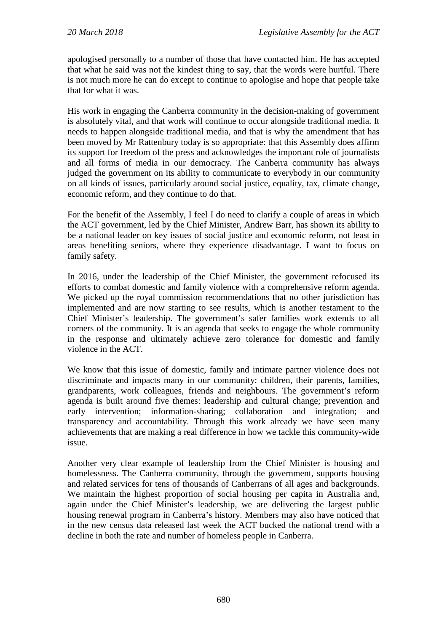apologised personally to a number of those that have contacted him. He has accepted that what he said was not the kindest thing to say, that the words were hurtful. There is not much more he can do except to continue to apologise and hope that people take that for what it was.

His work in engaging the Canberra community in the decision-making of government is absolutely vital, and that work will continue to occur alongside traditional media. It needs to happen alongside traditional media, and that is why the amendment that has been moved by Mr Rattenbury today is so appropriate: that this Assembly does affirm its support for freedom of the press and acknowledges the important role of journalists and all forms of media in our democracy. The Canberra community has always judged the government on its ability to communicate to everybody in our community on all kinds of issues, particularly around social justice, equality, tax, climate change, economic reform, and they continue to do that.

For the benefit of the Assembly, I feel I do need to clarify a couple of areas in which the ACT government, led by the Chief Minister, Andrew Barr, has shown its ability to be a national leader on key issues of social justice and economic reform, not least in areas benefiting seniors, where they experience disadvantage. I want to focus on family safety.

In 2016, under the leadership of the Chief Minister, the government refocused its efforts to combat domestic and family violence with a comprehensive reform agenda. We picked up the royal commission recommendations that no other jurisdiction has implemented and are now starting to see results, which is another testament to the Chief Minister's leadership. The government's safer families work extends to all corners of the community. It is an agenda that seeks to engage the whole community in the response and ultimately achieve zero tolerance for domestic and family violence in the ACT.

We know that this issue of domestic, family and intimate partner violence does not discriminate and impacts many in our community: children, their parents, families, grandparents, work colleagues, friends and neighbours. The government's reform agenda is built around five themes: leadership and cultural change; prevention and early intervention; information-sharing; collaboration and integration; and transparency and accountability. Through this work already we have seen many achievements that are making a real difference in how we tackle this community-wide issue.

Another very clear example of leadership from the Chief Minister is housing and homelessness. The Canberra community, through the government, supports housing and related services for tens of thousands of Canberrans of all ages and backgrounds. We maintain the highest proportion of social housing per capita in Australia and, again under the Chief Minister's leadership, we are delivering the largest public housing renewal program in Canberra's history. Members may also have noticed that in the new census data released last week the ACT bucked the national trend with a decline in both the rate and number of homeless people in Canberra.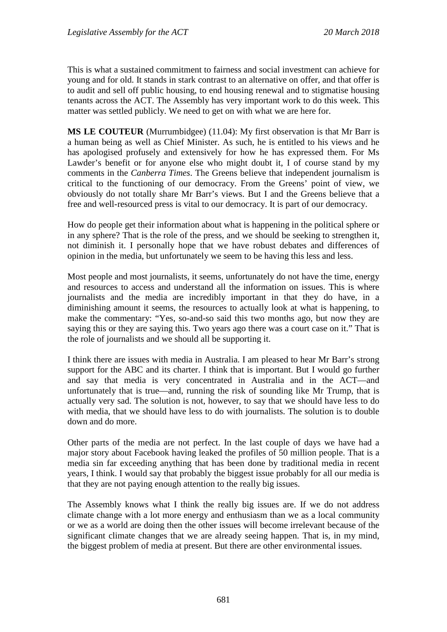This is what a sustained commitment to fairness and social investment can achieve for young and for old. It stands in stark contrast to an alternative on offer, and that offer is to audit and sell off public housing, to end housing renewal and to stigmatise housing tenants across the ACT. The Assembly has very important work to do this week. This matter was settled publicly. We need to get on with what we are here for.

**MS LE COUTEUR** (Murrumbidgee) (11.04): My first observation is that Mr Barr is a human being as well as Chief Minister. As such, he is entitled to his views and he has apologised profusely and extensively for how he has expressed them. For Ms Lawder's benefit or for anyone else who might doubt it, I of course stand by my comments in the *Canberra Times*. The Greens believe that independent journalism is critical to the functioning of our democracy. From the Greens' point of view, we obviously do not totally share Mr Barr's views. But I and the Greens believe that a free and well-resourced press is vital to our democracy. It is part of our democracy.

How do people get their information about what is happening in the political sphere or in any sphere? That is the role of the press, and we should be seeking to strengthen it, not diminish it. I personally hope that we have robust debates and differences of opinion in the media, but unfortunately we seem to be having this less and less.

Most people and most journalists, it seems, unfortunately do not have the time, energy and resources to access and understand all the information on issues. This is where journalists and the media are incredibly important in that they do have, in a diminishing amount it seems, the resources to actually look at what is happening, to make the commentary: "Yes, so-and-so said this two months ago, but now they are saying this or they are saying this. Two years ago there was a court case on it." That is the role of journalists and we should all be supporting it.

I think there are issues with media in Australia. I am pleased to hear Mr Barr's strong support for the ABC and its charter. I think that is important. But I would go further and say that media is very concentrated in Australia and in the ACT—and unfortunately that is true—and, running the risk of sounding like Mr Trump, that is actually very sad. The solution is not, however, to say that we should have less to do with media, that we should have less to do with journalists. The solution is to double down and do more.

Other parts of the media are not perfect. In the last couple of days we have had a major story about Facebook having leaked the profiles of 50 million people. That is a media sin far exceeding anything that has been done by traditional media in recent years, I think. I would say that probably the biggest issue probably for all our media is that they are not paying enough attention to the really big issues.

The Assembly knows what I think the really big issues are. If we do not address climate change with a lot more energy and enthusiasm than we as a local community or we as a world are doing then the other issues will become irrelevant because of the significant climate changes that we are already seeing happen. That is, in my mind, the biggest problem of media at present. But there are other environmental issues.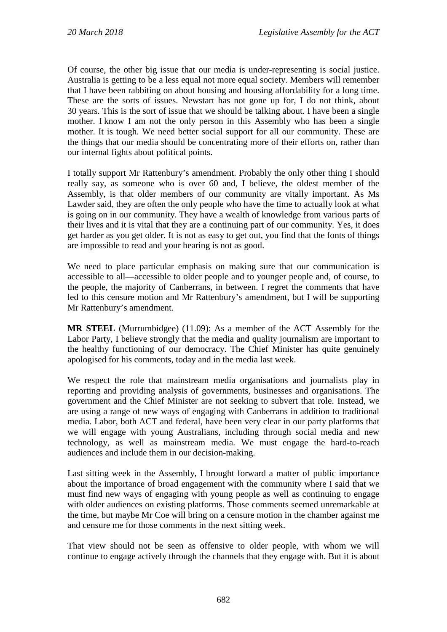Of course, the other big issue that our media is under-representing is social justice. Australia is getting to be a less equal not more equal society. Members will remember that I have been rabbiting on about housing and housing affordability for a long time. These are the sorts of issues. Newstart has not gone up for, I do not think, about 30 years. This is the sort of issue that we should be talking about. I have been a single mother. I know I am not the only person in this Assembly who has been a single mother. It is tough. We need better social support for all our community. These are the things that our media should be concentrating more of their efforts on, rather than our internal fights about political points.

I totally support Mr Rattenbury's amendment. Probably the only other thing I should really say, as someone who is over 60 and, I believe, the oldest member of the Assembly, is that older members of our community are vitally important. As Ms Lawder said, they are often the only people who have the time to actually look at what is going on in our community. They have a wealth of knowledge from various parts of their lives and it is vital that they are a continuing part of our community. Yes, it does get harder as you get older. It is not as easy to get out, you find that the fonts of things are impossible to read and your hearing is not as good.

We need to place particular emphasis on making sure that our communication is accessible to all—accessible to older people and to younger people and, of course, to the people, the majority of Canberrans, in between. I regret the comments that have led to this censure motion and Mr Rattenbury's amendment, but I will be supporting Mr Rattenbury's amendment.

**MR STEEL** (Murrumbidgee) (11.09): As a member of the ACT Assembly for the Labor Party, I believe strongly that the media and quality journalism are important to the healthy functioning of our democracy. The Chief Minister has quite genuinely apologised for his comments, today and in the media last week.

We respect the role that mainstream media organisations and journalists play in reporting and providing analysis of governments, businesses and organisations. The government and the Chief Minister are not seeking to subvert that role. Instead, we are using a range of new ways of engaging with Canberrans in addition to traditional media. Labor, both ACT and federal, have been very clear in our party platforms that we will engage with young Australians, including through social media and new technology, as well as mainstream media. We must engage the hard-to-reach audiences and include them in our decision-making.

Last sitting week in the Assembly, I brought forward a matter of public importance about the importance of broad engagement with the community where I said that we must find new ways of engaging with young people as well as continuing to engage with older audiences on existing platforms. Those comments seemed unremarkable at the time, but maybe Mr Coe will bring on a censure motion in the chamber against me and censure me for those comments in the next sitting week.

That view should not be seen as offensive to older people, with whom we will continue to engage actively through the channels that they engage with. But it is about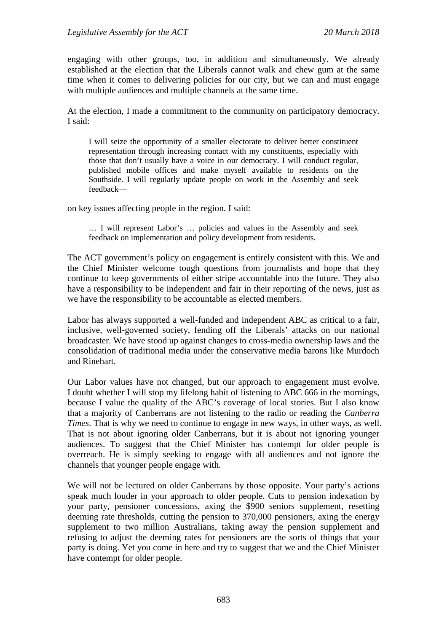engaging with other groups, too, in addition and simultaneously. We already established at the election that the Liberals cannot walk and chew gum at the same time when it comes to delivering policies for our city, but we can and must engage with multiple audiences and multiple channels at the same time.

At the election, I made a commitment to the community on participatory democracy. I said:

I will seize the opportunity of a smaller electorate to deliver better constituent representation through increasing contact with my constituents, especially with those that don't usually have a voice in our democracy. I will conduct regular, published mobile offices and make myself available to residents on the Southside. I will regularly update people on work in the Assembly and seek feedback—

on key issues affecting people in the region. I said:

… I will represent Labor's … policies and values in the Assembly and seek feedback on implementation and policy development from residents.

The ACT government's policy on engagement is entirely consistent with this. We and the Chief Minister welcome tough questions from journalists and hope that they continue to keep governments of either stripe accountable into the future. They also have a responsibility to be independent and fair in their reporting of the news, just as we have the responsibility to be accountable as elected members.

Labor has always supported a well-funded and independent ABC as critical to a fair, inclusive, well-governed society, fending off the Liberals' attacks on our national broadcaster. We have stood up against changes to cross-media ownership laws and the consolidation of traditional media under the conservative media barons like Murdoch and Rinehart.

Our Labor values have not changed, but our approach to engagement must evolve. I doubt whether I will stop my lifelong habit of listening to ABC 666 in the mornings, because I value the quality of the ABC's coverage of local stories. But I also know that a majority of Canberrans are not listening to the radio or reading the *Canberra Times*. That is why we need to continue to engage in new ways, in other ways, as well. That is not about ignoring older Canberrans, but it is about not ignoring younger audiences. To suggest that the Chief Minister has contempt for older people is overreach. He is simply seeking to engage with all audiences and not ignore the channels that younger people engage with.

We will not be lectured on older Canberrans by those opposite. Your party's actions speak much louder in your approach to older people. Cuts to pension indexation by your party, pensioner concessions, axing the \$900 seniors supplement, resetting deeming rate thresholds, cutting the pension to 370,000 pensioners, axing the energy supplement to two million Australians, taking away the pension supplement and refusing to adjust the deeming rates for pensioners are the sorts of things that your party is doing. Yet you come in here and try to suggest that we and the Chief Minister have contempt for older people.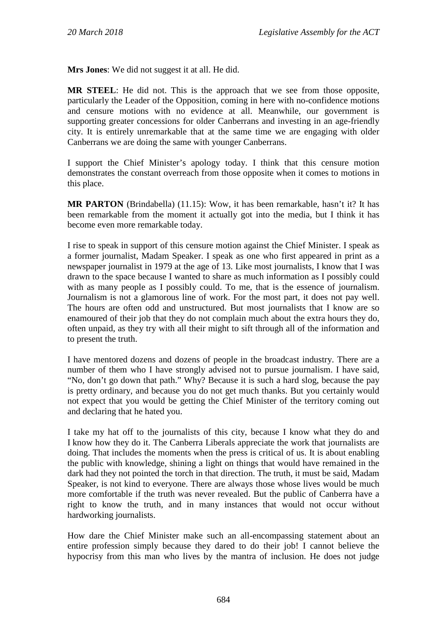**Mrs Jones**: We did not suggest it at all. He did.

**MR STEEL**: He did not. This is the approach that we see from those opposite, particularly the Leader of the Opposition, coming in here with no-confidence motions and censure motions with no evidence at all. Meanwhile, our government is supporting greater concessions for older Canberrans and investing in an age-friendly city. It is entirely unremarkable that at the same time we are engaging with older Canberrans we are doing the same with younger Canberrans.

I support the Chief Minister's apology today. I think that this censure motion demonstrates the constant overreach from those opposite when it comes to motions in this place.

**MR PARTON** (Brindabella) (11.15): Wow, it has been remarkable, hasn't it? It has been remarkable from the moment it actually got into the media, but I think it has become even more remarkable today.

I rise to speak in support of this censure motion against the Chief Minister. I speak as a former journalist, Madam Speaker. I speak as one who first appeared in print as a newspaper journalist in 1979 at the age of 13. Like most journalists, I know that I was drawn to the space because I wanted to share as much information as I possibly could with as many people as I possibly could. To me, that is the essence of journalism. Journalism is not a glamorous line of work. For the most part, it does not pay well. The hours are often odd and unstructured. But most journalists that I know are so enamoured of their job that they do not complain much about the extra hours they do, often unpaid, as they try with all their might to sift through all of the information and to present the truth.

I have mentored dozens and dozens of people in the broadcast industry. There are a number of them who I have strongly advised not to pursue journalism. I have said, "No, don't go down that path." Why? Because it is such a hard slog, because the pay is pretty ordinary, and because you do not get much thanks. But you certainly would not expect that you would be getting the Chief Minister of the territory coming out and declaring that he hated you.

I take my hat off to the journalists of this city, because I know what they do and I know how they do it. The Canberra Liberals appreciate the work that journalists are doing. That includes the moments when the press is critical of us. It is about enabling the public with knowledge, shining a light on things that would have remained in the dark had they not pointed the torch in that direction. The truth, it must be said, Madam Speaker, is not kind to everyone. There are always those whose lives would be much more comfortable if the truth was never revealed. But the public of Canberra have a right to know the truth, and in many instances that would not occur without hardworking journalists.

How dare the Chief Minister make such an all-encompassing statement about an entire profession simply because they dared to do their job! I cannot believe the hypocrisy from this man who lives by the mantra of inclusion. He does not judge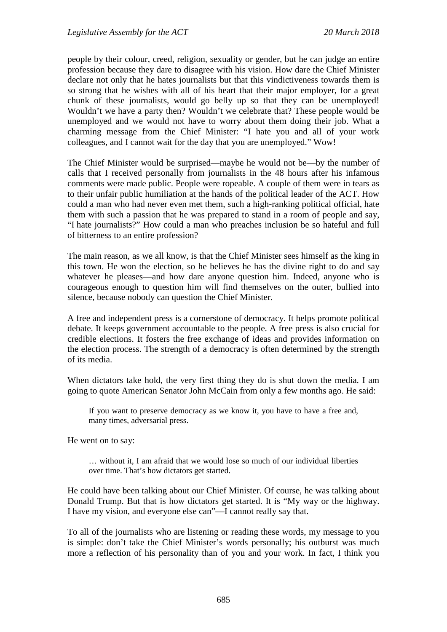people by their colour, creed, religion, sexuality or gender, but he can judge an entire profession because they dare to disagree with his vision. How dare the Chief Minister declare not only that he hates journalists but that this vindictiveness towards them is so strong that he wishes with all of his heart that their major employer, for a great chunk of these journalists, would go belly up so that they can be unemployed! Wouldn't we have a party then? Wouldn't we celebrate that? These people would be unemployed and we would not have to worry about them doing their job. What a charming message from the Chief Minister: "I hate you and all of your work colleagues, and I cannot wait for the day that you are unemployed." Wow!

The Chief Minister would be surprised—maybe he would not be—by the number of calls that I received personally from journalists in the 48 hours after his infamous comments were made public. People were ropeable. A couple of them were in tears as to their unfair public humiliation at the hands of the political leader of the ACT. How could a man who had never even met them, such a high-ranking political official, hate them with such a passion that he was prepared to stand in a room of people and say, "I hate journalists?" How could a man who preaches inclusion be so hateful and full of bitterness to an entire profession?

The main reason, as we all know, is that the Chief Minister sees himself as the king in this town. He won the election, so he believes he has the divine right to do and say whatever he pleases—and how dare anyone question him. Indeed, anyone who is courageous enough to question him will find themselves on the outer, bullied into silence, because nobody can question the Chief Minister.

A free and independent press is a cornerstone of democracy. It helps promote political debate. It keeps government accountable to the people. A free press is also crucial for credible elections. It fosters the free exchange of ideas and provides information on the election process. The strength of a democracy is often determined by the strength of its media.

When dictators take hold, the very first thing they do is shut down the media. I am going to quote American Senator John McCain from only a few months ago. He said:

If you want to preserve democracy as we know it, you have to have a free and, many times, adversarial press.

He went on to say:

… without it, I am afraid that we would lose so much of our individual liberties over time. That's how dictators get started.

He could have been talking about our Chief Minister. Of course, he was talking about Donald Trump. But that is how dictators get started. It is "My way or the highway. I have my vision, and everyone else can"—I cannot really say that.

To all of the journalists who are listening or reading these words, my message to you is simple: don't take the Chief Minister's words personally; his outburst was much more a reflection of his personality than of you and your work. In fact, I think you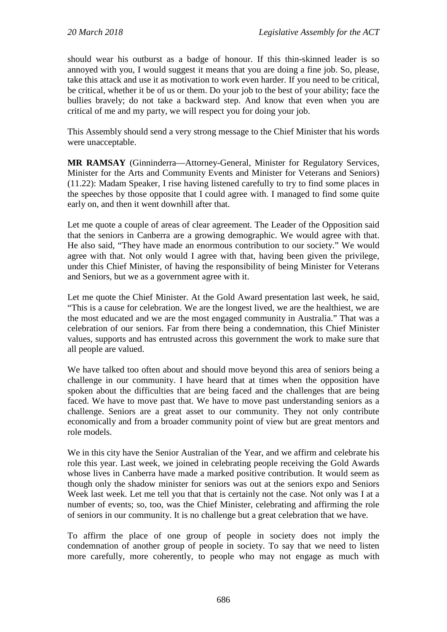should wear his outburst as a badge of honour. If this thin-skinned leader is so annoyed with you, I would suggest it means that you are doing a fine job. So, please, take this attack and use it as motivation to work even harder. If you need to be critical, be critical, whether it be of us or them. Do your job to the best of your ability; face the bullies bravely; do not take a backward step. And know that even when you are critical of me and my party, we will respect you for doing your job.

This Assembly should send a very strong message to the Chief Minister that his words were unacceptable.

**MR RAMSAY** (Ginninderra—Attorney-General, Minister for Regulatory Services, Minister for the Arts and Community Events and Minister for Veterans and Seniors) (11.22): Madam Speaker, I rise having listened carefully to try to find some places in the speeches by those opposite that I could agree with. I managed to find some quite early on, and then it went downhill after that.

Let me quote a couple of areas of clear agreement. The Leader of the Opposition said that the seniors in Canberra are a growing demographic. We would agree with that. He also said, "They have made an enormous contribution to our society." We would agree with that. Not only would I agree with that, having been given the privilege, under this Chief Minister, of having the responsibility of being Minister for Veterans and Seniors, but we as a government agree with it.

Let me quote the Chief Minister. At the Gold Award presentation last week, he said, "This is a cause for celebration. We are the longest lived, we are the healthiest, we are the most educated and we are the most engaged community in Australia." That was a celebration of our seniors. Far from there being a condemnation, this Chief Minister values, supports and has entrusted across this government the work to make sure that all people are valued.

We have talked too often about and should move beyond this area of seniors being a challenge in our community. I have heard that at times when the opposition have spoken about the difficulties that are being faced and the challenges that are being faced. We have to move past that. We have to move past understanding seniors as a challenge. Seniors are a great asset to our community. They not only contribute economically and from a broader community point of view but are great mentors and role models.

We in this city have the Senior Australian of the Year, and we affirm and celebrate his role this year. Last week, we joined in celebrating people receiving the Gold Awards whose lives in Canberra have made a marked positive contribution. It would seem as though only the shadow minister for seniors was out at the seniors expo and Seniors Week last week. Let me tell you that that is certainly not the case. Not only was I at a number of events; so, too, was the Chief Minister, celebrating and affirming the role of seniors in our community. It is no challenge but a great celebration that we have.

To affirm the place of one group of people in society does not imply the condemnation of another group of people in society. To say that we need to listen more carefully, more coherently, to people who may not engage as much with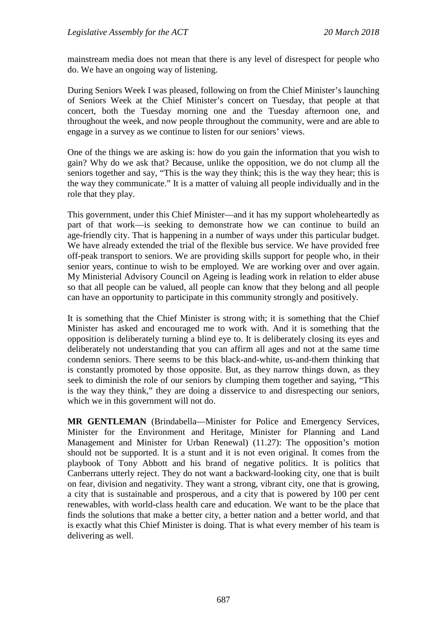mainstream media does not mean that there is any level of disrespect for people who do. We have an ongoing way of listening.

During Seniors Week I was pleased, following on from the Chief Minister's launching of Seniors Week at the Chief Minister's concert on Tuesday, that people at that concert, both the Tuesday morning one and the Tuesday afternoon one, and throughout the week, and now people throughout the community, were and are able to engage in a survey as we continue to listen for our seniors' views.

One of the things we are asking is: how do you gain the information that you wish to gain? Why do we ask that? Because, unlike the opposition, we do not clump all the seniors together and say, "This is the way they think; this is the way they hear; this is the way they communicate." It is a matter of valuing all people individually and in the role that they play.

This government, under this Chief Minister—and it has my support wholeheartedly as part of that work—is seeking to demonstrate how we can continue to build an age-friendly city. That is happening in a number of ways under this particular budget. We have already extended the trial of the flexible bus service. We have provided free off-peak transport to seniors. We are providing skills support for people who, in their senior years, continue to wish to be employed. We are working over and over again. My Ministerial Advisory Council on Ageing is leading work in relation to elder abuse so that all people can be valued, all people can know that they belong and all people can have an opportunity to participate in this community strongly and positively.

It is something that the Chief Minister is strong with; it is something that the Chief Minister has asked and encouraged me to work with. And it is something that the opposition is deliberately turning a blind eye to. It is deliberately closing its eyes and deliberately not understanding that you can affirm all ages and not at the same time condemn seniors. There seems to be this black-and-white, us-and-them thinking that is constantly promoted by those opposite. But, as they narrow things down, as they seek to diminish the role of our seniors by clumping them together and saying, "This is the way they think," they are doing a disservice to and disrespecting our seniors, which we in this government will not do.

**MR GENTLEMAN** (Brindabella—Minister for Police and Emergency Services, Minister for the Environment and Heritage, Minister for Planning and Land Management and Minister for Urban Renewal) (11.27): The opposition's motion should not be supported. It is a stunt and it is not even original. It comes from the playbook of Tony Abbott and his brand of negative politics. It is politics that Canberrans utterly reject. They do not want a backward-looking city, one that is built on fear, division and negativity. They want a strong, vibrant city, one that is growing, a city that is sustainable and prosperous, and a city that is powered by 100 per cent renewables, with world-class health care and education. We want to be the place that finds the solutions that make a better city, a better nation and a better world, and that is exactly what this Chief Minister is doing. That is what every member of his team is delivering as well.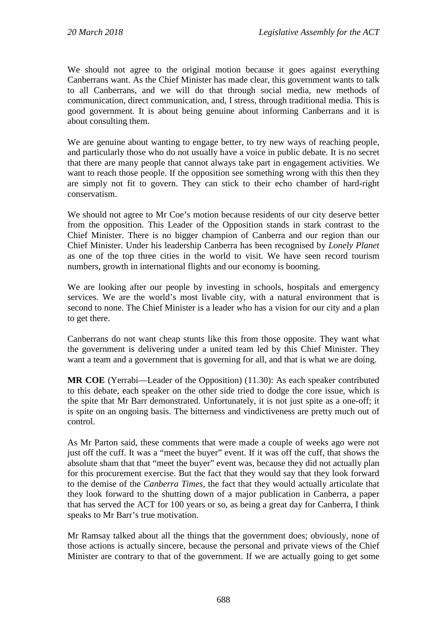We should not agree to the original motion because it goes against everything Canberrans want. As the Chief Minister has made clear, this government wants to talk to all Canberrans, and we will do that through social media, new methods of communication, direct communication, and, I stress, through traditional media. This is good government. It is about being genuine about informing Canberrans and it is about consulting them.

We are genuine about wanting to engage better, to try new ways of reaching people, and particularly those who do not usually have a voice in public debate. It is no secret that there are many people that cannot always take part in engagement activities. We want to reach those people. If the opposition see something wrong with this then they are simply not fit to govern. They can stick to their echo chamber of hard-right conservatism.

We should not agree to Mr Coe's motion because residents of our city deserve better from the opposition. This Leader of the Opposition stands in stark contrast to the Chief Minister. There is no bigger champion of Canberra and our region than our Chief Minister. Under his leadership Canberra has been recognised by *Lonely Planet* as one of the top three cities in the world to visit. We have seen record tourism numbers, growth in international flights and our economy is booming.

We are looking after our people by investing in schools, hospitals and emergency services. We are the world's most livable city, with a natural environment that is second to none. The Chief Minister is a leader who has a vision for our city and a plan to get there.

Canberrans do not want cheap stunts like this from those opposite. They want what the government is delivering under a united team led by this Chief Minister. They want a team and a government that is governing for all, and that is what we are doing.

**MR COE** (Yerrabi—Leader of the Opposition) (11.30): As each speaker contributed to this debate, each speaker on the other side tried to dodge the core issue, which is the spite that Mr Barr demonstrated. Unfortunately, it is not just spite as a one-off; it is spite on an ongoing basis. The bitterness and vindictiveness are pretty much out of control.

As Mr Parton said, these comments that were made a couple of weeks ago were not just off the cuff. It was a "meet the buyer" event. If it was off the cuff, that shows the absolute sham that that "meet the buyer" event was, because they did not actually plan for this procurement exercise. But the fact that they would say that they look forward to the demise of the *Canberra Times*, the fact that they would actually articulate that they look forward to the shutting down of a major publication in Canberra, a paper that has served the ACT for 100 years or so, as being a great day for Canberra, I think speaks to Mr Barr's true motivation.

Mr Ramsay talked about all the things that the government does; obviously, none of those actions is actually sincere, because the personal and private views of the Chief Minister are contrary to that of the government. If we are actually going to get some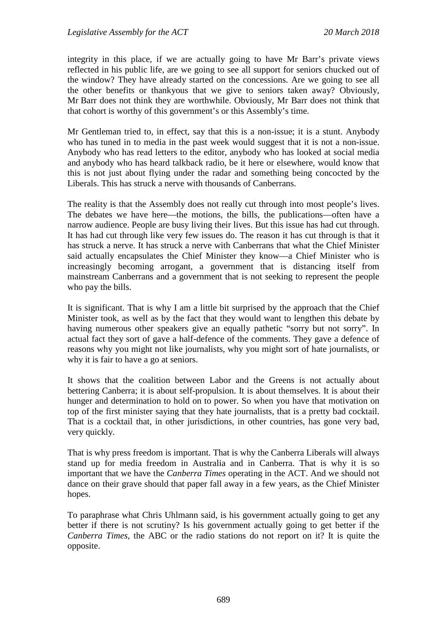integrity in this place, if we are actually going to have Mr Barr's private views reflected in his public life, are we going to see all support for seniors chucked out of the window? They have already started on the concessions. Are we going to see all the other benefits or thankyous that we give to seniors taken away? Obviously, Mr Barr does not think they are worthwhile. Obviously, Mr Barr does not think that that cohort is worthy of this government's or this Assembly's time.

Mr Gentleman tried to, in effect, say that this is a non-issue; it is a stunt. Anybody who has tuned in to media in the past week would suggest that it is not a non-issue. Anybody who has read letters to the editor, anybody who has looked at social media and anybody who has heard talkback radio, be it here or elsewhere, would know that this is not just about flying under the radar and something being concocted by the Liberals. This has struck a nerve with thousands of Canberrans.

The reality is that the Assembly does not really cut through into most people's lives. The debates we have here—the motions, the bills, the publications—often have a narrow audience. People are busy living their lives. But this issue has had cut through. It has had cut through like very few issues do. The reason it has cut through is that it has struck a nerve. It has struck a nerve with Canberrans that what the Chief Minister said actually encapsulates the Chief Minister they know—a Chief Minister who is increasingly becoming arrogant, a government that is distancing itself from mainstream Canberrans and a government that is not seeking to represent the people who pay the bills.

It is significant. That is why I am a little bit surprised by the approach that the Chief Minister took, as well as by the fact that they would want to lengthen this debate by having numerous other speakers give an equally pathetic "sorry but not sorry". In actual fact they sort of gave a half-defence of the comments. They gave a defence of reasons why you might not like journalists, why you might sort of hate journalists, or why it is fair to have a go at seniors.

It shows that the coalition between Labor and the Greens is not actually about bettering Canberra; it is about self-propulsion. It is about themselves. It is about their hunger and determination to hold on to power. So when you have that motivation on top of the first minister saying that they hate journalists, that is a pretty bad cocktail. That is a cocktail that, in other jurisdictions, in other countries, has gone very bad, very quickly.

That is why press freedom is important. That is why the Canberra Liberals will always stand up for media freedom in Australia and in Canberra. That is why it is so important that we have the *Canberra Times* operating in the ACT. And we should not dance on their grave should that paper fall away in a few years, as the Chief Minister hopes.

To paraphrase what Chris Uhlmann said, is his government actually going to get any better if there is not scrutiny? Is his government actually going to get better if the *Canberra Times*, the ABC or the radio stations do not report on it? It is quite the opposite.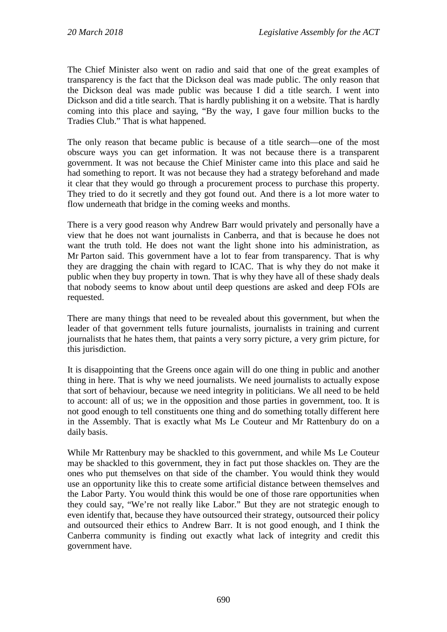The Chief Minister also went on radio and said that one of the great examples of transparency is the fact that the Dickson deal was made public. The only reason that the Dickson deal was made public was because I did a title search. I went into Dickson and did a title search. That is hardly publishing it on a website. That is hardly coming into this place and saying, "By the way, I gave four million bucks to the Tradies Club." That is what happened.

The only reason that became public is because of a title search—one of the most obscure ways you can get information. It was not because there is a transparent government. It was not because the Chief Minister came into this place and said he had something to report. It was not because they had a strategy beforehand and made it clear that they would go through a procurement process to purchase this property. They tried to do it secretly and they got found out. And there is a lot more water to flow underneath that bridge in the coming weeks and months.

There is a very good reason why Andrew Barr would privately and personally have a view that he does not want journalists in Canberra, and that is because he does not want the truth told. He does not want the light shone into his administration, as Mr Parton said. This government have a lot to fear from transparency. That is why they are dragging the chain with regard to ICAC. That is why they do not make it public when they buy property in town. That is why they have all of these shady deals that nobody seems to know about until deep questions are asked and deep FOIs are requested.

There are many things that need to be revealed about this government, but when the leader of that government tells future journalists, journalists in training and current journalists that he hates them, that paints a very sorry picture, a very grim picture, for this jurisdiction.

It is disappointing that the Greens once again will do one thing in public and another thing in here. That is why we need journalists. We need journalists to actually expose that sort of behaviour, because we need integrity in politicians. We all need to be held to account: all of us; we in the opposition and those parties in government, too. It is not good enough to tell constituents one thing and do something totally different here in the Assembly. That is exactly what Ms Le Couteur and Mr Rattenbury do on a daily basis.

While Mr Rattenbury may be shackled to this government, and while Ms Le Couteur may be shackled to this government, they in fact put those shackles on. They are the ones who put themselves on that side of the chamber. You would think they would use an opportunity like this to create some artificial distance between themselves and the Labor Party. You would think this would be one of those rare opportunities when they could say, "We're not really like Labor." But they are not strategic enough to even identify that, because they have outsourced their strategy, outsourced their policy and outsourced their ethics to Andrew Barr. It is not good enough, and I think the Canberra community is finding out exactly what lack of integrity and credit this government have.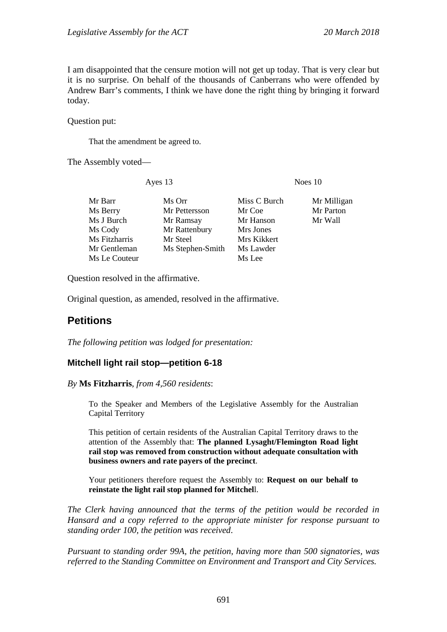I am disappointed that the censure motion will not get up today. That is very clear but it is no surprise. On behalf of the thousands of Canberrans who were offended by Andrew Barr's comments, I think we have done the right thing by bringing it forward today.

Question put:

That the amendment be agreed to.

The Assembly voted—

Ayes 13 Noes 10

| Ms Orr           | Miss C Burch | Mr Milligan |
|------------------|--------------|-------------|
| Mr Pettersson    | Mr Coe       | Mr Parton   |
| Mr Ramsay        | Mr Hanson    | Mr Wall     |
| Mr Rattenbury    | Mrs Jones    |             |
| Mr Steel         | Mrs Kikkert  |             |
| Ms Stephen-Smith | Ms Lawder    |             |
|                  | Ms Lee       |             |
|                  |              |             |

Question resolved in the affirmative.

Original question, as amended, resolved in the affirmative.

## <span id="page-29-0"></span>**Petitions**

*The following petition was lodged for presentation:*

#### <span id="page-29-1"></span>**Mitchell light rail stop—petition 6-18**

#### *By* **Ms Fitzharris**, *from 4,560 residents*:

To the Speaker and Members of the Legislative Assembly for the Australian Capital Territory

This petition of certain residents of the Australian Capital Territory draws to the attention of the Assembly that: **The planned Lysaght/Flemington Road light rail stop was removed from construction without adequate consultation with business owners and rate payers of the precinct**.

Your petitioners therefore request the Assembly to: **Request on our behalf to reinstate the light rail stop planned for Mitchel**l.

*The Clerk having announced that the terms of the petition would be recorded in Hansard and a copy referred to the appropriate minister for response pursuant to standing order 100, the petition was received*.

*Pursuant to standing order 99A, the petition, having more than 500 signatories, was referred to the Standing Committee on Environment and Transport and City Services.*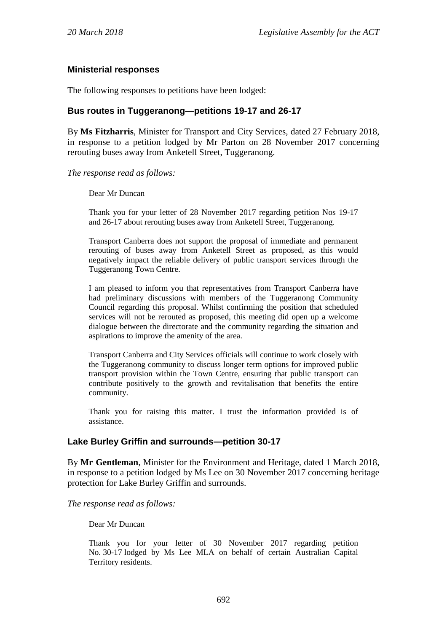#### <span id="page-30-0"></span>**Ministerial responses**

The following responses to petitions have been lodged:

#### <span id="page-30-1"></span>**Bus routes in Tuggeranong—petitions 19-17 and 26-17**

By **Ms Fitzharris**, Minister for Transport and City Services, dated 27 February 2018, in response to a petition lodged by Mr Parton on 28 November 2017 concerning rerouting buses away from Anketell Street, Tuggeranong.

*The response read as follows:*

Dear Mr Duncan

Thank you for your letter of 28 November 2017 regarding petition Nos 19-17 and 26-17 about rerouting buses away from Anketell Street, Tuggeranong.

Transport Canberra does not support the proposal of immediate and permanent rerouting of buses away from Anketell Street as proposed, as this would negatively impact the reliable delivery of public transport services through the Tuggeranong Town Centre.

I am pleased to inform you that representatives from Transport Canberra have had preliminary discussions with members of the Tuggeranong Community Council regarding this proposal. Whilst confirming the position that scheduled services will not be rerouted as proposed, this meeting did open up a welcome dialogue between the directorate and the community regarding the situation and aspirations to improve the amenity of the area.

Transport Canberra and City Services officials will continue to work closely with the Tuggeranong community to discuss longer term options for improved public transport provision within the Town Centre, ensuring that public transport can contribute positively to the growth and revitalisation that benefits the entire community.

Thank you for raising this matter. I trust the information provided is of assistance.

#### <span id="page-30-2"></span>**Lake Burley Griffin and surrounds—petition 30-17**

By **Mr Gentleman**, Minister for the Environment and Heritage, dated 1 March 2018, in response to a petition lodged by Ms Lee on 30 November 2017 concerning heritage protection for Lake Burley Griffin and surrounds.

*The response read as follows:*

Dear Mr Duncan

Thank you for your letter of 30 November 2017 regarding petition No. 30-17 lodged by Ms Lee MLA on behalf of certain Australian Capital Territory residents.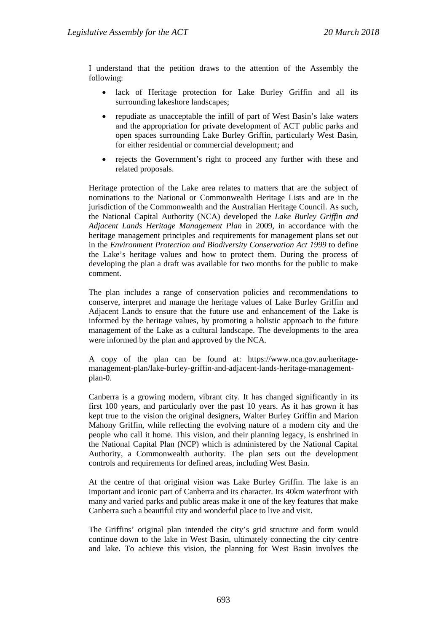I understand that the petition draws to the attention of the Assembly the following:

- lack of Heritage protection for Lake Burley Griffin and all its surrounding lakeshore landscapes;
- repudiate as unacceptable the infill of part of West Basin's lake waters and the appropriation for private development of ACT public parks and open spaces surrounding Lake Burley Griffin, particularly West Basin, for either residential or commercial development; and
- rejects the Government's right to proceed any further with these and related proposals.

Heritage protection of the Lake area relates to matters that are the subject of nominations to the National or Commonwealth Heritage Lists and are in the jurisdiction of the Commonwealth and the Australian Heritage Council. As such, the National Capital Authority (NCA) developed the *Lake Burley Griffin and Adjacent Lands Heritage Management Plan* in 2009, in accordance with the heritage management principles and requirements for management plans set out in the *Environment Protection and Biodiversity Conservation Act 1999* to define the Lake's heritage values and how to protect them. During the process of developing the plan a draft was available for two months for the public to make comment.

The plan includes a range of conservation policies and recommendations to conserve, interpret and manage the heritage values of Lake Burley Griffin and Adjacent Lands to ensure that the future use and enhancement of the Lake is informed by the heritage values, by promoting a holistic approach to the future management of the Lake as a cultural landscape. The developments to the area were informed by the plan and approved by the NCA.

A copy of the plan can be found at: https://www.nca.gov.au/heritagemanagement-plan/lake-burley-griffin-and-adjacent-lands-heritage-managementplan-0.

Canberra is a growing modern, vibrant city. It has changed significantly in its first 100 years, and particularly over the past 10 years. As it has grown it has kept true to the vision the original designers, Walter Burley Griffin and Marion Mahony Griffin, while reflecting the evolving nature of a modern city and the people who call it home. This vision, and their planning legacy, is enshrined in the National Capital Plan (NCP) which is administered by the National Capital Authority, a Commonwealth authority. The plan sets out the development controls and requirements for defined areas, including West Basin.

At the centre of that original vision was Lake Burley Griffin. The lake is an important and iconic part of Canberra and its character. Its 40km waterfront with many and varied parks and public areas make it one of the key features that make Canberra such a beautiful city and wonderful place to live and visit.

The Griffins' original plan intended the city's grid structure and form would continue down to the lake in West Basin, ultimately connecting the city centre and lake. To achieve this vision, the planning for West Basin involves the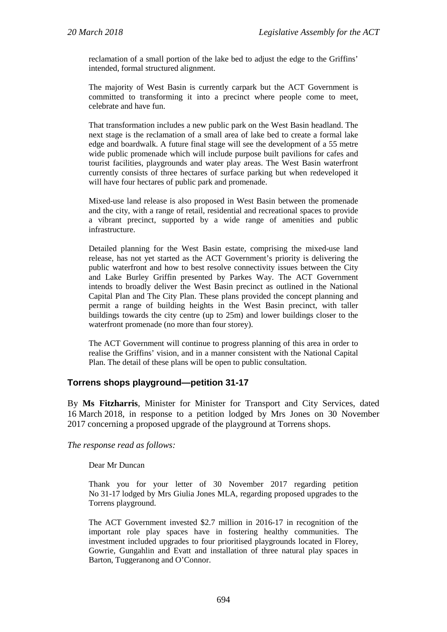reclamation of a small portion of the lake bed to adjust the edge to the Griffins' intended, formal structured alignment.

The majority of West Basin is currently carpark but the ACT Government is committed to transforming it into a precinct where people come to meet, celebrate and have fun.

That transformation includes a new public park on the West Basin headland. The next stage is the reclamation of a small area of lake bed to create a formal lake edge and boardwalk. A future final stage will see the development of a 55 metre wide public promenade which will include purpose built pavilions for cafes and tourist facilities, playgrounds and water play areas. The West Basin waterfront currently consists of three hectares of surface parking but when redeveloped it will have four hectares of public park and promenade.

Mixed-use land release is also proposed in West Basin between the promenade and the city, with a range of retail, residential and recreational spaces to provide a vibrant precinct, supported by a wide range of amenities and public infrastructure.

Detailed planning for the West Basin estate, comprising the mixed-use land release, has not yet started as the ACT Government's priority is delivering the public waterfront and how to best resolve connectivity issues between the City and Lake Burley Griffin presented by Parkes Way. The ACT Government intends to broadly deliver the West Basin precinct as outlined in the National Capital Plan and The City Plan. These plans provided the concept planning and permit a range of building heights in the West Basin precinct, with taller buildings towards the city centre (up to 25m) and lower buildings closer to the waterfront promenade (no more than four storey).

The ACT Government will continue to progress planning of this area in order to realise the Griffins' vision, and in a manner consistent with the National Capital Plan. The detail of these plans will be open to public consultation.

#### <span id="page-32-0"></span>**Torrens shops playground—petition 31-17**

By **Ms Fitzharris**, Minister for Minister for Transport and City Services, dated 16 March 2018, in response to a petition lodged by Mrs Jones on 30 November 2017 concerning a proposed upgrade of the playground at Torrens shops.

#### *The response read as follows:*

Dear Mr Duncan

Thank you for your letter of 30 November 2017 regarding petition No 31-17 lodged by Mrs Giulia Jones MLA, regarding proposed upgrades to the Torrens playground.

The ACT Government invested \$2.7 million in 2016-17 in recognition of the important role play spaces have in fostering healthy communities. The investment included upgrades to four prioritised playgrounds located in Florey, Gowrie, Gungahlin and Evatt and installation of three natural play spaces in Barton, Tuggeranong and O'Connor.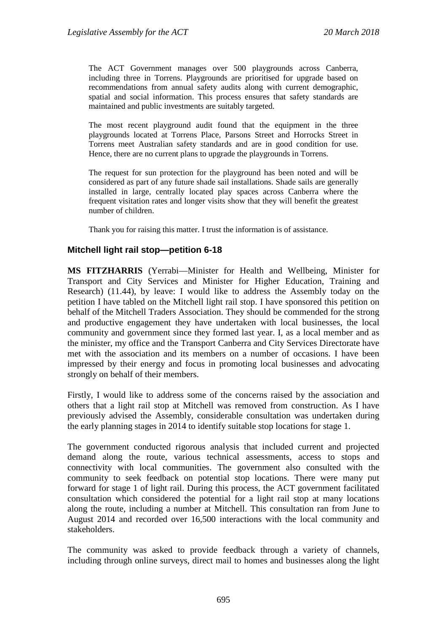The ACT Government manages over 500 playgrounds across Canberra, including three in Torrens. Playgrounds are prioritised for upgrade based on recommendations from annual safety audits along with current demographic, spatial and social information. This process ensures that safety standards are maintained and public investments are suitably targeted.

The most recent playground audit found that the equipment in the three playgrounds located at Torrens Place, Parsons Street and Horrocks Street in Torrens meet Australian safety standards and are in good condition for use. Hence, there are no current plans to upgrade the playgrounds in Torrens.

The request for sun protection for the playground has been noted and will be considered as part of any future shade sail installations. Shade sails are generally installed in large, centrally located play spaces across Canberra where the frequent visitation rates and longer visits show that they will benefit the greatest number of children.

Thank you for raising this matter. I trust the information is of assistance.

#### <span id="page-33-0"></span>**Mitchell light rail stop—petition 6-18**

**MS FITZHARRIS** (Yerrabi—Minister for Health and Wellbeing, Minister for Transport and City Services and Minister for Higher Education, Training and Research) (11.44), by leave: I would like to address the Assembly today on the petition I have tabled on the Mitchell light rail stop. I have sponsored this petition on behalf of the Mitchell Traders Association. They should be commended for the strong and productive engagement they have undertaken with local businesses, the local community and government since they formed last year. I, as a local member and as the minister, my office and the Transport Canberra and City Services Directorate have met with the association and its members on a number of occasions. I have been impressed by their energy and focus in promoting local businesses and advocating strongly on behalf of their members.

Firstly, I would like to address some of the concerns raised by the association and others that a light rail stop at Mitchell was removed from construction. As I have previously advised the Assembly, considerable consultation was undertaken during the early planning stages in 2014 to identify suitable stop locations for stage 1.

The government conducted rigorous analysis that included current and projected demand along the route, various technical assessments, access to stops and connectivity with local communities. The government also consulted with the community to seek feedback on potential stop locations. There were many put forward for stage 1 of light rail. During this process, the ACT government facilitated consultation which considered the potential for a light rail stop at many locations along the route, including a number at Mitchell. This consultation ran from June to August 2014 and recorded over 16,500 interactions with the local community and stakeholders.

The community was asked to provide feedback through a variety of channels, including through online surveys, direct mail to homes and businesses along the light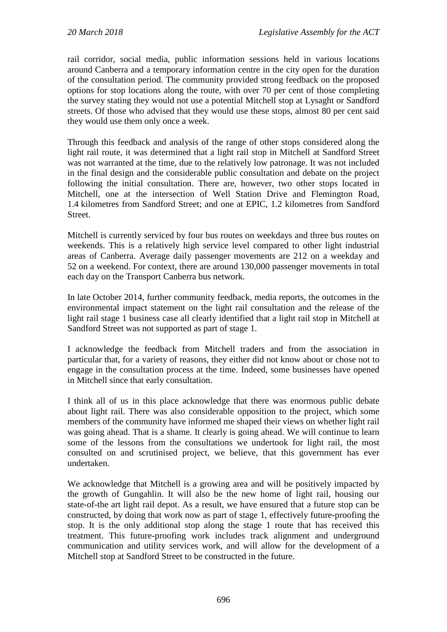rail corridor, social media, public information sessions held in various locations around Canberra and a temporary information centre in the city open for the duration of the consultation period. The community provided strong feedback on the proposed options for stop locations along the route, with over 70 per cent of those completing the survey stating they would not use a potential Mitchell stop at Lysaght or Sandford streets. Of those who advised that they would use these stops, almost 80 per cent said they would use them only once a week.

Through this feedback and analysis of the range of other stops considered along the light rail route, it was determined that a light rail stop in Mitchell at Sandford Street was not warranted at the time, due to the relatively low patronage. It was not included in the final design and the considerable public consultation and debate on the project following the initial consultation. There are, however, two other stops located in Mitchell, one at the intersection of Well Station Drive and Flemington Road, 1.4 kilometres from Sandford Street; and one at EPIC, 1.2 kilometres from Sandford Street.

Mitchell is currently serviced by four bus routes on weekdays and three bus routes on weekends. This is a relatively high service level compared to other light industrial areas of Canberra. Average daily passenger movements are 212 on a weekday and 52 on a weekend. For context, there are around 130,000 passenger movements in total each day on the Transport Canberra bus network.

In late October 2014, further community feedback, media reports, the outcomes in the environmental impact statement on the light rail consultation and the release of the light rail stage 1 business case all clearly identified that a light rail stop in Mitchell at Sandford Street was not supported as part of stage 1.

I acknowledge the feedback from Mitchell traders and from the association in particular that, for a variety of reasons, they either did not know about or chose not to engage in the consultation process at the time. Indeed, some businesses have opened in Mitchell since that early consultation.

I think all of us in this place acknowledge that there was enormous public debate about light rail. There was also considerable opposition to the project, which some members of the community have informed me shaped their views on whether light rail was going ahead. That is a shame. It clearly is going ahead. We will continue to learn some of the lessons from the consultations we undertook for light rail, the most consulted on and scrutinised project, we believe, that this government has ever undertaken.

We acknowledge that Mitchell is a growing area and will be positively impacted by the growth of Gungahlin. It will also be the new home of light rail, housing our state-of-the art light rail depot. As a result, we have ensured that a future stop can be constructed, by doing that work now as part of stage 1, effectively future-proofing the stop. It is the only additional stop along the stage 1 route that has received this treatment. This future-proofing work includes track alignment and underground communication and utility services work, and will allow for the development of a Mitchell stop at Sandford Street to be constructed in the future.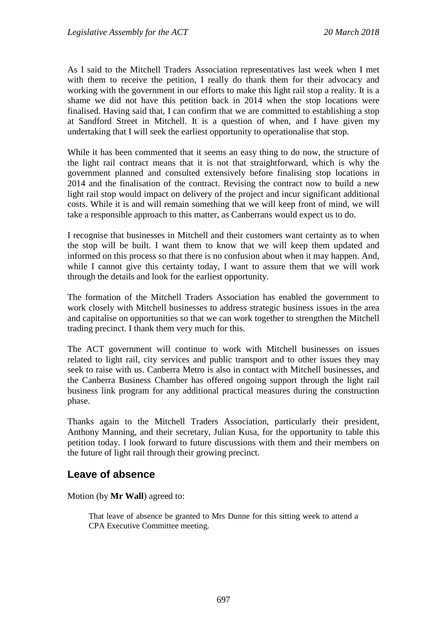As I said to the Mitchell Traders Association representatives last week when I met with them to receive the petition, I really do thank them for their advocacy and working with the government in our efforts to make this light rail stop a reality. It is a shame we did not have this petition back in 2014 when the stop locations were finalised. Having said that, I can confirm that we are committed to establishing a stop at Sandford Street in Mitchell. It is a question of when, and I have given my undertaking that I will seek the earliest opportunity to operationalise that stop.

While it has been commented that it seems an easy thing to do now, the structure of the light rail contract means that it is not that straightforward, which is why the government planned and consulted extensively before finalising stop locations in 2014 and the finalisation of the contract. Revising the contract now to build a new light rail stop would impact on delivery of the project and incur significant additional costs. While it is and will remain something that we will keep front of mind, we will take a responsible approach to this matter, as Canberrans would expect us to do.

I recognise that businesses in Mitchell and their customers want certainty as to when the stop will be built. I want them to know that we will keep them updated and informed on this process so that there is no confusion about when it may happen. And, while I cannot give this certainty today, I want to assure them that we will work through the details and look for the earliest opportunity.

The formation of the Mitchell Traders Association has enabled the government to work closely with Mitchell businesses to address strategic business issues in the area and capitalise on opportunities so that we can work together to strengthen the Mitchell trading precinct. I thank them very much for this.

The ACT government will continue to work with Mitchell businesses on issues related to light rail, city services and public transport and to other issues they may seek to raise with us. Canberra Metro is also in contact with Mitchell businesses, and the Canberra Business Chamber has offered ongoing support through the light rail business link program for any additional practical measures during the construction phase.

Thanks again to the Mitchell Traders Association, particularly their president, Anthony Manning, and their secretary, Julian Kusa, for the opportunity to table this petition today. I look forward to future discussions with them and their members on the future of light rail through their growing precinct.

### <span id="page-35-0"></span>**Leave of absence**

Motion (by **Mr Wall**) agreed to:

That leave of absence be granted to Mrs Dunne for this sitting week to attend a CPA Executive Committee meeting.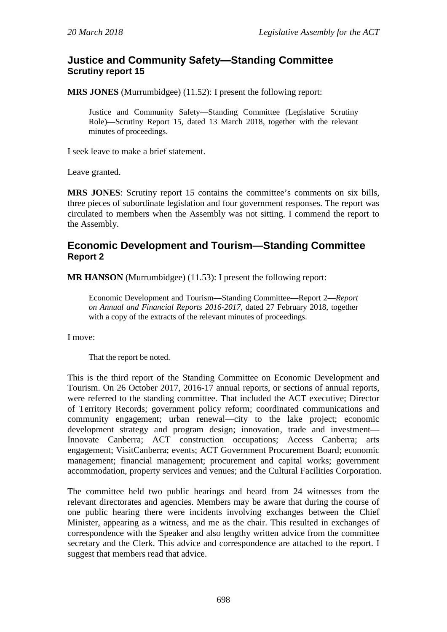# **Justice and Community Safety—Standing Committee Scrutiny report 15**

**MRS JONES** (Murrumbidgee) (11.52): I present the following report:

Justice and Community Safety—Standing Committee (Legislative Scrutiny Role)—Scrutiny Report 15*,* dated 13 March 2018, together with the relevant minutes of proceedings.

I seek leave to make a brief statement.

Leave granted.

**MRS JONES**: Scrutiny report 15 contains the committee's comments on six bills, three pieces of subordinate legislation and four government responses. The report was circulated to members when the Assembly was not sitting. I commend the report to the Assembly.

# **Economic Development and Tourism—Standing Committee Report 2**

**MR HANSON** (Murrumbidgee) (11.53): I present the following report:

Economic Development and Tourism—Standing Committee—Report 2—*Report on Annual and Financial Reports 2016-2017,* dated 27 February 2018, together with a copy of the extracts of the relevant minutes of proceedings.

I move:

That the report be noted.

This is the third report of the Standing Committee on Economic Development and Tourism. On 26 October 2017, 2016-17 annual reports, or sections of annual reports, were referred to the standing committee. That included the ACT executive; Director of Territory Records; government policy reform; coordinated communications and community engagement; urban renewal—city to the lake project; economic development strategy and program design; innovation, trade and investment— Innovate Canberra; ACT construction occupations; Access Canberra; arts engagement; VisitCanberra; events; ACT Government Procurement Board; economic management; financial management; procurement and capital works; government accommodation, property services and venues; and the Cultural Facilities Corporation.

The committee held two public hearings and heard from 24 witnesses from the relevant directorates and agencies. Members may be aware that during the course of one public hearing there were incidents involving exchanges between the Chief Minister, appearing as a witness, and me as the chair. This resulted in exchanges of correspondence with the Speaker and also lengthy written advice from the committee secretary and the Clerk. This advice and correspondence are attached to the report. I suggest that members read that advice.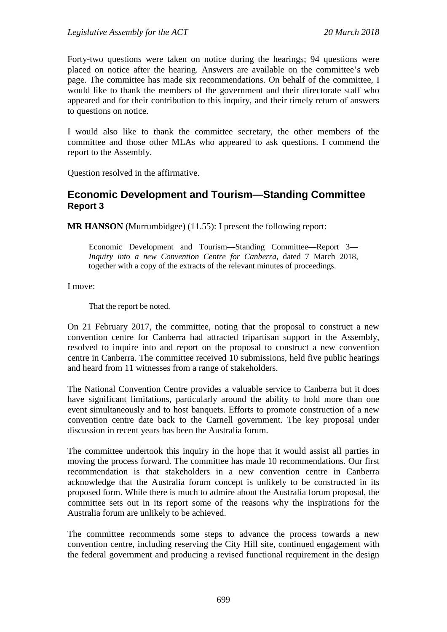Forty-two questions were taken on notice during the hearings; 94 questions were placed on notice after the hearing. Answers are available on the committee's web page. The committee has made six recommendations. On behalf of the committee, I would like to thank the members of the government and their directorate staff who appeared and for their contribution to this inquiry, and their timely return of answers to questions on notice.

I would also like to thank the committee secretary, the other members of the committee and those other MLAs who appeared to ask questions. I commend the report to the Assembly.

Question resolved in the affirmative.

# **Economic Development and Tourism—Standing Committee Report 3**

**MR HANSON** (Murrumbidgee) (11.55): I present the following report:

Economic Development and Tourism—Standing Committee—Report 3— *Inquiry into a new Convention Centre for Canberra,* dated 7 March 2018, together with a copy of the extracts of the relevant minutes of proceedings.

I move:

That the report be noted.

On 21 February 2017, the committee, noting that the proposal to construct a new convention centre for Canberra had attracted tripartisan support in the Assembly, resolved to inquire into and report on the proposal to construct a new convention centre in Canberra. The committee received 10 submissions, held five public hearings and heard from 11 witnesses from a range of stakeholders.

The National Convention Centre provides a valuable service to Canberra but it does have significant limitations, particularly around the ability to hold more than one event simultaneously and to host banquets. Efforts to promote construction of a new convention centre date back to the Carnell government. The key proposal under discussion in recent years has been the Australia forum.

The committee undertook this inquiry in the hope that it would assist all parties in moving the process forward. The committee has made 10 recommendations. Our first recommendation is that stakeholders in a new convention centre in Canberra acknowledge that the Australia forum concept is unlikely to be constructed in its proposed form. While there is much to admire about the Australia forum proposal, the committee sets out in its report some of the reasons why the inspirations for the Australia forum are unlikely to be achieved.

The committee recommends some steps to advance the process towards a new convention centre, including reserving the City Hill site, continued engagement with the federal government and producing a revised functional requirement in the design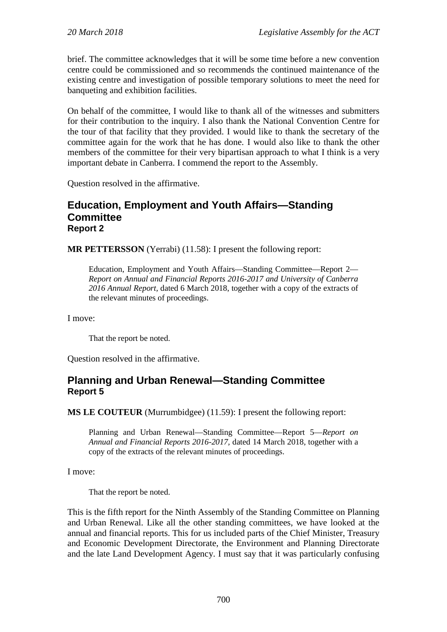brief. The committee acknowledges that it will be some time before a new convention centre could be commissioned and so recommends the continued maintenance of the existing centre and investigation of possible temporary solutions to meet the need for banqueting and exhibition facilities.

On behalf of the committee, I would like to thank all of the witnesses and submitters for their contribution to the inquiry. I also thank the National Convention Centre for the tour of that facility that they provided. I would like to thank the secretary of the committee again for the work that he has done. I would also like to thank the other members of the committee for their very bipartisan approach to what I think is a very important debate in Canberra. I commend the report to the Assembly.

Question resolved in the affirmative.

## **Education, Employment and Youth Affairs—Standing Committee Report 2**

**MR PETTERSSON** (Yerrabi) (11.58): I present the following report:

Education, Employment and Youth Affairs—Standing Committee—Report 2— *Report on Annual and Financial Reports 2016-2017 and University of Canberra 2016 Annual Report,* dated 6 March 2018, together with a copy of the extracts of the relevant minutes of proceedings.

I move:

That the report be noted.

Question resolved in the affirmative.

# **Planning and Urban Renewal—Standing Committee Report 5**

**MS LE COUTEUR** (Murrumbidgee) (11.59): I present the following report:

Planning and Urban Renewal—Standing Committee—Report 5—*Report on Annual and Financial Reports 2016-2017,* dated 14 March 2018, together with a copy of the extracts of the relevant minutes of proceedings.

I move:

That the report be noted.

This is the fifth report for the Ninth Assembly of the Standing Committee on Planning and Urban Renewal. Like all the other standing committees, we have looked at the annual and financial reports. This for us included parts of the Chief Minister, Treasury and Economic Development Directorate, the Environment and Planning Directorate and the late Land Development Agency. I must say that it was particularly confusing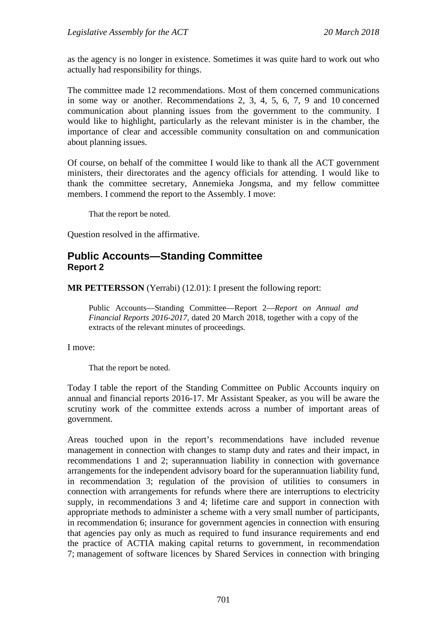as the agency is no longer in existence. Sometimes it was quite hard to work out who actually had responsibility for things.

The committee made 12 recommendations. Most of them concerned communications in some way or another. Recommendations 2, 3, 4, 5, 6, 7, 9 and 10 concerned communication about planning issues from the government to the community. I would like to highlight, particularly as the relevant minister is in the chamber, the importance of clear and accessible community consultation on and communication about planning issues.

Of course, on behalf of the committee I would like to thank all the ACT government ministers, their directorates and the agency officials for attending. I would like to thank the committee secretary, Annemieka Jongsma, and my fellow committee members. I commend the report to the Assembly. I move:

That the report be noted.

Question resolved in the affirmative.

# **Public Accounts—Standing Committee Report 2**

**MR PETTERSSON** (Yerrabi) (12.01): I present the following report:

Public Accounts—Standing Committee—Report 2—*Report on Annual and Financial Reports 2016-2017,* dated 20 March 2018, together with a copy of the extracts of the relevant minutes of proceedings.

I move:

That the report be noted.

Today I table the report of the Standing Committee on Public Accounts inquiry on annual and financial reports 2016-17. Mr Assistant Speaker, as you will be aware the scrutiny work of the committee extends across a number of important areas of government.

Areas touched upon in the report's recommendations have included revenue management in connection with changes to stamp duty and rates and their impact, in recommendations 1 and 2; superannuation liability in connection with governance arrangements for the independent advisory board for the superannuation liability fund, in recommendation 3; regulation of the provision of utilities to consumers in connection with arrangements for refunds where there are interruptions to electricity supply, in recommendations 3 and 4; lifetime care and support in connection with appropriate methods to administer a scheme with a very small number of participants, in recommendation 6; insurance for government agencies in connection with ensuring that agencies pay only as much as required to fund insurance requirements and end the practice of ACTIA making capital returns to government, in recommendation 7; management of software licences by Shared Services in connection with bringing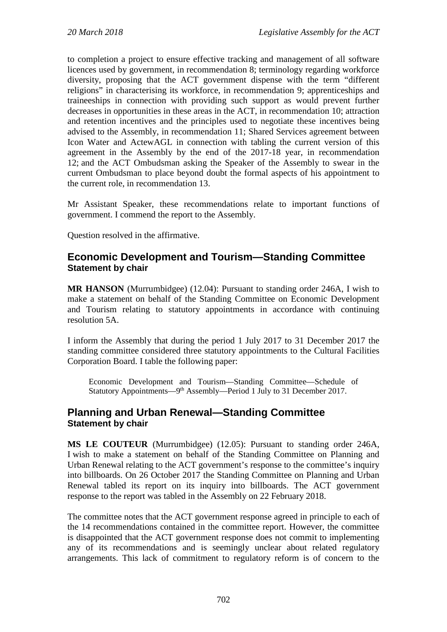to completion a project to ensure effective tracking and management of all software licences used by government, in recommendation 8; terminology regarding workforce diversity, proposing that the ACT government dispense with the term "different religions" in characterising its workforce, in recommendation 9; apprenticeships and traineeships in connection with providing such support as would prevent further decreases in opportunities in these areas in the ACT, in recommendation 10; attraction and retention incentives and the principles used to negotiate these incentives being advised to the Assembly, in recommendation 11; Shared Services agreement between Icon Water and ActewAGL in connection with tabling the current version of this agreement in the Assembly by the end of the 2017-18 year, in recommendation 12; and the ACT Ombudsman asking the Speaker of the Assembly to swear in the current Ombudsman to place beyond doubt the formal aspects of his appointment to the current role, in recommendation 13.

Mr Assistant Speaker, these recommendations relate to important functions of government. I commend the report to the Assembly.

Question resolved in the affirmative.

# **Economic Development and Tourism—Standing Committee Statement by chair**

**MR HANSON** (Murrumbidgee) (12.04): Pursuant to standing order 246A, I wish to make a statement on behalf of the Standing Committee on Economic Development and Tourism relating to statutory appointments in accordance with continuing resolution 5A.

I inform the Assembly that during the period 1 July 2017 to 31 December 2017 the standing committee considered three statutory appointments to the Cultural Facilities Corporation Board. I table the following paper:

Economic Development and Tourism—Standing Committee—Schedule of Statutory Appointments—9<sup>th</sup> Assembly—Period 1 July to 31 December 2017.

# **Planning and Urban Renewal—Standing Committee Statement by chair**

**MS LE COUTEUR** (Murrumbidgee) (12.05): Pursuant to standing order 246A, I wish to make a statement on behalf of the Standing Committee on Planning and Urban Renewal relating to the ACT government's response to the committee's inquiry into billboards. On 26 October 2017 the Standing Committee on Planning and Urban Renewal tabled its report on its inquiry into billboards. The ACT government response to the report was tabled in the Assembly on 22 February 2018.

The committee notes that the ACT government response agreed in principle to each of the 14 recommendations contained in the committee report. However, the committee is disappointed that the ACT government response does not commit to implementing any of its recommendations and is seemingly unclear about related regulatory arrangements. This lack of commitment to regulatory reform is of concern to the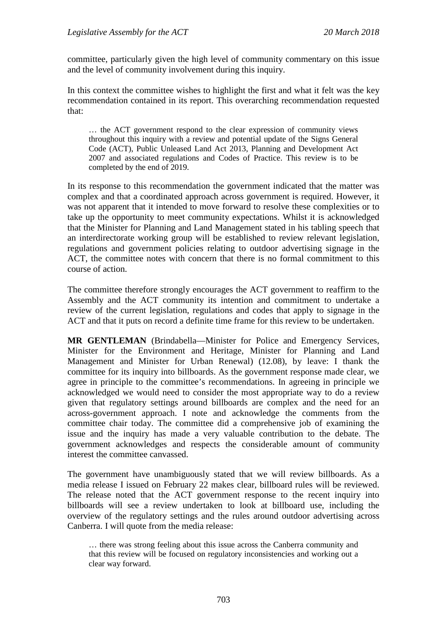committee, particularly given the high level of community commentary on this issue and the level of community involvement during this inquiry.

In this context the committee wishes to highlight the first and what it felt was the key recommendation contained in its report. This overarching recommendation requested that:

… the ACT government respond to the clear expression of community views throughout this inquiry with a review and potential update of the Signs General Code (ACT), Public Unleased Land Act 2013, Planning and Development Act 2007 and associated regulations and Codes of Practice. This review is to be completed by the end of 2019.

In its response to this recommendation the government indicated that the matter was complex and that a coordinated approach across government is required. However, it was not apparent that it intended to move forward to resolve these complexities or to take up the opportunity to meet community expectations. Whilst it is acknowledged that the Minister for Planning and Land Management stated in his tabling speech that an interdirectorate working group will be established to review relevant legislation, regulations and government policies relating to outdoor advertising signage in the ACT, the committee notes with concern that there is no formal commitment to this course of action.

The committee therefore strongly encourages the ACT government to reaffirm to the Assembly and the ACT community its intention and commitment to undertake a review of the current legislation, regulations and codes that apply to signage in the ACT and that it puts on record a definite time frame for this review to be undertaken.

**MR GENTLEMAN** (Brindabella—Minister for Police and Emergency Services, Minister for the Environment and Heritage, Minister for Planning and Land Management and Minister for Urban Renewal) (12.08), by leave: I thank the committee for its inquiry into billboards. As the government response made clear, we agree in principle to the committee's recommendations. In agreeing in principle we acknowledged we would need to consider the most appropriate way to do a review given that regulatory settings around billboards are complex and the need for an across-government approach. I note and acknowledge the comments from the committee chair today. The committee did a comprehensive job of examining the issue and the inquiry has made a very valuable contribution to the debate. The government acknowledges and respects the considerable amount of community interest the committee canvassed.

The government have unambiguously stated that we will review billboards. As a media release I issued on February 22 makes clear, billboard rules will be reviewed. The release noted that the ACT government response to the recent inquiry into billboards will see a review undertaken to look at billboard use, including the overview of the regulatory settings and the rules around outdoor advertising across Canberra. I will quote from the media release:

<sup>…</sup> there was strong feeling about this issue across the Canberra community and that this review will be focused on regulatory inconsistencies and working out a clear way forward.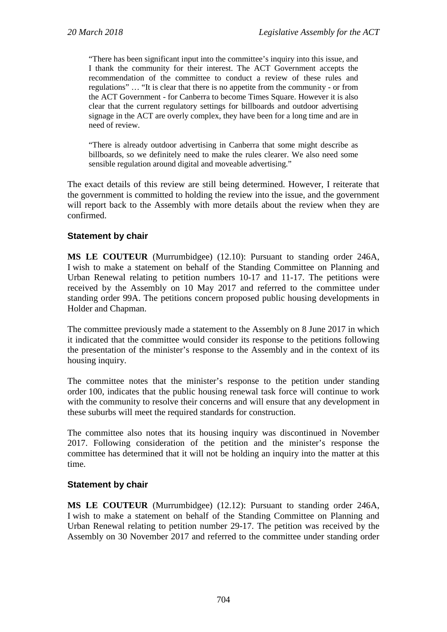"There has been significant input into the committee's inquiry into this issue, and I thank the community for their interest. The ACT Government accepts the recommendation of the committee to conduct a review of these rules and regulations" … "It is clear that there is no appetite from the community - or from the ACT Government - for Canberra to become Times Square. However it is also clear that the current regulatory settings for billboards and outdoor advertising signage in the ACT are overly complex, they have been for a long time and are in need of review.

"There is already outdoor advertising in Canberra that some might describe as billboards, so we definitely need to make the rules clearer. We also need some sensible regulation around digital and moveable advertising."

The exact details of this review are still being determined. However, I reiterate that the government is committed to holding the review into the issue, and the government will report back to the Assembly with more details about the review when they are confirmed.

## **Statement by chair**

**MS LE COUTEUR** (Murrumbidgee) (12.10): Pursuant to standing order 246A, I wish to make a statement on behalf of the Standing Committee on Planning and Urban Renewal relating to petition numbers 10-17 and 11-17. The petitions were received by the Assembly on 10 May 2017 and referred to the committee under standing order 99A. The petitions concern proposed public housing developments in Holder and Chapman.

The committee previously made a statement to the Assembly on 8 June 2017 in which it indicated that the committee would consider its response to the petitions following the presentation of the minister's response to the Assembly and in the context of its housing inquiry.

The committee notes that the minister's response to the petition under standing order 100, indicates that the public housing renewal task force will continue to work with the community to resolve their concerns and will ensure that any development in these suburbs will meet the required standards for construction.

The committee also notes that its housing inquiry was discontinued in November 2017. Following consideration of the petition and the minister's response the committee has determined that it will not be holding an inquiry into the matter at this time.

## **Statement by chair**

**MS LE COUTEUR** (Murrumbidgee) (12.12): Pursuant to standing order 246A, I wish to make a statement on behalf of the Standing Committee on Planning and Urban Renewal relating to petition number 29-17. The petition was received by the Assembly on 30 November 2017 and referred to the committee under standing order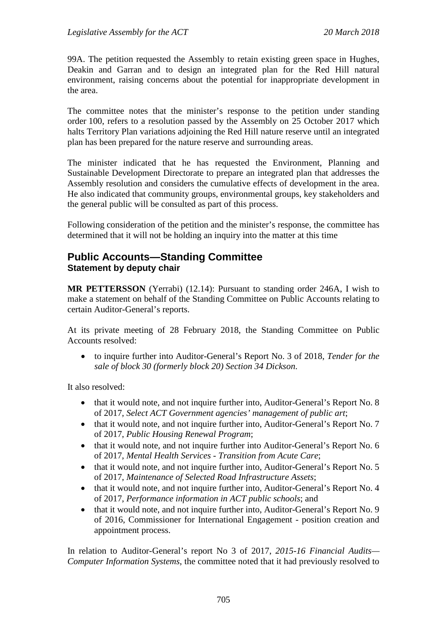99A. The petition requested the Assembly to retain existing green space in Hughes, Deakin and Garran and to design an integrated plan for the Red Hill natural environment, raising concerns about the potential for inappropriate development in the area.

The committee notes that the minister's response to the petition under standing order 100, refers to a resolution passed by the Assembly on 25 October 2017 which halts Territory Plan variations adjoining the Red Hill nature reserve until an integrated plan has been prepared for the nature reserve and surrounding areas.

The minister indicated that he has requested the Environment, Planning and Sustainable Development Directorate to prepare an integrated plan that addresses the Assembly resolution and considers the cumulative effects of development in the area. He also indicated that community groups, environmental groups, key stakeholders and the general public will be consulted as part of this process.

Following consideration of the petition and the minister's response, the committee has determined that it will not be holding an inquiry into the matter at this time

# **Public Accounts—Standing Committee Statement by deputy chair**

**MR PETTERSSON** (Yerrabi) (12.14): Pursuant to standing order 246A, I wish to make a statement on behalf of the Standing Committee on Public Accounts relating to certain Auditor-General's reports.

At its private meeting of 28 February 2018, the Standing Committee on Public Accounts resolved:

• to inquire further into Auditor-General's Report No. 3 of 2018, *Tender for the sale of block 30 (formerly block 20) Section 34 Dickson*.

It also resolved:

- that it would note, and not inquire further into, Auditor-General's Report No. 8 of 2017, *Select ACT Government agencies' management of public art*;
- that it would note, and not inquire further into, Auditor-General's Report No. 7 of 2017, *Public Housing Renewal Program*;
- that it would note, and not inquire further into Auditor-General's Report No. 6 of 2017, *Mental Health Services - Transition from Acute Care*;
- that it would note, and not inquire further into, Auditor-General's Report No. 5 of 2017, *Maintenance of Selected Road Infrastructure Assets*;
- that it would note, and not inquire further into, Auditor-General's Report No. 4 of 2017, *Performance information in ACT public schools*; and
- that it would note, and not inquire further into, Auditor-General's Report No. 9 of 2016, Commissioner for International Engagement - position creation and appointment process.

In relation to Auditor-General's report No 3 of 2017, *2015-16 Financial Audits— Computer Information Systems*, the committee noted that it had previously resolved to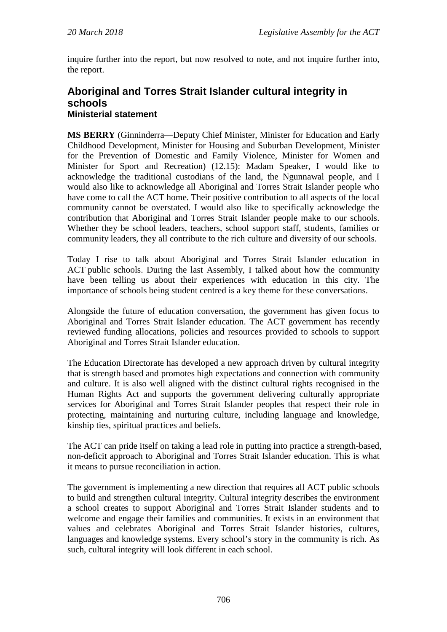inquire further into the report, but now resolved to note, and not inquire further into, the report.

# **Aboriginal and Torres Strait Islander cultural integrity in schools Ministerial statement**

**MS BERRY** (Ginninderra—Deputy Chief Minister, Minister for Education and Early Childhood Development, Minister for Housing and Suburban Development, Minister for the Prevention of Domestic and Family Violence, Minister for Women and Minister for Sport and Recreation) (12.15): Madam Speaker, I would like to acknowledge the traditional custodians of the land, the Ngunnawal people, and I would also like to acknowledge all Aboriginal and Torres Strait Islander people who have come to call the ACT home. Their positive contribution to all aspects of the local community cannot be overstated. I would also like to specifically acknowledge the contribution that Aboriginal and Torres Strait Islander people make to our schools. Whether they be school leaders, teachers, school support staff, students, families or community leaders, they all contribute to the rich culture and diversity of our schools.

Today I rise to talk about Aboriginal and Torres Strait Islander education in ACT public schools. During the last Assembly, I talked about how the community have been telling us about their experiences with education in this city. The importance of schools being student centred is a key theme for these conversations.

Alongside the future of education conversation, the government has given focus to Aboriginal and Torres Strait Islander education. The ACT government has recently reviewed funding allocations, policies and resources provided to schools to support Aboriginal and Torres Strait Islander education.

The Education Directorate has developed a new approach driven by cultural integrity that is strength based and promotes high expectations and connection with community and culture. It is also well aligned with the distinct cultural rights recognised in the Human Rights Act and supports the government delivering culturally appropriate services for Aboriginal and Torres Strait Islander peoples that respect their role in protecting, maintaining and nurturing culture, including language and knowledge, kinship ties, spiritual practices and beliefs.

The ACT can pride itself on taking a lead role in putting into practice a strength-based, non-deficit approach to Aboriginal and Torres Strait Islander education. This is what it means to pursue reconciliation in action.

The government is implementing a new direction that requires all ACT public schools to build and strengthen cultural integrity. Cultural integrity describes the environment a school creates to support Aboriginal and Torres Strait Islander students and to welcome and engage their families and communities. It exists in an environment that values and celebrates Aboriginal and Torres Strait Islander histories, cultures, languages and knowledge systems. Every school's story in the community is rich. As such, cultural integrity will look different in each school.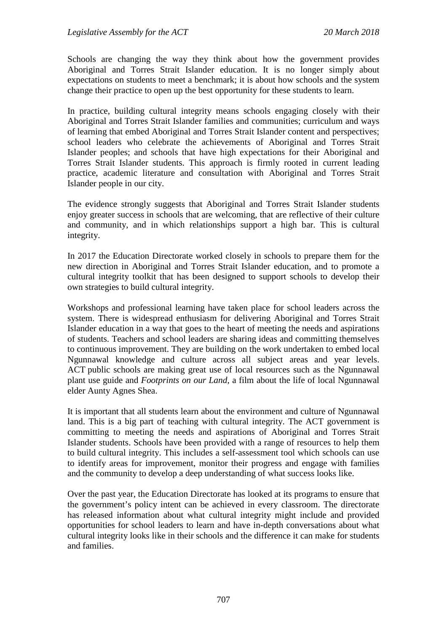Schools are changing the way they think about how the government provides Aboriginal and Torres Strait Islander education. It is no longer simply about expectations on students to meet a benchmark; it is about how schools and the system change their practice to open up the best opportunity for these students to learn.

In practice, building cultural integrity means schools engaging closely with their Aboriginal and Torres Strait Islander families and communities; curriculum and ways of learning that embed Aboriginal and Torres Strait Islander content and perspectives; school leaders who celebrate the achievements of Aboriginal and Torres Strait Islander peoples; and schools that have high expectations for their Aboriginal and Torres Strait Islander students. This approach is firmly rooted in current leading practice, academic literature and consultation with Aboriginal and Torres Strait Islander people in our city.

The evidence strongly suggests that Aboriginal and Torres Strait Islander students enjoy greater success in schools that are welcoming, that are reflective of their culture and community, and in which relationships support a high bar. This is cultural integrity.

In 2017 the Education Directorate worked closely in schools to prepare them for the new direction in Aboriginal and Torres Strait Islander education, and to promote a cultural integrity toolkit that has been designed to support schools to develop their own strategies to build cultural integrity.

Workshops and professional learning have taken place for school leaders across the system. There is widespread enthusiasm for delivering Aboriginal and Torres Strait Islander education in a way that goes to the heart of meeting the needs and aspirations of students. Teachers and school leaders are sharing ideas and committing themselves to continuous improvement. They are building on the work undertaken to embed local Ngunnawal knowledge and culture across all subject areas and year levels. ACT public schools are making great use of local resources such as the Ngunnawal plant use guide and *Footprints on our Land*, a film about the life of local Ngunnawal elder Aunty Agnes Shea.

It is important that all students learn about the environment and culture of Ngunnawal land. This is a big part of teaching with cultural integrity. The ACT government is committing to meeting the needs and aspirations of Aboriginal and Torres Strait Islander students. Schools have been provided with a range of resources to help them to build cultural integrity. This includes a self-assessment tool which schools can use to identify areas for improvement, monitor their progress and engage with families and the community to develop a deep understanding of what success looks like.

Over the past year, the Education Directorate has looked at its programs to ensure that the government's policy intent can be achieved in every classroom. The directorate has released information about what cultural integrity might include and provided opportunities for school leaders to learn and have in-depth conversations about what cultural integrity looks like in their schools and the difference it can make for students and families.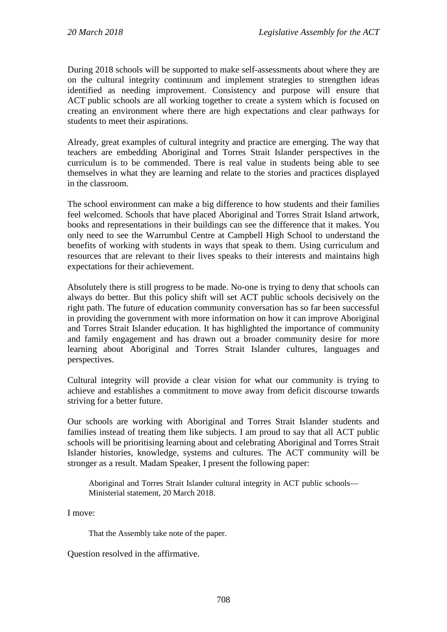During 2018 schools will be supported to make self-assessments about where they are on the cultural integrity continuum and implement strategies to strengthen ideas identified as needing improvement. Consistency and purpose will ensure that ACT public schools are all working together to create a system which is focused on creating an environment where there are high expectations and clear pathways for students to meet their aspirations.

Already, great examples of cultural integrity and practice are emerging. The way that teachers are embedding Aboriginal and Torres Strait Islander perspectives in the curriculum is to be commended. There is real value in students being able to see themselves in what they are learning and relate to the stories and practices displayed in the classroom.

The school environment can make a big difference to how students and their families feel welcomed. Schools that have placed Aboriginal and Torres Strait Island artwork, books and representations in their buildings can see the difference that it makes. You only need to see the Warrumbul Centre at Campbell High School to understand the benefits of working with students in ways that speak to them. Using curriculum and resources that are relevant to their lives speaks to their interests and maintains high expectations for their achievement.

Absolutely there is still progress to be made. No-one is trying to deny that schools can always do better. But this policy shift will set ACT public schools decisively on the right path. The future of education community conversation has so far been successful in providing the government with more information on how it can improve Aboriginal and Torres Strait Islander education. It has highlighted the importance of community and family engagement and has drawn out a broader community desire for more learning about Aboriginal and Torres Strait Islander cultures, languages and perspectives.

Cultural integrity will provide a clear vision for what our community is trying to achieve and establishes a commitment to move away from deficit discourse towards striving for a better future.

Our schools are working with Aboriginal and Torres Strait Islander students and families instead of treating them like subjects. I am proud to say that all ACT public schools will be prioritising learning about and celebrating Aboriginal and Torres Strait Islander histories, knowledge, systems and cultures. The ACT community will be stronger as a result. Madam Speaker, I present the following paper:

Aboriginal and Torres Strait Islander cultural integrity in ACT public schools— Ministerial statement, 20 March 2018.

I move:

That the Assembly take note of the paper.

Question resolved in the affirmative.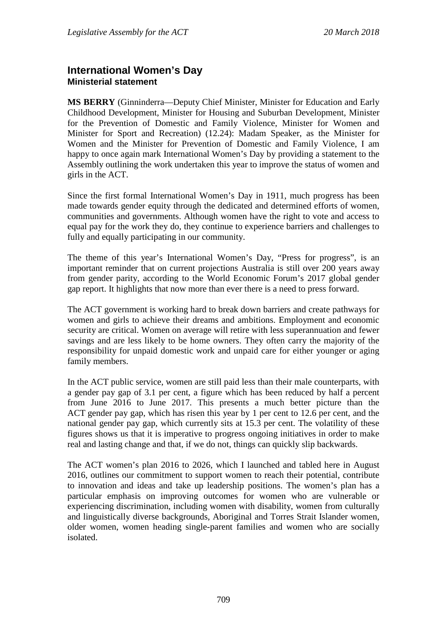# **International Women's Day Ministerial statement**

**MS BERRY** (Ginninderra—Deputy Chief Minister, Minister for Education and Early Childhood Development, Minister for Housing and Suburban Development, Minister for the Prevention of Domestic and Family Violence, Minister for Women and Minister for Sport and Recreation) (12.24): Madam Speaker, as the Minister for Women and the Minister for Prevention of Domestic and Family Violence, I am happy to once again mark International Women's Day by providing a statement to the Assembly outlining the work undertaken this year to improve the status of women and girls in the ACT.

Since the first formal International Women's Day in 1911, much progress has been made towards gender equity through the dedicated and determined efforts of women, communities and governments. Although women have the right to vote and access to equal pay for the work they do, they continue to experience barriers and challenges to fully and equally participating in our community.

The theme of this year's International Women's Day, "Press for progress", is an important reminder that on current projections Australia is still over 200 years away from gender parity, according to the World Economic Forum's 2017 global gender gap report. It highlights that now more than ever there is a need to press forward.

The ACT government is working hard to break down barriers and create pathways for women and girls to achieve their dreams and ambitions. Employment and economic security are critical. Women on average will retire with less superannuation and fewer savings and are less likely to be home owners. They often carry the majority of the responsibility for unpaid domestic work and unpaid care for either younger or aging family members.

In the ACT public service, women are still paid less than their male counterparts, with a gender pay gap of 3.1 per cent, a figure which has been reduced by half a percent from June 2016 to June 2017. This presents a much better picture than the ACT gender pay gap, which has risen this year by 1 per cent to 12.6 per cent, and the national gender pay gap, which currently sits at 15.3 per cent. The volatility of these figures shows us that it is imperative to progress ongoing initiatives in order to make real and lasting change and that, if we do not, things can quickly slip backwards.

The ACT women's plan 2016 to 2026, which I launched and tabled here in August 2016, outlines our commitment to support women to reach their potential, contribute to innovation and ideas and take up leadership positions. The women's plan has a particular emphasis on improving outcomes for women who are vulnerable or experiencing discrimination, including women with disability, women from culturally and linguistically diverse backgrounds, Aboriginal and Torres Strait Islander women, older women, women heading single-parent families and women who are socially isolated.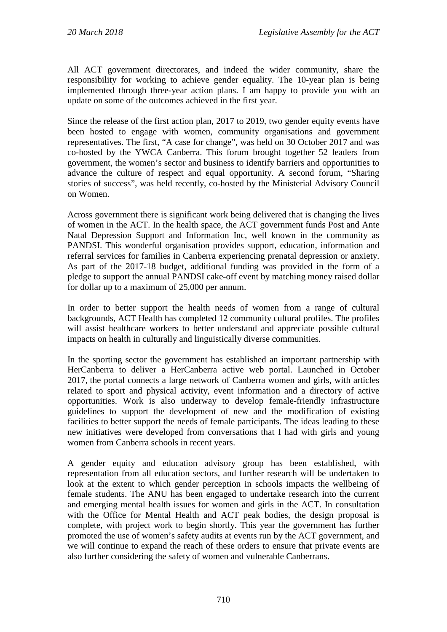All ACT government directorates, and indeed the wider community, share the responsibility for working to achieve gender equality. The 10-year plan is being implemented through three-year action plans. I am happy to provide you with an update on some of the outcomes achieved in the first year.

Since the release of the first action plan, 2017 to 2019, two gender equity events have been hosted to engage with women, community organisations and government representatives. The first, "A case for change", was held on 30 October 2017 and was co-hosted by the YWCA Canberra. This forum brought together 52 leaders from government, the women's sector and business to identify barriers and opportunities to advance the culture of respect and equal opportunity. A second forum, "Sharing stories of success", was held recently, co-hosted by the Ministerial Advisory Council on Women.

Across government there is significant work being delivered that is changing the lives of women in the ACT. In the health space, the ACT government funds Post and Ante Natal Depression Support and Information Inc, well known in the community as PANDSI. This wonderful organisation provides support, education, information and referral services for families in Canberra experiencing prenatal depression or anxiety. As part of the 2017-18 budget, additional funding was provided in the form of a pledge to support the annual PANDSI cake-off event by matching money raised dollar for dollar up to a maximum of 25,000 per annum.

In order to better support the health needs of women from a range of cultural backgrounds, ACT Health has completed 12 community cultural profiles. The profiles will assist healthcare workers to better understand and appreciate possible cultural impacts on health in culturally and linguistically diverse communities.

In the sporting sector the government has established an important partnership with HerCanberra to deliver a HerCanberra active web portal. Launched in October 2017, the portal connects a large network of Canberra women and girls, with articles related to sport and physical activity, event information and a directory of active opportunities. Work is also underway to develop female-friendly infrastructure guidelines to support the development of new and the modification of existing facilities to better support the needs of female participants. The ideas leading to these new initiatives were developed from conversations that I had with girls and young women from Canberra schools in recent years.

A gender equity and education advisory group has been established, with representation from all education sectors, and further research will be undertaken to look at the extent to which gender perception in schools impacts the wellbeing of female students. The ANU has been engaged to undertake research into the current and emerging mental health issues for women and girls in the ACT. In consultation with the Office for Mental Health and ACT peak bodies, the design proposal is complete, with project work to begin shortly. This year the government has further promoted the use of women's safety audits at events run by the ACT government, and we will continue to expand the reach of these orders to ensure that private events are also further considering the safety of women and vulnerable Canberrans.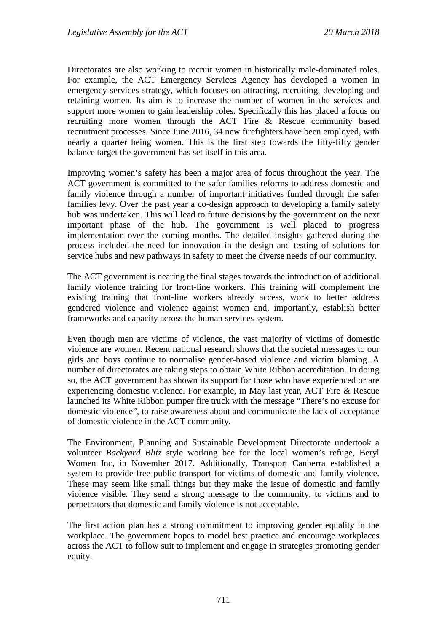Directorates are also working to recruit women in historically male-dominated roles. For example, the ACT Emergency Services Agency has developed a women in emergency services strategy, which focuses on attracting, recruiting, developing and retaining women. Its aim is to increase the number of women in the services and support more women to gain leadership roles. Specifically this has placed a focus on recruiting more women through the ACT Fire & Rescue community based recruitment processes. Since June 2016, 34 new firefighters have been employed, with nearly a quarter being women. This is the first step towards the fifty-fifty gender balance target the government has set itself in this area.

Improving women's safety has been a major area of focus throughout the year. The ACT government is committed to the safer families reforms to address domestic and family violence through a number of important initiatives funded through the safer families levy. Over the past year a co-design approach to developing a family safety hub was undertaken. This will lead to future decisions by the government on the next important phase of the hub. The government is well placed to progress implementation over the coming months. The detailed insights gathered during the process included the need for innovation in the design and testing of solutions for service hubs and new pathways in safety to meet the diverse needs of our community.

The ACT government is nearing the final stages towards the introduction of additional family violence training for front-line workers. This training will complement the existing training that front-line workers already access, work to better address gendered violence and violence against women and, importantly, establish better frameworks and capacity across the human services system.

Even though men are victims of violence, the vast majority of victims of domestic violence are women. Recent national research shows that the societal messages to our girls and boys continue to normalise gender-based violence and victim blaming. A number of directorates are taking steps to obtain White Ribbon accreditation. In doing so, the ACT government has shown its support for those who have experienced or are experiencing domestic violence. For example, in May last year, ACT Fire & Rescue launched its White Ribbon pumper fire truck with the message "There's no excuse for domestic violence", to raise awareness about and communicate the lack of acceptance of domestic violence in the ACT community.

The Environment, Planning and Sustainable Development Directorate undertook a volunteer *Backyard Blitz* style working bee for the local women's refuge, Beryl Women Inc, in November 2017. Additionally, Transport Canberra established a system to provide free public transport for victims of domestic and family violence. These may seem like small things but they make the issue of domestic and family violence visible. They send a strong message to the community, to victims and to perpetrators that domestic and family violence is not acceptable.

The first action plan has a strong commitment to improving gender equality in the workplace. The government hopes to model best practice and encourage workplaces across the ACT to follow suit to implement and engage in strategies promoting gender equity.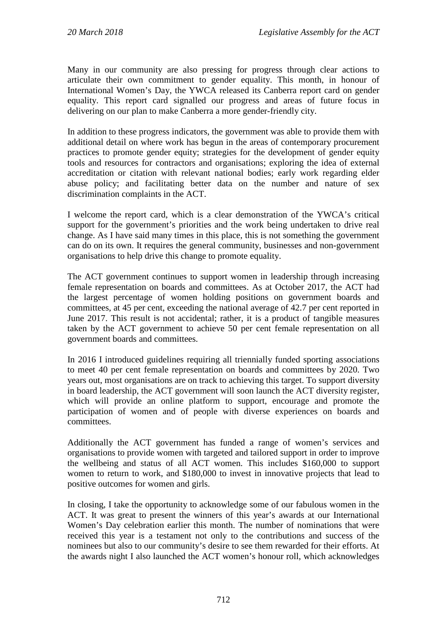Many in our community are also pressing for progress through clear actions to articulate their own commitment to gender equality. This month, in honour of International Women's Day, the YWCA released its Canberra report card on gender equality. This report card signalled our progress and areas of future focus in delivering on our plan to make Canberra a more gender-friendly city.

In addition to these progress indicators, the government was able to provide them with additional detail on where work has begun in the areas of contemporary procurement practices to promote gender equity; strategies for the development of gender equity tools and resources for contractors and organisations; exploring the idea of external accreditation or citation with relevant national bodies; early work regarding elder abuse policy; and facilitating better data on the number and nature of sex discrimination complaints in the ACT.

I welcome the report card, which is a clear demonstration of the YWCA's critical support for the government's priorities and the work being undertaken to drive real change. As I have said many times in this place, this is not something the government can do on its own. It requires the general community, businesses and non-government organisations to help drive this change to promote equality.

The ACT government continues to support women in leadership through increasing female representation on boards and committees. As at October 2017, the ACT had the largest percentage of women holding positions on government boards and committees, at 45 per cent, exceeding the national average of 42.7 per cent reported in June 2017. This result is not accidental; rather, it is a product of tangible measures taken by the ACT government to achieve 50 per cent female representation on all government boards and committees.

In 2016 I introduced guidelines requiring all triennially funded sporting associations to meet 40 per cent female representation on boards and committees by 2020. Two years out, most organisations are on track to achieving this target. To support diversity in board leadership, the ACT government will soon launch the ACT diversity register, which will provide an online platform to support, encourage and promote the participation of women and of people with diverse experiences on boards and committees.

Additionally the ACT government has funded a range of women's services and organisations to provide women with targeted and tailored support in order to improve the wellbeing and status of all ACT women. This includes \$160,000 to support women to return to work, and \$180,000 to invest in innovative projects that lead to positive outcomes for women and girls.

In closing, I take the opportunity to acknowledge some of our fabulous women in the ACT. It was great to present the winners of this year's awards at our International Women's Day celebration earlier this month. The number of nominations that were received this year is a testament not only to the contributions and success of the nominees but also to our community's desire to see them rewarded for their efforts. At the awards night I also launched the ACT women's honour roll, which acknowledges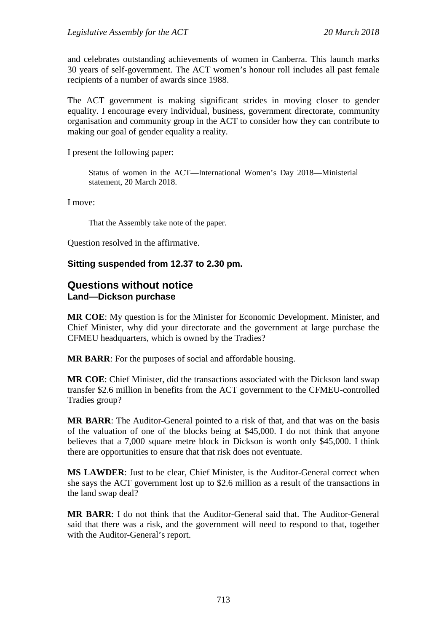and celebrates outstanding achievements of women in Canberra. This launch marks 30 years of self-government. The ACT women's honour roll includes all past female recipients of a number of awards since 1988.

The ACT government is making significant strides in moving closer to gender equality. I encourage every individual, business, government directorate, community organisation and community group in the ACT to consider how they can contribute to making our goal of gender equality a reality.

I present the following paper:

Status of women in the ACT—International Women's Day 2018—Ministerial statement, 20 March 2018.

I move:

That the Assembly take note of the paper.

Question resolved in the affirmative.

#### **Sitting suspended from 12.37 to 2.30 pm.**

#### **Questions without notice Land—Dickson purchase**

**MR COE**: My question is for the Minister for Economic Development. Minister, and Chief Minister, why did your directorate and the government at large purchase the CFMEU headquarters, which is owned by the Tradies?

**MR BARR**: For the purposes of social and affordable housing.

**MR COE**: Chief Minister, did the transactions associated with the Dickson land swap transfer \$2.6 million in benefits from the ACT government to the CFMEU-controlled Tradies group?

**MR BARR**: The Auditor-General pointed to a risk of that, and that was on the basis of the valuation of one of the blocks being at \$45,000. I do not think that anyone believes that a 7,000 square metre block in Dickson is worth only \$45,000. I think there are opportunities to ensure that that risk does not eventuate.

**MS LAWDER**: Just to be clear, Chief Minister, is the Auditor-General correct when she says the ACT government lost up to \$2.6 million as a result of the transactions in the land swap deal?

**MR BARR**: I do not think that the Auditor-General said that. The Auditor-General said that there was a risk, and the government will need to respond to that, together with the Auditor-General's report.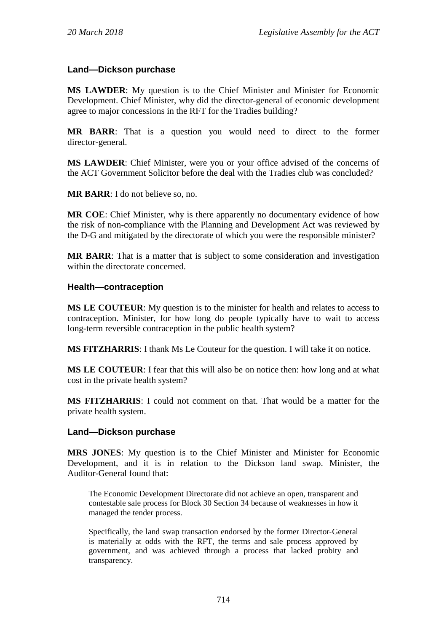## **Land—Dickson purchase**

**MS LAWDER**: My question is to the Chief Minister and Minister for Economic Development. Chief Minister, why did the director-general of economic development agree to major concessions in the RFT for the Tradies building?

**MR BARR**: That is a question you would need to direct to the former director-general.

**MS LAWDER**: Chief Minister, were you or your office advised of the concerns of the ACT Government Solicitor before the deal with the Tradies club was concluded?

**MR BARR**: I do not believe so, no.

**MR COE**: Chief Minister, why is there apparently no documentary evidence of how the risk of non-compliance with the Planning and Development Act was reviewed by the D-G and mitigated by the directorate of which you were the responsible minister?

**MR BARR**: That is a matter that is subject to some consideration and investigation within the directorate concerned.

### **Health—contraception**

**MS LE COUTEUR**: My question is to the minister for health and relates to access to contraception. Minister, for how long do people typically have to wait to access long-term reversible contraception in the public health system?

**MS FITZHARRIS**: I thank Ms Le Couteur for the question. I will take it on notice.

**MS LE COUTEUR**: I fear that this will also be on notice then: how long and at what cost in the private health system?

**MS FITZHARRIS**: I could not comment on that. That would be a matter for the private health system.

#### **Land—Dickson purchase**

**MRS JONES**: My question is to the Chief Minister and Minister for Economic Development, and it is in relation to the Dickson land swap. Minister, the Auditor-General found that:

The Economic Development Directorate did not achieve an open, transparent and contestable sale process for Block 30 Section 34 because of weaknesses in how it managed the tender process.

Specifically, the land swap transaction endorsed by the former Director‐General is materially at odds with the RFT, the terms and sale process approved by government, and was achieved through a process that lacked probity and transparency.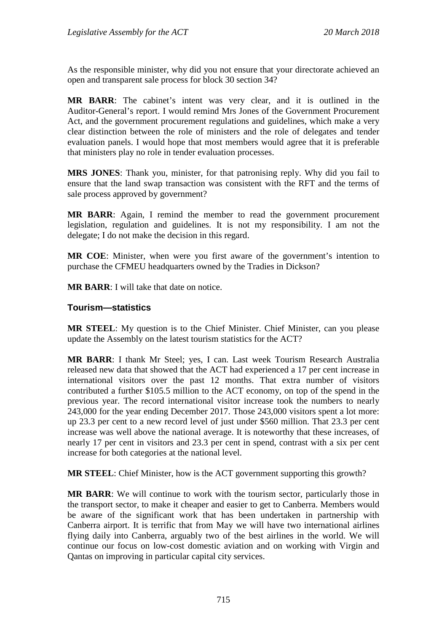As the responsible minister, why did you not ensure that your directorate achieved an open and transparent sale process for block 30 section 34?

**MR BARR**: The cabinet's intent was very clear, and it is outlined in the Auditor-General's report. I would remind Mrs Jones of the Government Procurement Act, and the government procurement regulations and guidelines, which make a very clear distinction between the role of ministers and the role of delegates and tender evaluation panels. I would hope that most members would agree that it is preferable that ministers play no role in tender evaluation processes.

**MRS JONES**: Thank you, minister, for that patronising reply. Why did you fail to ensure that the land swap transaction was consistent with the RFT and the terms of sale process approved by government?

**MR BARR**: Again, I remind the member to read the government procurement legislation, regulation and guidelines. It is not my responsibility. I am not the delegate; I do not make the decision in this regard.

**MR COE**: Minister, when were you first aware of the government's intention to purchase the CFMEU headquarters owned by the Tradies in Dickson?

**MR BARR**: I will take that date on notice.

## **Tourism—statistics**

**MR STEEL**: My question is to the Chief Minister. Chief Minister, can you please update the Assembly on the latest tourism statistics for the ACT?

**MR BARR**: I thank Mr Steel; yes, I can. Last week Tourism Research Australia released new data that showed that the ACT had experienced a 17 per cent increase in international visitors over the past 12 months. That extra number of visitors contributed a further \$105.5 million to the ACT economy, on top of the spend in the previous year. The record international visitor increase took the numbers to nearly 243,000 for the year ending December 2017. Those 243,000 visitors spent a lot more: up 23.3 per cent to a new record level of just under \$560 million. That 23.3 per cent increase was well above the national average. It is noteworthy that these increases, of nearly 17 per cent in visitors and 23.3 per cent in spend, contrast with a six per cent increase for both categories at the national level.

**MR STEEL**: Chief Minister, how is the ACT government supporting this growth?

**MR BARR**: We will continue to work with the tourism sector, particularly those in the transport sector, to make it cheaper and easier to get to Canberra. Members would be aware of the significant work that has been undertaken in partnership with Canberra airport. It is terrific that from May we will have two international airlines flying daily into Canberra, arguably two of the best airlines in the world. We will continue our focus on low-cost domestic aviation and on working with Virgin and Qantas on improving in particular capital city services.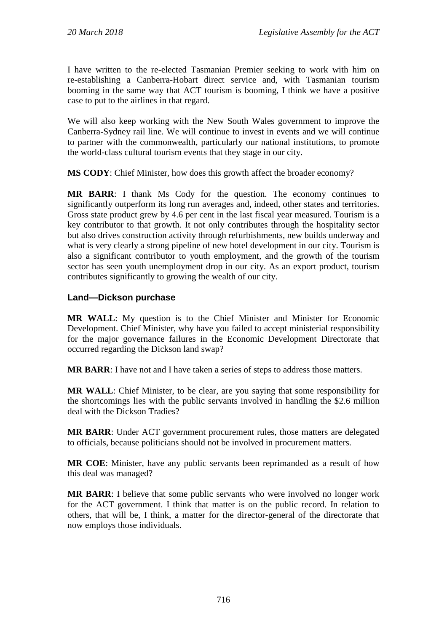I have written to the re-elected Tasmanian Premier seeking to work with him on re-establishing a Canberra-Hobart direct service and, with Tasmanian tourism booming in the same way that ACT tourism is booming, I think we have a positive case to put to the airlines in that regard.

We will also keep working with the New South Wales government to improve the Canberra-Sydney rail line. We will continue to invest in events and we will continue to partner with the commonwealth, particularly our national institutions, to promote the world-class cultural tourism events that they stage in our city.

**MS CODY**: Chief Minister, how does this growth affect the broader economy?

**MR BARR**: I thank Ms Cody for the question. The economy continues to significantly outperform its long run averages and, indeed, other states and territories. Gross state product grew by 4.6 per cent in the last fiscal year measured. Tourism is a key contributor to that growth. It not only contributes through the hospitality sector but also drives construction activity through refurbishments, new builds underway and what is very clearly a strong pipeline of new hotel development in our city. Tourism is also a significant contributor to youth employment, and the growth of the tourism sector has seen youth unemployment drop in our city. As an export product, tourism contributes significantly to growing the wealth of our city.

## **Land—Dickson purchase**

**MR WALL**: My question is to the Chief Minister and Minister for Economic Development. Chief Minister, why have you failed to accept ministerial responsibility for the major governance failures in the Economic Development Directorate that occurred regarding the Dickson land swap?

**MR BARR**: I have not and I have taken a series of steps to address those matters.

**MR WALL**: Chief Minister, to be clear, are you saying that some responsibility for the shortcomings lies with the public servants involved in handling the \$2.6 million deal with the Dickson Tradies?

**MR BARR**: Under ACT government procurement rules, those matters are delegated to officials, because politicians should not be involved in procurement matters.

**MR COE**: Minister, have any public servants been reprimanded as a result of how this deal was managed?

**MR BARR**: I believe that some public servants who were involved no longer work for the ACT government. I think that matter is on the public record. In relation to others, that will be, I think, a matter for the director-general of the directorate that now employs those individuals.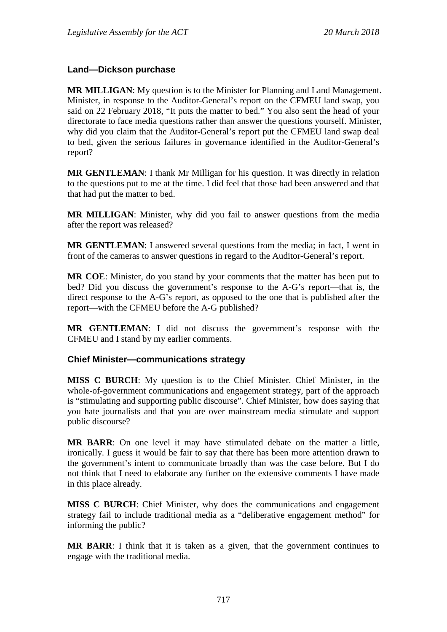## **Land—Dickson purchase**

**MR MILLIGAN**: My question is to the Minister for Planning and Land Management. Minister, in response to the Auditor-General's report on the CFMEU land swap, you said on 22 February 2018, "It puts the matter to bed." You also sent the head of your directorate to face media questions rather than answer the questions yourself. Minister, why did you claim that the Auditor-General's report put the CFMEU land swap deal to bed, given the serious failures in governance identified in the Auditor-General's report?

**MR GENTLEMAN**: I thank Mr Milligan for his question. It was directly in relation to the questions put to me at the time. I did feel that those had been answered and that that had put the matter to bed.

**MR MILLIGAN**: Minister, why did you fail to answer questions from the media after the report was released?

**MR GENTLEMAN**: I answered several questions from the media; in fact, I went in front of the cameras to answer questions in regard to the Auditor-General's report.

**MR COE**: Minister, do you stand by your comments that the matter has been put to bed? Did you discuss the government's response to the A-G's report—that is, the direct response to the A-G's report, as opposed to the one that is published after the report—with the CFMEU before the A-G published?

**MR GENTLEMAN**: I did not discuss the government's response with the CFMEU and I stand by my earlier comments.

## **Chief Minister—communications strategy**

**MISS C BURCH**: My question is to the Chief Minister. Chief Minister, in the whole-of-government communications and engagement strategy, part of the approach is "stimulating and supporting public discourse". Chief Minister, how does saying that you hate journalists and that you are over mainstream media stimulate and support public discourse?

**MR BARR**: On one level it may have stimulated debate on the matter a little, ironically. I guess it would be fair to say that there has been more attention drawn to the government's intent to communicate broadly than was the case before. But I do not think that I need to elaborate any further on the extensive comments I have made in this place already.

**MISS C BURCH**: Chief Minister, why does the communications and engagement strategy fail to include traditional media as a "deliberative engagement method" for informing the public?

**MR BARR**: I think that it is taken as a given, that the government continues to engage with the traditional media.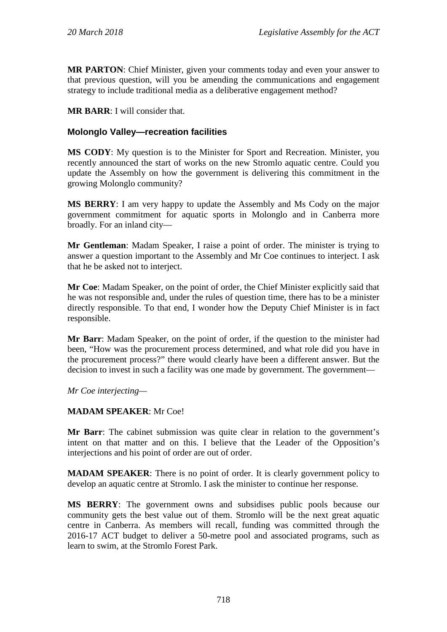**MR PARTON**: Chief Minister, given your comments today and even your answer to that previous question, will you be amending the communications and engagement strategy to include traditional media as a deliberative engagement method?

**MR BARR**: I will consider that.

## **Molonglo Valley—recreation facilities**

**MS CODY**: My question is to the Minister for Sport and Recreation. Minister, you recently announced the start of works on the new Stromlo aquatic centre. Could you update the Assembly on how the government is delivering this commitment in the growing Molonglo community?

**MS BERRY**: I am very happy to update the Assembly and Ms Cody on the major government commitment for aquatic sports in Molonglo and in Canberra more broadly. For an inland city—

**Mr Gentleman**: Madam Speaker, I raise a point of order. The minister is trying to answer a question important to the Assembly and Mr Coe continues to interject. I ask that he be asked not to interject.

**Mr Coe**: Madam Speaker, on the point of order, the Chief Minister explicitly said that he was not responsible and, under the rules of question time, there has to be a minister directly responsible. To that end, I wonder how the Deputy Chief Minister is in fact responsible.

**Mr Barr**: Madam Speaker, on the point of order, if the question to the minister had been, "How was the procurement process determined, and what role did you have in the procurement process?" there would clearly have been a different answer. But the decision to invest in such a facility was one made by government. The government—

*Mr Coe interjecting—*

## **MADAM SPEAKER**: Mr Coe!

**Mr Barr**: The cabinet submission was quite clear in relation to the government's intent on that matter and on this. I believe that the Leader of the Opposition's interjections and his point of order are out of order.

**MADAM SPEAKER**: There is no point of order. It is clearly government policy to develop an aquatic centre at Stromlo. I ask the minister to continue her response.

**MS BERRY**: The government owns and subsidises public pools because our community gets the best value out of them. Stromlo will be the next great aquatic centre in Canberra. As members will recall, funding was committed through the 2016-17 ACT budget to deliver a 50-metre pool and associated programs, such as learn to swim, at the Stromlo Forest Park.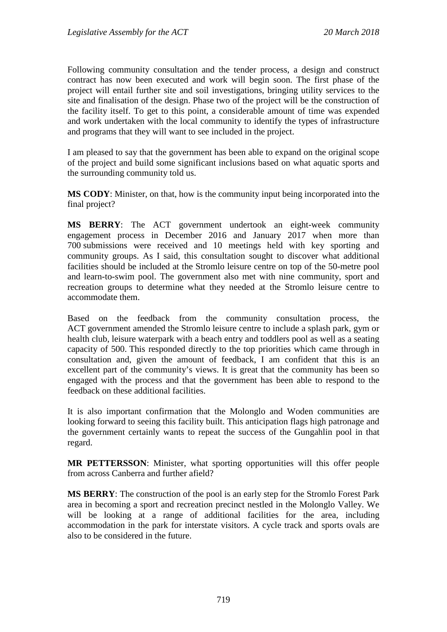Following community consultation and the tender process, a design and construct contract has now been executed and work will begin soon. The first phase of the project will entail further site and soil investigations, bringing utility services to the site and finalisation of the design. Phase two of the project will be the construction of the facility itself. To get to this point, a considerable amount of time was expended and work undertaken with the local community to identify the types of infrastructure and programs that they will want to see included in the project.

I am pleased to say that the government has been able to expand on the original scope of the project and build some significant inclusions based on what aquatic sports and the surrounding community told us.

**MS CODY**: Minister, on that, how is the community input being incorporated into the final project?

**MS BERRY**: The ACT government undertook an eight-week community engagement process in December 2016 and January 2017 when more than 700 submissions were received and 10 meetings held with key sporting and community groups. As I said, this consultation sought to discover what additional facilities should be included at the Stromlo leisure centre on top of the 50-metre pool and learn-to-swim pool. The government also met with nine community, sport and recreation groups to determine what they needed at the Stromlo leisure centre to accommodate them.

Based on the feedback from the community consultation process, the ACT government amended the Stromlo leisure centre to include a splash park, gym or health club, leisure waterpark with a beach entry and toddlers pool as well as a seating capacity of 500. This responded directly to the top priorities which came through in consultation and, given the amount of feedback, I am confident that this is an excellent part of the community's views. It is great that the community has been so engaged with the process and that the government has been able to respond to the feedback on these additional facilities.

It is also important confirmation that the Molonglo and Woden communities are looking forward to seeing this facility built. This anticipation flags high patronage and the government certainly wants to repeat the success of the Gungahlin pool in that regard.

**MR PETTERSSON**: Minister, what sporting opportunities will this offer people from across Canberra and further afield?

**MS BERRY**: The construction of the pool is an early step for the Stromlo Forest Park area in becoming a sport and recreation precinct nestled in the Molonglo Valley. We will be looking at a range of additional facilities for the area, including accommodation in the park for interstate visitors. A cycle track and sports ovals are also to be considered in the future.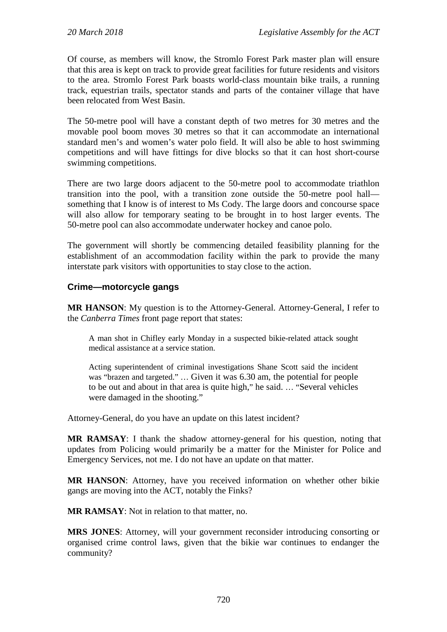Of course, as members will know, the Stromlo Forest Park master plan will ensure that this area is kept on track to provide great facilities for future residents and visitors to the area. Stromlo Forest Park boasts world-class mountain bike trails, a running track, equestrian trails, spectator stands and parts of the container village that have been relocated from West Basin.

The 50-metre pool will have a constant depth of two metres for 30 metres and the movable pool boom moves 30 metres so that it can accommodate an international standard men's and women's water polo field. It will also be able to host swimming competitions and will have fittings for dive blocks so that it can host short-course swimming competitions.

There are two large doors adjacent to the 50-metre pool to accommodate triathlon transition into the pool, with a transition zone outside the 50-metre pool hall something that I know is of interest to Ms Cody. The large doors and concourse space will also allow for temporary seating to be brought in to host larger events. The 50-metre pool can also accommodate underwater hockey and canoe polo.

The government will shortly be commencing detailed feasibility planning for the establishment of an accommodation facility within the park to provide the many interstate park visitors with opportunities to stay close to the action.

## **Crime—motorcycle gangs**

**MR HANSON**: My question is to the Attorney-General. Attorney-General, I refer to the *Canberra Times* front page report that states:

A man shot in Chifley early Monday in a suspected bikie-related attack sought medical assistance at a service station.

Acting superintendent of criminal investigations Shane Scott said the incident was "brazen and targeted." … Given it was 6.30 am, the potential for people to be out and about in that area is quite high," he said. … "Several vehicles were damaged in the shooting."

Attorney-General, do you have an update on this latest incident?

**MR RAMSAY**: I thank the shadow attorney-general for his question, noting that updates from Policing would primarily be a matter for the Minister for Police and Emergency Services, not me. I do not have an update on that matter.

**MR HANSON**: Attorney, have you received information on whether other bikie gangs are moving into the ACT, notably the Finks?

**MR RAMSAY**: Not in relation to that matter, no.

**MRS JONES**: Attorney, will your government reconsider introducing consorting or organised crime control laws, given that the bikie war continues to endanger the community?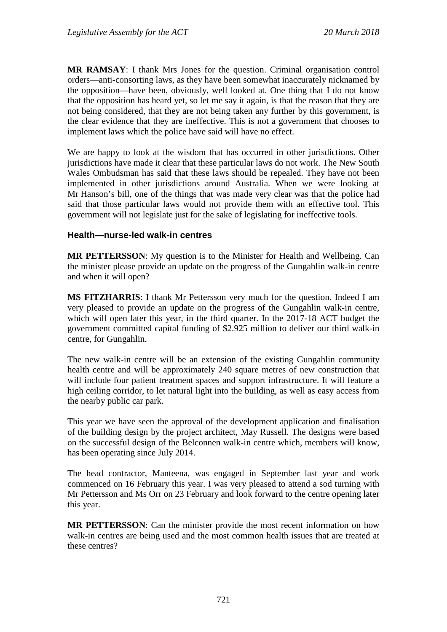**MR RAMSAY**: I thank Mrs Jones for the question. Criminal organisation control orders—anti-consorting laws, as they have been somewhat inaccurately nicknamed by the opposition—have been, obviously, well looked at. One thing that I do not know that the opposition has heard yet, so let me say it again, is that the reason that they are not being considered, that they are not being taken any further by this government, is the clear evidence that they are ineffective. This is not a government that chooses to implement laws which the police have said will have no effect.

We are happy to look at the wisdom that has occurred in other jurisdictions. Other jurisdictions have made it clear that these particular laws do not work. The New South Wales Ombudsman has said that these laws should be repealed. They have not been implemented in other jurisdictions around Australia. When we were looking at Mr Hanson's bill, one of the things that was made very clear was that the police had said that those particular laws would not provide them with an effective tool. This government will not legislate just for the sake of legislating for ineffective tools.

### **Health—nurse-led walk-in centres**

**MR PETTERSSON**: My question is to the Minister for Health and Wellbeing. Can the minister please provide an update on the progress of the Gungahlin walk-in centre and when it will open?

**MS FITZHARRIS**: I thank Mr Pettersson very much for the question. Indeed I am very pleased to provide an update on the progress of the Gungahlin walk-in centre, which will open later this year, in the third quarter. In the 2017-18 ACT budget the government committed capital funding of \$2.925 million to deliver our third walk-in centre, for Gungahlin.

The new walk-in centre will be an extension of the existing Gungahlin community health centre and will be approximately 240 square metres of new construction that will include four patient treatment spaces and support infrastructure. It will feature a high ceiling corridor, to let natural light into the building, as well as easy access from the nearby public car park.

This year we have seen the approval of the development application and finalisation of the building design by the project architect, May Russell. The designs were based on the successful design of the Belconnen walk-in centre which, members will know, has been operating since July 2014.

The head contractor, Manteena, was engaged in September last year and work commenced on 16 February this year. I was very pleased to attend a sod turning with Mr Pettersson and Ms Orr on 23 February and look forward to the centre opening later this year.

**MR PETTERSSON**: Can the minister provide the most recent information on how walk-in centres are being used and the most common health issues that are treated at these centres?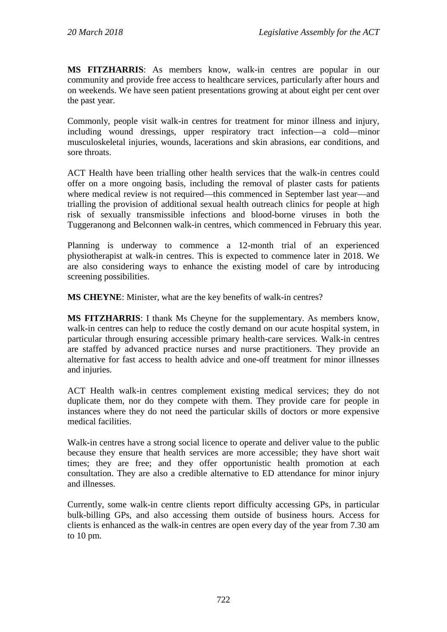**MS FITZHARRIS**: As members know, walk-in centres are popular in our community and provide free access to healthcare services, particularly after hours and on weekends. We have seen patient presentations growing at about eight per cent over the past year.

Commonly, people visit walk-in centres for treatment for minor illness and injury, including wound dressings, upper respiratory tract infection—a cold—minor musculoskeletal injuries, wounds, lacerations and skin abrasions, ear conditions, and sore throats.

ACT Health have been trialling other health services that the walk-in centres could offer on a more ongoing basis, including the removal of plaster casts for patients where medical review is not required—this commenced in September last year—and trialling the provision of additional sexual health outreach clinics for people at high risk of sexually transmissible infections and blood-borne viruses in both the Tuggeranong and Belconnen walk-in centres, which commenced in February this year.

Planning is underway to commence a 12-month trial of an experienced physiotherapist at walk-in centres. This is expected to commence later in 2018. We are also considering ways to enhance the existing model of care by introducing screening possibilities.

**MS CHEYNE**: Minister, what are the key benefits of walk-in centres?

**MS FITZHARRIS**: I thank Ms Cheyne for the supplementary. As members know, walk-in centres can help to reduce the costly demand on our acute hospital system, in particular through ensuring accessible primary health-care services. Walk-in centres are staffed by advanced practice nurses and nurse practitioners. They provide an alternative for fast access to health advice and one-off treatment for minor illnesses and injuries.

ACT Health walk-in centres complement existing medical services; they do not duplicate them, nor do they compete with them. They provide care for people in instances where they do not need the particular skills of doctors or more expensive medical facilities.

Walk-in centres have a strong social licence to operate and deliver value to the public because they ensure that health services are more accessible; they have short wait times; they are free; and they offer opportunistic health promotion at each consultation. They are also a credible alternative to ED attendance for minor injury and illnesses.

Currently, some walk-in centre clients report difficulty accessing GPs, in particular bulk-billing GPs, and also accessing them outside of business hours. Access for clients is enhanced as the walk-in centres are open every day of the year from 7.30 am to 10 pm.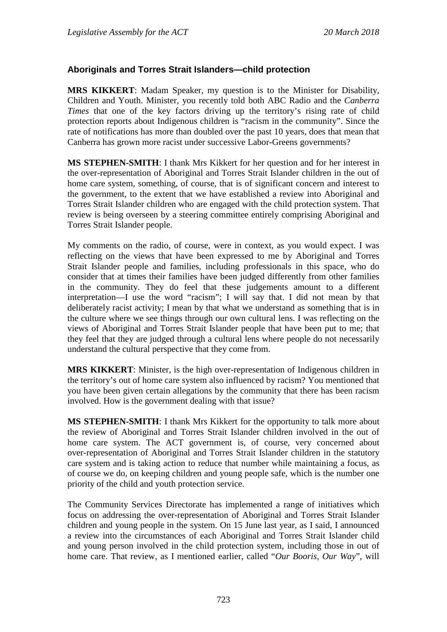## **Aboriginals and Torres Strait Islanders—child protection**

**MRS KIKKERT**: Madam Speaker, my question is to the Minister for Disability, Children and Youth. Minister, you recently told both ABC Radio and the *Canberra Times* that one of the key factors driving up the territory's rising rate of child protection reports about Indigenous children is "racism in the community". Since the rate of notifications has more than doubled over the past 10 years, does that mean that Canberra has grown more racist under successive Labor-Greens governments?

**MS STEPHEN-SMITH**: I thank Mrs Kikkert for her question and for her interest in the over-representation of Aboriginal and Torres Strait Islander children in the out of home care system, something, of course, that is of significant concern and interest to the government, to the extent that we have established a review into Aboriginal and Torres Strait Islander children who are engaged with the child protection system. That review is being overseen by a steering committee entirely comprising Aboriginal and Torres Strait Islander people.

My comments on the radio, of course, were in context, as you would expect. I was reflecting on the views that have been expressed to me by Aboriginal and Torres Strait Islander people and families, including professionals in this space, who do consider that at times their families have been judged differently from other families in the community. They do feel that these judgements amount to a different interpretation—I use the word "racism"; I will say that. I did not mean by that deliberately racist activity; I mean by that what we understand as something that is in the culture where we see things through our own cultural lens. I was reflecting on the views of Aboriginal and Torres Strait Islander people that have been put to me; that they feel that they are judged through a cultural lens where people do not necessarily understand the cultural perspective that they come from.

**MRS KIKKERT**: Minister, is the high over-representation of Indigenous children in the territory's out of home care system also influenced by racism? You mentioned that you have been given certain allegations by the community that there has been racism involved. How is the government dealing with that issue?

**MS STEPHEN-SMITH**: I thank Mrs Kikkert for the opportunity to talk more about the review of Aboriginal and Torres Strait Islander children involved in the out of home care system. The ACT government is, of course, very concerned about over-representation of Aboriginal and Torres Strait Islander children in the statutory care system and is taking action to reduce that number while maintaining a focus, as of course we do, on keeping children and young people safe, which is the number one priority of the child and youth protection service.

The Community Services Directorate has implemented a range of initiatives which focus on addressing the over-representation of Aboriginal and Torres Strait Islander children and young people in the system. On 15 June last year, as I said, I announced a review into the circumstances of each Aboriginal and Torres Strait Islander child and young person involved in the child protection system, including those in out of home care. That review, as I mentioned earlier, called "*Our Booris, Our Way*", will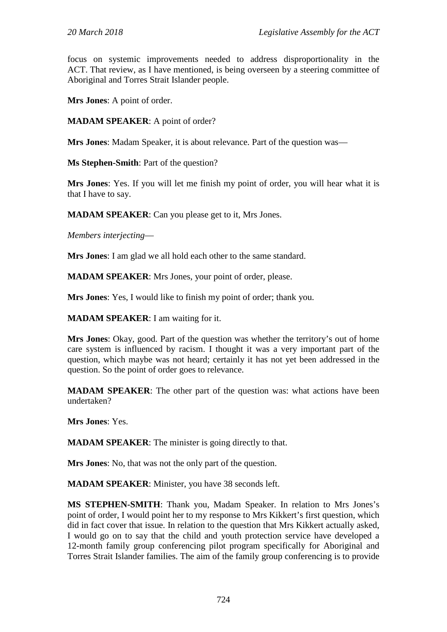focus on systemic improvements needed to address disproportionality in the ACT. That review, as I have mentioned, is being overseen by a steering committee of Aboriginal and Torres Strait Islander people.

**Mrs Jones**: A point of order.

**MADAM SPEAKER**: A point of order?

**Mrs Jones**: Madam Speaker, it is about relevance. Part of the question was—

**Ms Stephen-Smith**: Part of the question?

**Mrs Jones**: Yes. If you will let me finish my point of order, you will hear what it is that I have to say.

**MADAM SPEAKER**: Can you please get to it, Mrs Jones.

*Members interjecting*—

**Mrs Jones**: I am glad we all hold each other to the same standard.

**MADAM SPEAKER**: Mrs Jones, your point of order, please.

**Mrs Jones**: Yes, I would like to finish my point of order; thank you.

**MADAM SPEAKER**: I am waiting for it.

**Mrs Jones**: Okay, good. Part of the question was whether the territory's out of home care system is influenced by racism. I thought it was a very important part of the question, which maybe was not heard; certainly it has not yet been addressed in the question. So the point of order goes to relevance.

**MADAM SPEAKER**: The other part of the question was: what actions have been undertaken?

**Mrs Jones**: Yes.

**MADAM SPEAKER**: The minister is going directly to that.

**Mrs Jones**: No, that was not the only part of the question.

**MADAM SPEAKER**: Minister, you have 38 seconds left.

**MS STEPHEN-SMITH**: Thank you, Madam Speaker. In relation to Mrs Jones's point of order, I would point her to my response to Mrs Kikkert's first question, which did in fact cover that issue. In relation to the question that Mrs Kikkert actually asked, I would go on to say that the child and youth protection service have developed a 12-month family group conferencing pilot program specifically for Aboriginal and Torres Strait Islander families. The aim of the family group conferencing is to provide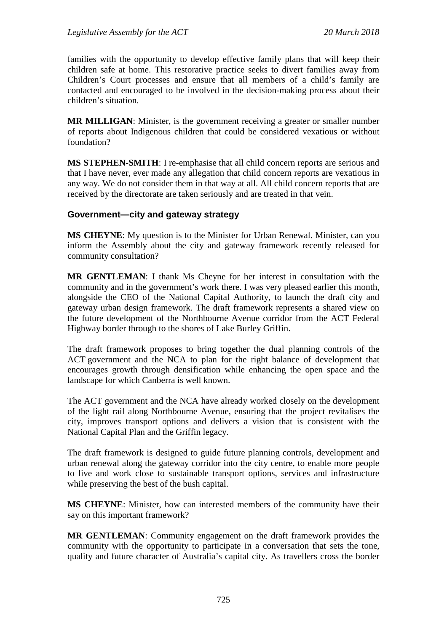families with the opportunity to develop effective family plans that will keep their children safe at home. This restorative practice seeks to divert families away from Children's Court processes and ensure that all members of a child's family are contacted and encouraged to be involved in the decision-making process about their children's situation.

**MR MILLIGAN**: Minister, is the government receiving a greater or smaller number of reports about Indigenous children that could be considered vexatious or without foundation?

**MS STEPHEN-SMITH**: I re-emphasise that all child concern reports are serious and that I have never, ever made any allegation that child concern reports are vexatious in any way. We do not consider them in that way at all. All child concern reports that are received by the directorate are taken seriously and are treated in that vein.

## **Government—city and gateway strategy**

**MS CHEYNE**: My question is to the Minister for Urban Renewal. Minister, can you inform the Assembly about the city and gateway framework recently released for community consultation?

**MR GENTLEMAN**: I thank Ms Cheyne for her interest in consultation with the community and in the government's work there. I was very pleased earlier this month, alongside the CEO of the National Capital Authority, to launch the draft city and gateway urban design framework. The draft framework represents a shared view on the future development of the Northbourne Avenue corridor from the ACT Federal Highway border through to the shores of Lake Burley Griffin.

The draft framework proposes to bring together the dual planning controls of the ACT government and the NCA to plan for the right balance of development that encourages growth through densification while enhancing the open space and the landscape for which Canberra is well known.

The ACT government and the NCA have already worked closely on the development of the light rail along Northbourne Avenue, ensuring that the project revitalises the city, improves transport options and delivers a vision that is consistent with the National Capital Plan and the Griffin legacy.

The draft framework is designed to guide future planning controls, development and urban renewal along the gateway corridor into the city centre, to enable more people to live and work close to sustainable transport options, services and infrastructure while preserving the best of the bush capital.

**MS CHEYNE**: Minister, how can interested members of the community have their say on this important framework?

**MR GENTLEMAN**: Community engagement on the draft framework provides the community with the opportunity to participate in a conversation that sets the tone, quality and future character of Australia's capital city. As travellers cross the border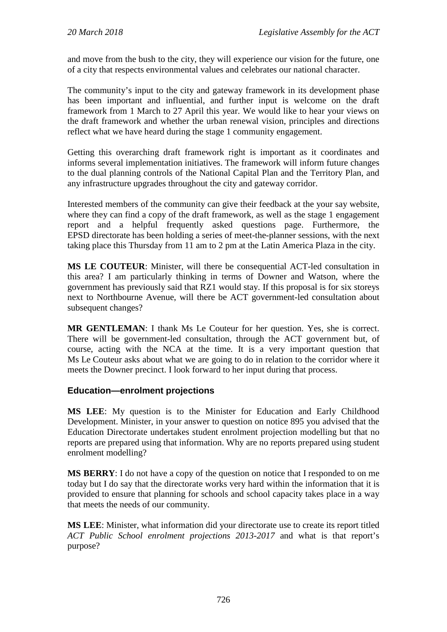and move from the bush to the city, they will experience our vision for the future, one of a city that respects environmental values and celebrates our national character.

The community's input to the city and gateway framework in its development phase has been important and influential, and further input is welcome on the draft framework from 1 March to 27 April this year. We would like to hear your views on the draft framework and whether the urban renewal vision, principles and directions reflect what we have heard during the stage 1 community engagement.

Getting this overarching draft framework right is important as it coordinates and informs several implementation initiatives. The framework will inform future changes to the dual planning controls of the National Capital Plan and the Territory Plan, and any infrastructure upgrades throughout the city and gateway corridor.

Interested members of the community can give their feedback at the your say website, where they can find a copy of the draft framework, as well as the stage 1 engagement report and a helpful frequently asked questions page. Furthermore, the EPSD directorate has been holding a series of meet-the-planner sessions, with the next taking place this Thursday from 11 am to 2 pm at the Latin America Plaza in the city.

**MS LE COUTEUR**: Minister, will there be consequential ACT-led consultation in this area? I am particularly thinking in terms of Downer and Watson, where the government has previously said that RZ1 would stay. If this proposal is for six storeys next to Northbourne Avenue, will there be ACT government-led consultation about subsequent changes?

**MR GENTLEMAN**: I thank Ms Le Couteur for her question. Yes, she is correct. There will be government-led consultation, through the ACT government but, of course, acting with the NCA at the time. It is a very important question that Ms Le Couteur asks about what we are going to do in relation to the corridor where it meets the Downer precinct. I look forward to her input during that process.

## **Education—enrolment projections**

**MS LEE**: My question is to the Minister for Education and Early Childhood Development. Minister, in your answer to question on notice 895 you advised that the Education Directorate undertakes student enrolment projection modelling but that no reports are prepared using that information. Why are no reports prepared using student enrolment modelling?

**MS BERRY**: I do not have a copy of the question on notice that I responded to on me today but I do say that the directorate works very hard within the information that it is provided to ensure that planning for schools and school capacity takes place in a way that meets the needs of our community.

**MS LEE**: Minister, what information did your directorate use to create its report titled *ACT Public School enrolment projections 2013-2017* and what is that report's purpose?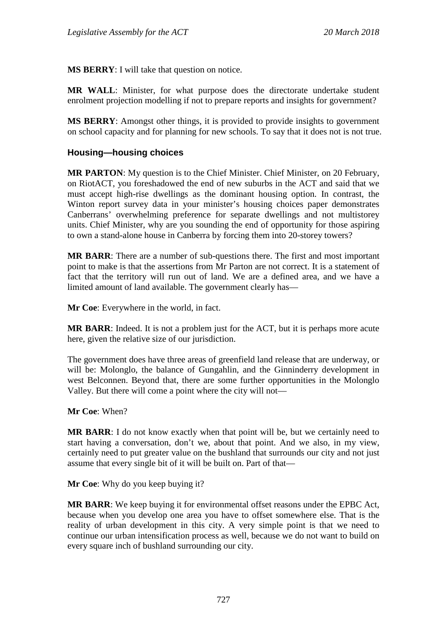**MS BERRY**: I will take that question on notice.

**MR WALL**: Minister, for what purpose does the directorate undertake student enrolment projection modelling if not to prepare reports and insights for government?

**MS BERRY:** Amongst other things, it is provided to provide insights to government on school capacity and for planning for new schools. To say that it does not is not true.

## **Housing—housing choices**

**MR PARTON**: My question is to the Chief Minister. Chief Minister, on 20 February, on RiotACT, you foreshadowed the end of new suburbs in the ACT and said that we must accept high-rise dwellings as the dominant housing option. In contrast, the Winton report survey data in your minister's housing choices paper demonstrates Canberrans' overwhelming preference for separate dwellings and not multistorey units. Chief Minister, why are you sounding the end of opportunity for those aspiring to own a stand-alone house in Canberra by forcing them into 20-storey towers?

**MR BARR**: There are a number of sub-questions there. The first and most important point to make is that the assertions from Mr Parton are not correct. It is a statement of fact that the territory will run out of land. We are a defined area, and we have a limited amount of land available. The government clearly has—

**Mr Coe**: Everywhere in the world, in fact.

**MR BARR**: Indeed. It is not a problem just for the ACT, but it is perhaps more acute here, given the relative size of our jurisdiction.

The government does have three areas of greenfield land release that are underway, or will be: Molonglo, the balance of Gungahlin, and the Ginninderry development in west Belconnen. Beyond that, there are some further opportunities in the Molonglo Valley. But there will come a point where the city will not—

**Mr Coe**: When?

**MR BARR**: I do not know exactly when that point will be, but we certainly need to start having a conversation, don't we, about that point. And we also, in my view, certainly need to put greater value on the bushland that surrounds our city and not just assume that every single bit of it will be built on. Part of that—

**Mr Coe**: Why do you keep buying it?

**MR BARR**: We keep buying it for environmental offset reasons under the EPBC Act, because when you develop one area you have to offset somewhere else. That is the reality of urban development in this city. A very simple point is that we need to continue our urban intensification process as well, because we do not want to build on every square inch of bushland surrounding our city.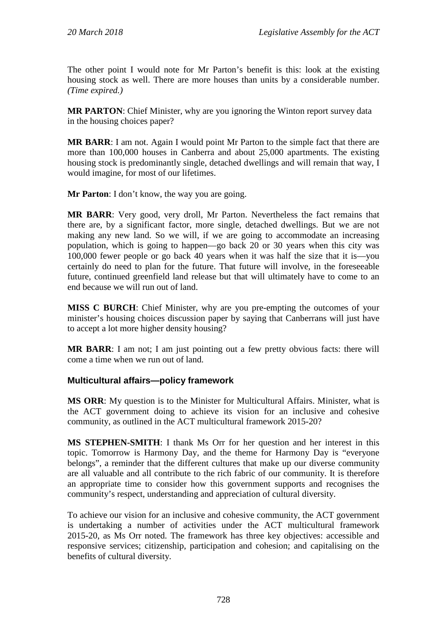The other point I would note for Mr Parton's benefit is this: look at the existing housing stock as well. There are more houses than units by a considerable number. *(Time expired.)*

**MR PARTON**: Chief Minister, why are you ignoring the Winton report survey data in the housing choices paper?

**MR BARR**: I am not. Again I would point Mr Parton to the simple fact that there are more than 100,000 houses in Canberra and about 25,000 apartments. The existing housing stock is predominantly single, detached dwellings and will remain that way, I would imagine, for most of our lifetimes.

**Mr Parton**: I don't know, the way you are going.

**MR BARR**: Very good, very droll, Mr Parton. Nevertheless the fact remains that there are, by a significant factor, more single, detached dwellings. But we are not making any new land. So we will, if we are going to accommodate an increasing population, which is going to happen—go back 20 or 30 years when this city was 100,000 fewer people or go back 40 years when it was half the size that it is—you certainly do need to plan for the future. That future will involve, in the foreseeable future, continued greenfield land release but that will ultimately have to come to an end because we will run out of land.

**MISS C BURCH**: Chief Minister, why are you pre-empting the outcomes of your minister's housing choices discussion paper by saying that Canberrans will just have to accept a lot more higher density housing?

**MR BARR**: I am not; I am just pointing out a few pretty obvious facts: there will come a time when we run out of land.

## **Multicultural affairs—policy framework**

**MS ORR**: My question is to the Minister for Multicultural Affairs. Minister, what is the ACT government doing to achieve its vision for an inclusive and cohesive community, as outlined in the ACT multicultural framework 2015-20?

**MS STEPHEN-SMITH**: I thank Ms Orr for her question and her interest in this topic. Tomorrow is Harmony Day, and the theme for Harmony Day is "everyone belongs", a reminder that the different cultures that make up our diverse community are all valuable and all contribute to the rich fabric of our community. It is therefore an appropriate time to consider how this government supports and recognises the community's respect, understanding and appreciation of cultural diversity.

To achieve our vision for an inclusive and cohesive community, the ACT government is undertaking a number of activities under the ACT multicultural framework 2015-20, as Ms Orr noted. The framework has three key objectives: accessible and responsive services; citizenship, participation and cohesion; and capitalising on the benefits of cultural diversity.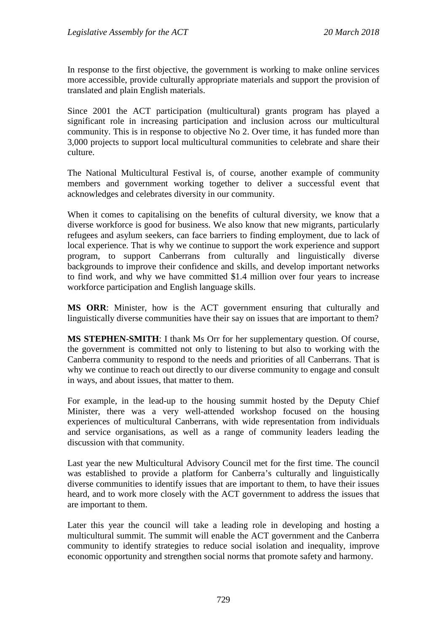In response to the first objective, the government is working to make online services more accessible, provide culturally appropriate materials and support the provision of translated and plain English materials.

Since 2001 the ACT participation (multicultural) grants program has played a significant role in increasing participation and inclusion across our multicultural community. This is in response to objective No 2. Over time, it has funded more than 3,000 projects to support local multicultural communities to celebrate and share their culture.

The National Multicultural Festival is, of course, another example of community members and government working together to deliver a successful event that acknowledges and celebrates diversity in our community.

When it comes to capitalising on the benefits of cultural diversity, we know that a diverse workforce is good for business. We also know that new migrants, particularly refugees and asylum seekers, can face barriers to finding employment, due to lack of local experience. That is why we continue to support the work experience and support program, to support Canberrans from culturally and linguistically diverse backgrounds to improve their confidence and skills, and develop important networks to find work, and why we have committed \$1.4 million over four years to increase workforce participation and English language skills.

**MS ORR**: Minister, how is the ACT government ensuring that culturally and linguistically diverse communities have their say on issues that are important to them?

**MS STEPHEN-SMITH**: I thank Ms Orr for her supplementary question. Of course, the government is committed not only to listening to but also to working with the Canberra community to respond to the needs and priorities of all Canberrans. That is why we continue to reach out directly to our diverse community to engage and consult in ways, and about issues, that matter to them.

For example, in the lead-up to the housing summit hosted by the Deputy Chief Minister, there was a very well-attended workshop focused on the housing experiences of multicultural Canberrans, with wide representation from individuals and service organisations, as well as a range of community leaders leading the discussion with that community.

Last year the new Multicultural Advisory Council met for the first time. The council was established to provide a platform for Canberra's culturally and linguistically diverse communities to identify issues that are important to them, to have their issues heard, and to work more closely with the ACT government to address the issues that are important to them.

Later this year the council will take a leading role in developing and hosting a multicultural summit. The summit will enable the ACT government and the Canberra community to identify strategies to reduce social isolation and inequality, improve economic opportunity and strengthen social norms that promote safety and harmony.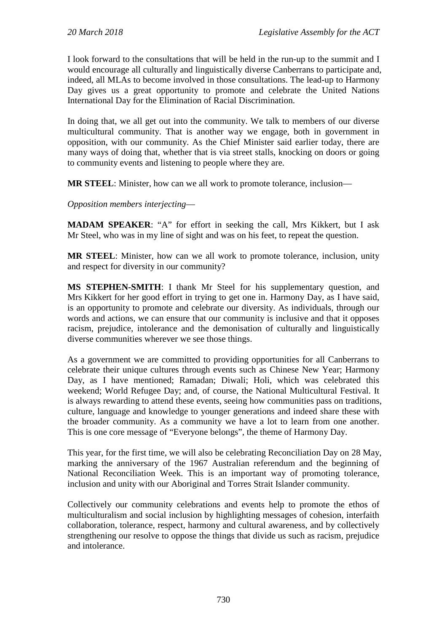I look forward to the consultations that will be held in the run-up to the summit and I would encourage all culturally and linguistically diverse Canberrans to participate and, indeed, all MLAs to become involved in those consultations. The lead-up to Harmony Day gives us a great opportunity to promote and celebrate the United Nations International Day for the Elimination of Racial Discrimination.

In doing that, we all get out into the community. We talk to members of our diverse multicultural community. That is another way we engage, both in government in opposition, with our community. As the Chief Minister said earlier today, there are many ways of doing that, whether that is via street stalls, knocking on doors or going to community events and listening to people where they are.

**MR STEEL**: Minister, how can we all work to promote tolerance, inclusion—

*Opposition members interjecting*—

**MADAM SPEAKER**: "A" for effort in seeking the call, Mrs Kikkert, but I ask Mr Steel, who was in my line of sight and was on his feet, to repeat the question.

**MR STEEL**: Minister, how can we all work to promote tolerance, inclusion, unity and respect for diversity in our community?

**MS STEPHEN-SMITH**: I thank Mr Steel for his supplementary question, and Mrs Kikkert for her good effort in trying to get one in. Harmony Day, as I have said, is an opportunity to promote and celebrate our diversity. As individuals, through our words and actions, we can ensure that our community is inclusive and that it opposes racism, prejudice, intolerance and the demonisation of culturally and linguistically diverse communities wherever we see those things.

As a government we are committed to providing opportunities for all Canberrans to celebrate their unique cultures through events such as Chinese New Year; Harmony Day, as I have mentioned; Ramadan; Diwali; Holi, which was celebrated this weekend; World Refugee Day; and, of course, the National Multicultural Festival. It is always rewarding to attend these events, seeing how communities pass on traditions, culture, language and knowledge to younger generations and indeed share these with the broader community. As a community we have a lot to learn from one another. This is one core message of "Everyone belongs", the theme of Harmony Day.

This year, for the first time, we will also be celebrating Reconciliation Day on 28 May, marking the anniversary of the 1967 Australian referendum and the beginning of National Reconciliation Week. This is an important way of promoting tolerance, inclusion and unity with our Aboriginal and Torres Strait Islander community.

Collectively our community celebrations and events help to promote the ethos of multiculturalism and social inclusion by highlighting messages of cohesion, interfaith collaboration, tolerance, respect, harmony and cultural awareness, and by collectively strengthening our resolve to oppose the things that divide us such as racism, prejudice and intolerance.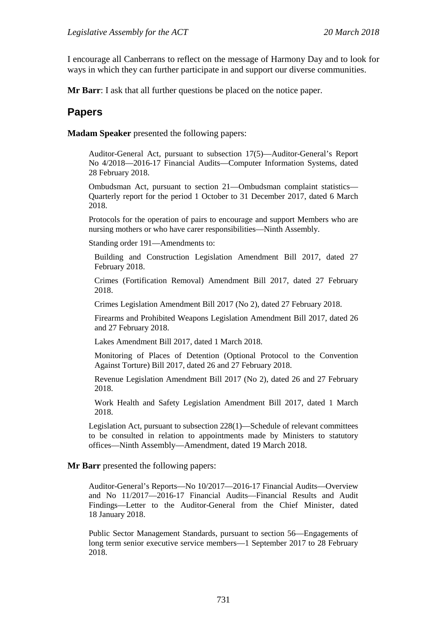I encourage all Canberrans to reflect on the message of Harmony Day and to look for ways in which they can further participate in and support our diverse communities.

**Mr Barr**: I ask that all further questions be placed on the notice paper.

# **Papers**

**Madam Speaker** presented the following papers:

Auditor-General Act, pursuant to subsection 17(5)—Auditor-General's Report No 4/2018—2016-17 Financial Audits—Computer Information Systems, dated 28 February 2018.

Ombudsman Act, pursuant to section 21—Ombudsman complaint statistics— Quarterly report for the period 1 October to 31 December 2017, dated 6 March 2018.

Protocols for the operation of pairs to encourage and support Members who are nursing mothers or who have carer responsibilities—Ninth Assembly.

Standing order 191—Amendments to:

Building and Construction Legislation Amendment Bill 2017, dated 27 February 2018.

Crimes (Fortification Removal) Amendment Bill 2017, dated 27 February 2018.

Crimes Legislation Amendment Bill 2017 (No 2), dated 27 February 2018.

Firearms and Prohibited Weapons Legislation Amendment Bill 2017, dated 26 and 27 February 2018.

Lakes Amendment Bill 2017, dated 1 March 2018.

Monitoring of Places of Detention (Optional Protocol to the Convention Against Torture) Bill 2017, dated 26 and 27 February 2018.

Revenue Legislation Amendment Bill 2017 (No 2), dated 26 and 27 February 2018.

Work Health and Safety Legislation Amendment Bill 2017, dated 1 March 2018.

Legislation Act, pursuant to subsection 228(1)—Schedule of relevant committees to be consulted in relation to appointments made by Ministers to statutory offices—Ninth Assembly—Amendment, dated 19 March 2018.

#### **Mr Barr** presented the following papers:

Auditor-General's Reports—No 10/2017—2016-17 Financial Audits—Overview and No 11/2017—2016-17 Financial Audits—Financial Results and Audit Findings—Letter to the Auditor-General from the Chief Minister, dated 18 January 2018.

Public Sector Management Standards, pursuant to section 56—Engagements of long term senior executive service members—1 September 2017 to 28 February 2018.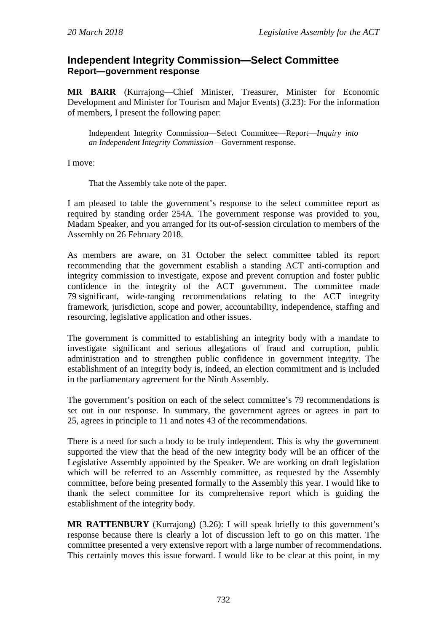# **Independent Integrity Commission—Select Committee Report—government response**

**MR BARR** (Kurrajong—Chief Minister, Treasurer, Minister for Economic Development and Minister for Tourism and Major Events) (3.23): For the information of members, I present the following paper:

Independent Integrity Commission—Select Committee—Report—*Inquiry into an Independent Integrity Commission*—Government response.

I move:

That the Assembly take note of the paper.

I am pleased to table the government's response to the select committee report as required by standing order 254A. The government response was provided to you, Madam Speaker, and you arranged for its out-of-session circulation to members of the Assembly on 26 February 2018.

As members are aware, on 31 October the select committee tabled its report recommending that the government establish a standing ACT anti-corruption and integrity commission to investigate, expose and prevent corruption and foster public confidence in the integrity of the ACT government. The committee made 79 significant, wide-ranging recommendations relating to the ACT integrity framework, jurisdiction, scope and power, accountability, independence, staffing and resourcing, legislative application and other issues.

The government is committed to establishing an integrity body with a mandate to investigate significant and serious allegations of fraud and corruption, public administration and to strengthen public confidence in government integrity. The establishment of an integrity body is, indeed, an election commitment and is included in the parliamentary agreement for the Ninth Assembly.

The government's position on each of the select committee's 79 recommendations is set out in our response. In summary, the government agrees or agrees in part to 25, agrees in principle to 11 and notes 43 of the recommendations.

There is a need for such a body to be truly independent. This is why the government supported the view that the head of the new integrity body will be an officer of the Legislative Assembly appointed by the Speaker. We are working on draft legislation which will be referred to an Assembly committee, as requested by the Assembly committee, before being presented formally to the Assembly this year. I would like to thank the select committee for its comprehensive report which is guiding the establishment of the integrity body.

**MR RATTENBURY** (Kurrajong) (3.26): I will speak briefly to this government's response because there is clearly a lot of discussion left to go on this matter. The committee presented a very extensive report with a large number of recommendations. This certainly moves this issue forward. I would like to be clear at this point, in my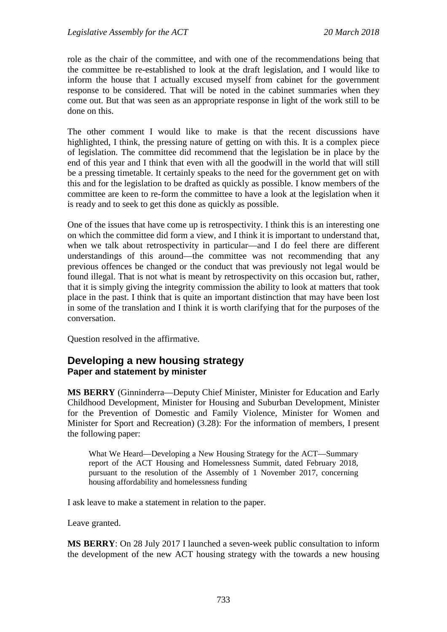role as the chair of the committee, and with one of the recommendations being that the committee be re-established to look at the draft legislation, and I would like to inform the house that I actually excused myself from cabinet for the government response to be considered. That will be noted in the cabinet summaries when they come out. But that was seen as an appropriate response in light of the work still to be done on this.

The other comment I would like to make is that the recent discussions have highlighted, I think, the pressing nature of getting on with this. It is a complex piece of legislation. The committee did recommend that the legislation be in place by the end of this year and I think that even with all the goodwill in the world that will still be a pressing timetable. It certainly speaks to the need for the government get on with this and for the legislation to be drafted as quickly as possible. I know members of the committee are keen to re-form the committee to have a look at the legislation when it is ready and to seek to get this done as quickly as possible.

One of the issues that have come up is retrospectivity. I think this is an interesting one on which the committee did form a view, and I think it is important to understand that, when we talk about retrospectivity in particular—and I do feel there are different understandings of this around—the committee was not recommending that any previous offences be changed or the conduct that was previously not legal would be found illegal. That is not what is meant by retrospectivity on this occasion but, rather, that it is simply giving the integrity commission the ability to look at matters that took place in the past. I think that is quite an important distinction that may have been lost in some of the translation and I think it is worth clarifying that for the purposes of the conversation.

Question resolved in the affirmative.

# **Developing a new housing strategy Paper and statement by minister**

**MS BERRY** (Ginninderra—Deputy Chief Minister, Minister for Education and Early Childhood Development, Minister for Housing and Suburban Development, Minister for the Prevention of Domestic and Family Violence, Minister for Women and Minister for Sport and Recreation) (3.28): For the information of members, I present the following paper:

What We Heard—Developing a New Housing Strategy for the ACT—Summary report of the ACT Housing and Homelessness Summit, dated February 2018, pursuant to the resolution of the Assembly of 1 November 2017, concerning housing affordability and homelessness funding

I ask leave to make a statement in relation to the paper.

Leave granted.

**MS BERRY**: On 28 July 2017 I launched a seven-week public consultation to inform the development of the new ACT housing strategy with the towards a new housing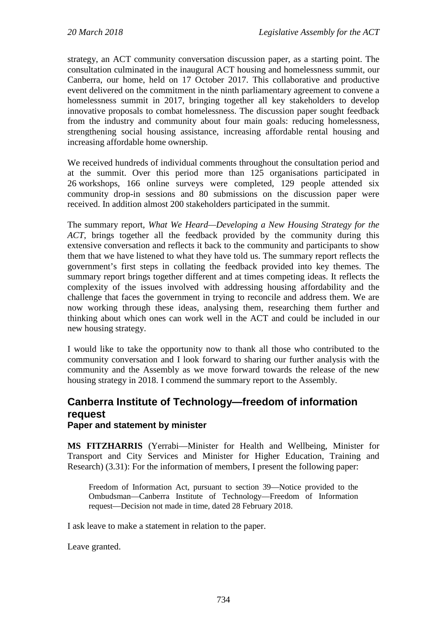strategy, an ACT community conversation discussion paper, as a starting point. The consultation culminated in the inaugural ACT housing and homelessness summit, our Canberra, our home, held on 17 October 2017. This collaborative and productive event delivered on the commitment in the ninth parliamentary agreement to convene a homelessness summit in 2017, bringing together all key stakeholders to develop innovative proposals to combat homelessness. The discussion paper sought feedback from the industry and community about four main goals: reducing homelessness, strengthening social housing assistance, increasing affordable rental housing and increasing affordable home ownership.

We received hundreds of individual comments throughout the consultation period and at the summit. Over this period more than 125 organisations participated in 26 workshops, 166 online surveys were completed, 129 people attended six community drop-in sessions and 80 submissions on the discussion paper were received. In addition almost 200 stakeholders participated in the summit.

The summary report, *What We Heard—Developing a New Housing Strategy for the ACT*, brings together all the feedback provided by the community during this extensive conversation and reflects it back to the community and participants to show them that we have listened to what they have told us. The summary report reflects the government's first steps in collating the feedback provided into key themes. The summary report brings together different and at times competing ideas. It reflects the complexity of the issues involved with addressing housing affordability and the challenge that faces the government in trying to reconcile and address them. We are now working through these ideas, analysing them, researching them further and thinking about which ones can work well in the ACT and could be included in our new housing strategy.

I would like to take the opportunity now to thank all those who contributed to the community conversation and I look forward to sharing our further analysis with the community and the Assembly as we move forward towards the release of the new housing strategy in 2018. I commend the summary report to the Assembly.

### **Canberra Institute of Technology—freedom of information request Paper and statement by minister**

**MS FITZHARRIS** (Yerrabi—Minister for Health and Wellbeing, Minister for Transport and City Services and Minister for Higher Education, Training and Research) (3.31): For the information of members, I present the following paper:

Freedom of Information Act, pursuant to section 39—Notice provided to the Ombudsman—Canberra Institute of Technology—Freedom of Information request—Decision not made in time, dated 28 February 2018.

I ask leave to make a statement in relation to the paper.

Leave granted.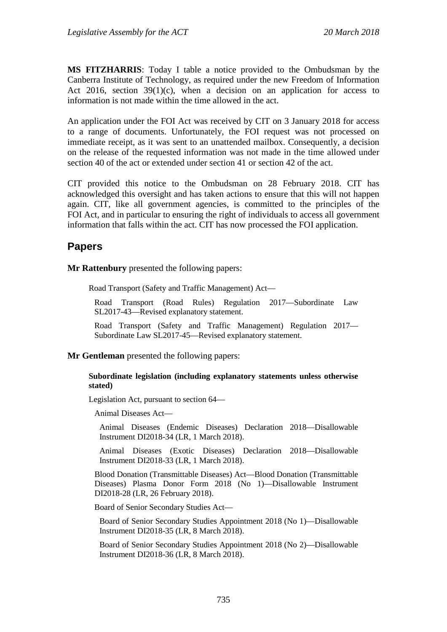**MS FITZHARRIS**: Today I table a notice provided to the Ombudsman by the Canberra Institute of Technology, as required under the new Freedom of Information Act 2016, section  $39(1)(c)$ , when a decision on an application for access to information is not made within the time allowed in the act.

An application under the FOI Act was received by CIT on 3 January 2018 for access to a range of documents. Unfortunately, the FOI request was not processed on immediate receipt, as it was sent to an unattended mailbox. Consequently, a decision on the release of the requested information was not made in the time allowed under section 40 of the act or extended under section 41 or section 42 of the act.

CIT provided this notice to the Ombudsman on 28 February 2018. CIT has acknowledged this oversight and has taken actions to ensure that this will not happen again. CIT, like all government agencies, is committed to the principles of the FOI Act, and in particular to ensuring the right of individuals to access all government information that falls within the act. CIT has now processed the FOI application.

# **Papers**

**Mr Rattenbury** presented the following papers:

Road Transport (Safety and Traffic Management) Act—

Road Transport (Road Rules) Regulation 2017—Subordinate Law SL2017-43—Revised explanatory statement.

Road Transport (Safety and Traffic Management) Regulation 2017— Subordinate Law SL2017-45—Revised explanatory statement.

**Mr Gentleman** presented the following papers:

#### **Subordinate legislation (including explanatory statements unless otherwise stated)**

Legislation Act, pursuant to section 64—

Animal Diseases Act—

Animal Diseases (Endemic Diseases) Declaration 2018—Disallowable Instrument DI2018-34 (LR, 1 March 2018).

Animal Diseases (Exotic Diseases) Declaration 2018—Disallowable Instrument DI2018-33 (LR, 1 March 2018).

Blood Donation (Transmittable Diseases) Act—Blood Donation (Transmittable Diseases) Plasma Donor Form 2018 (No 1)—Disallowable Instrument DI2018-28 (LR, 26 February 2018).

Board of Senior Secondary Studies Act—

Board of Senior Secondary Studies Appointment 2018 (No 1)—Disallowable Instrument DI2018-35 (LR, 8 March 2018).

Board of Senior Secondary Studies Appointment 2018 (No 2)—Disallowable Instrument DI2018-36 (LR, 8 March 2018).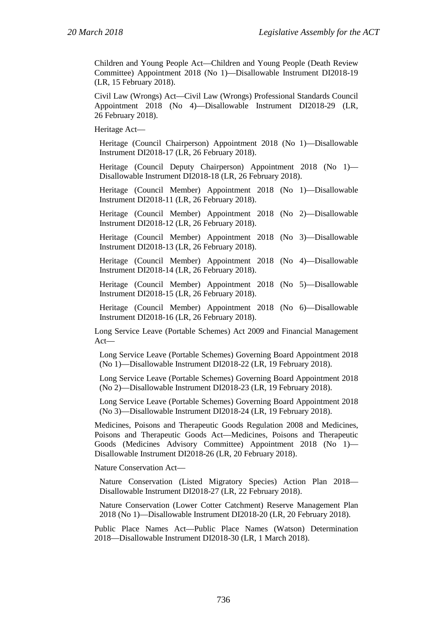Children and Young People Act—Children and Young People (Death Review Committee) Appointment 2018 (No 1)—Disallowable Instrument DI2018-19 (LR, 15 February 2018).

Civil Law (Wrongs) Act—Civil Law (Wrongs) Professional Standards Council Appointment 2018 (No 4)—Disallowable Instrument DI2018-29 (LR, 26 February 2018).

Heritage Act—

Heritage (Council Chairperson) Appointment 2018 (No 1)—Disallowable Instrument DI2018-17 (LR, 26 February 2018).

Heritage (Council Deputy Chairperson) Appointment 2018 (No 1)— Disallowable Instrument DI2018-18 (LR, 26 February 2018).

Heritage (Council Member) Appointment 2018 (No 1)—Disallowable Instrument DI2018-11 (LR, 26 February 2018).

Heritage (Council Member) Appointment 2018 (No 2)—Disallowable Instrument DI2018-12 (LR, 26 February 2018).

Heritage (Council Member) Appointment 2018 (No 3)—Disallowable Instrument DI2018-13 (LR, 26 February 2018).

Heritage (Council Member) Appointment 2018 (No 4)—Disallowable Instrument DI2018-14 (LR, 26 February 2018).

Heritage (Council Member) Appointment 2018 (No 5)—Disallowable Instrument DI2018-15 (LR, 26 February 2018).

Heritage (Council Member) Appointment 2018 (No 6)—Disallowable Instrument DI2018-16 (LR, 26 February 2018).

Long Service Leave (Portable Schemes) Act 2009 and Financial Management Act—

Long Service Leave (Portable Schemes) Governing Board Appointment 2018 (No 1)—Disallowable Instrument DI2018-22 (LR, 19 February 2018).

Long Service Leave (Portable Schemes) Governing Board Appointment 2018 (No 2)—Disallowable Instrument DI2018-23 (LR, 19 February 2018).

Long Service Leave (Portable Schemes) Governing Board Appointment 2018 (No 3)—Disallowable Instrument DI2018-24 (LR, 19 February 2018).

Medicines, Poisons and Therapeutic Goods Regulation 2008 and Medicines, Poisons and Therapeutic Goods Act—Medicines, Poisons and Therapeutic Goods (Medicines Advisory Committee) Appointment 2018 (No 1)— Disallowable Instrument DI2018-26 (LR, 20 February 2018).

Nature Conservation Act—

Nature Conservation (Listed Migratory Species) Action Plan 2018— Disallowable Instrument DI2018-27 (LR, 22 February 2018).

Nature Conservation (Lower Cotter Catchment) Reserve Management Plan 2018 (No 1)—Disallowable Instrument DI2018-20 (LR, 20 February 2018).

Public Place Names Act—Public Place Names (Watson) Determination 2018—Disallowable Instrument DI2018-30 (LR, 1 March 2018).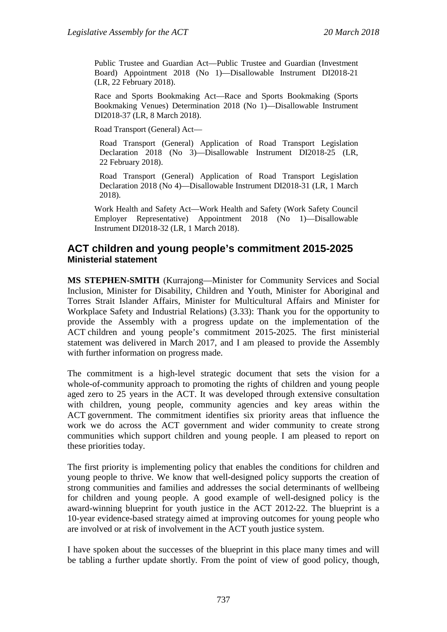Public Trustee and Guardian Act—Public Trustee and Guardian (Investment Board) Appointment 2018 (No 1)—Disallowable Instrument DI2018-21 (LR, 22 February 2018).

Race and Sports Bookmaking Act—Race and Sports Bookmaking (Sports Bookmaking Venues) Determination 2018 (No 1)—Disallowable Instrument DI2018-37 (LR, 8 March 2018).

Road Transport (General) Act—

Road Transport (General) Application of Road Transport Legislation Declaration 2018 (No 3)—Disallowable Instrument DI2018-25 (LR, 22 February 2018).

Road Transport (General) Application of Road Transport Legislation Declaration 2018 (No 4)—Disallowable Instrument DI2018-31 (LR, 1 March 2018).

Work Health and Safety Act—Work Health and Safety (Work Safety Council Employer Representative) Appointment 2018 (No 1)—Disallowable Instrument DI2018-32 (LR, 1 March 2018).

# **ACT children and young people's commitment 2015-2025 Ministerial statement**

**MS STEPHEN-SMITH** (Kurrajong—Minister for Community Services and Social Inclusion, Minister for Disability, Children and Youth, Minister for Aboriginal and Torres Strait Islander Affairs, Minister for Multicultural Affairs and Minister for Workplace Safety and Industrial Relations) (3.33): Thank you for the opportunity to provide the Assembly with a progress update on the implementation of the ACT children and young people's commitment 2015-2025. The first ministerial statement was delivered in March 2017, and I am pleased to provide the Assembly with further information on progress made.

The commitment is a high-level strategic document that sets the vision for a whole-of-community approach to promoting the rights of children and young people aged zero to 25 years in the ACT. It was developed through extensive consultation with children, young people, community agencies and key areas within the ACT government. The commitment identifies six priority areas that influence the work we do across the ACT government and wider community to create strong communities which support children and young people. I am pleased to report on these priorities today.

The first priority is implementing policy that enables the conditions for children and young people to thrive. We know that well-designed policy supports the creation of strong communities and families and addresses the social determinants of wellbeing for children and young people. A good example of well-designed policy is the award-winning blueprint for youth justice in the ACT 2012-22. The blueprint is a 10-year evidence-based strategy aimed at improving outcomes for young people who are involved or at risk of involvement in the ACT youth justice system.

I have spoken about the successes of the blueprint in this place many times and will be tabling a further update shortly. From the point of view of good policy, though,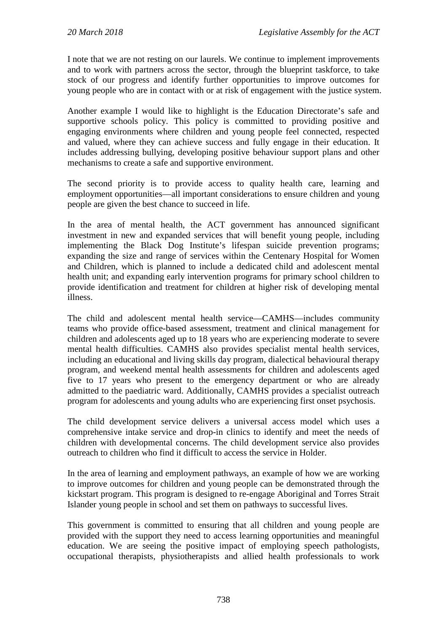I note that we are not resting on our laurels. We continue to implement improvements and to work with partners across the sector, through the blueprint taskforce, to take stock of our progress and identify further opportunities to improve outcomes for young people who are in contact with or at risk of engagement with the justice system.

Another example I would like to highlight is the Education Directorate's safe and supportive schools policy. This policy is committed to providing positive and engaging environments where children and young people feel connected, respected and valued, where they can achieve success and fully engage in their education. It includes addressing bullying, developing positive behaviour support plans and other mechanisms to create a safe and supportive environment.

The second priority is to provide access to quality health care, learning and employment opportunities—all important considerations to ensure children and young people are given the best chance to succeed in life.

In the area of mental health, the ACT government has announced significant investment in new and expanded services that will benefit young people, including implementing the Black Dog Institute's lifespan suicide prevention programs; expanding the size and range of services within the Centenary Hospital for Women and Children, which is planned to include a dedicated child and adolescent mental health unit; and expanding early intervention programs for primary school children to provide identification and treatment for children at higher risk of developing mental illness.

The child and adolescent mental health service—CAMHS—includes community teams who provide office-based assessment, treatment and clinical management for children and adolescents aged up to 18 years who are experiencing moderate to severe mental health difficulties. CAMHS also provides specialist mental health services, including an educational and living skills day program, dialectical behavioural therapy program, and weekend mental health assessments for children and adolescents aged five to 17 years who present to the emergency department or who are already admitted to the paediatric ward. Additionally, CAMHS provides a specialist outreach program for adolescents and young adults who are experiencing first onset psychosis.

The child development service delivers a universal access model which uses a comprehensive intake service and drop-in clinics to identify and meet the needs of children with developmental concerns. The child development service also provides outreach to children who find it difficult to access the service in Holder.

In the area of learning and employment pathways, an example of how we are working to improve outcomes for children and young people can be demonstrated through the kickstart program. This program is designed to re-engage Aboriginal and Torres Strait Islander young people in school and set them on pathways to successful lives.

This government is committed to ensuring that all children and young people are provided with the support they need to access learning opportunities and meaningful education. We are seeing the positive impact of employing speech pathologists, occupational therapists, physiotherapists and allied health professionals to work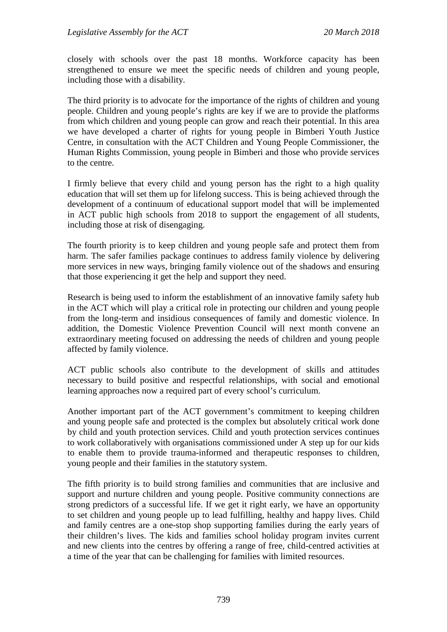closely with schools over the past 18 months. Workforce capacity has been strengthened to ensure we meet the specific needs of children and young people, including those with a disability.

The third priority is to advocate for the importance of the rights of children and young people. Children and young people's rights are key if we are to provide the platforms from which children and young people can grow and reach their potential. In this area we have developed a charter of rights for young people in Bimberi Youth Justice Centre, in consultation with the ACT Children and Young People Commissioner, the Human Rights Commission, young people in Bimberi and those who provide services to the centre.

I firmly believe that every child and young person has the right to a high quality education that will set them up for lifelong success. This is being achieved through the development of a continuum of educational support model that will be implemented in ACT public high schools from 2018 to support the engagement of all students, including those at risk of disengaging.

The fourth priority is to keep children and young people safe and protect them from harm. The safer families package continues to address family violence by delivering more services in new ways, bringing family violence out of the shadows and ensuring that those experiencing it get the help and support they need.

Research is being used to inform the establishment of an innovative family safety hub in the ACT which will play a critical role in protecting our children and young people from the long-term and insidious consequences of family and domestic violence. In addition, the Domestic Violence Prevention Council will next month convene an extraordinary meeting focused on addressing the needs of children and young people affected by family violence.

ACT public schools also contribute to the development of skills and attitudes necessary to build positive and respectful relationships, with social and emotional learning approaches now a required part of every school's curriculum.

Another important part of the ACT government's commitment to keeping children and young people safe and protected is the complex but absolutely critical work done by child and youth protection services. Child and youth protection services continues to work collaboratively with organisations commissioned under A step up for our kids to enable them to provide trauma-informed and therapeutic responses to children, young people and their families in the statutory system.

The fifth priority is to build strong families and communities that are inclusive and support and nurture children and young people. Positive community connections are strong predictors of a successful life. If we get it right early, we have an opportunity to set children and young people up to lead fulfilling, healthy and happy lives. Child and family centres are a one-stop shop supporting families during the early years of their children's lives. The kids and families school holiday program invites current and new clients into the centres by offering a range of free, child-centred activities at a time of the year that can be challenging for families with limited resources.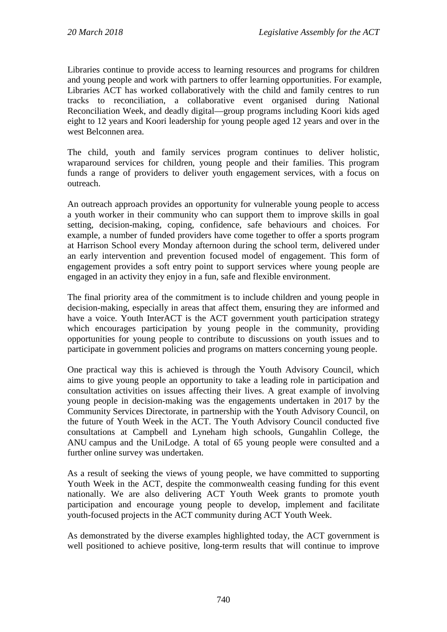Libraries continue to provide access to learning resources and programs for children and young people and work with partners to offer learning opportunities. For example, Libraries ACT has worked collaboratively with the child and family centres to run tracks to reconciliation, a collaborative event organised during National Reconciliation Week, and deadly digital—group programs including Koori kids aged eight to 12 years and Koori leadership for young people aged 12 years and over in the west Belconnen area.

The child, youth and family services program continues to deliver holistic, wraparound services for children, young people and their families. This program funds a range of providers to deliver youth engagement services, with a focus on outreach.

An outreach approach provides an opportunity for vulnerable young people to access a youth worker in their community who can support them to improve skills in goal setting, decision-making, coping, confidence, safe behaviours and choices. For example, a number of funded providers have come together to offer a sports program at Harrison School every Monday afternoon during the school term, delivered under an early intervention and prevention focused model of engagement. This form of engagement provides a soft entry point to support services where young people are engaged in an activity they enjoy in a fun, safe and flexible environment.

The final priority area of the commitment is to include children and young people in decision-making, especially in areas that affect them, ensuring they are informed and have a voice. Youth InterACT is the ACT government youth participation strategy which encourages participation by young people in the community, providing opportunities for young people to contribute to discussions on youth issues and to participate in government policies and programs on matters concerning young people.

One practical way this is achieved is through the Youth Advisory Council, which aims to give young people an opportunity to take a leading role in participation and consultation activities on issues affecting their lives. A great example of involving young people in decision-making was the engagements undertaken in 2017 by the Community Services Directorate, in partnership with the Youth Advisory Council, on the future of Youth Week in the ACT. The Youth Advisory Council conducted five consultations at Campbell and Lyneham high schools, Gungahlin College, the ANU campus and the UniLodge. A total of 65 young people were consulted and a further online survey was undertaken.

As a result of seeking the views of young people, we have committed to supporting Youth Week in the ACT, despite the commonwealth ceasing funding for this event nationally. We are also delivering ACT Youth Week grants to promote youth participation and encourage young people to develop, implement and facilitate youth-focused projects in the ACT community during ACT Youth Week.

As demonstrated by the diverse examples highlighted today, the ACT government is well positioned to achieve positive, long-term results that will continue to improve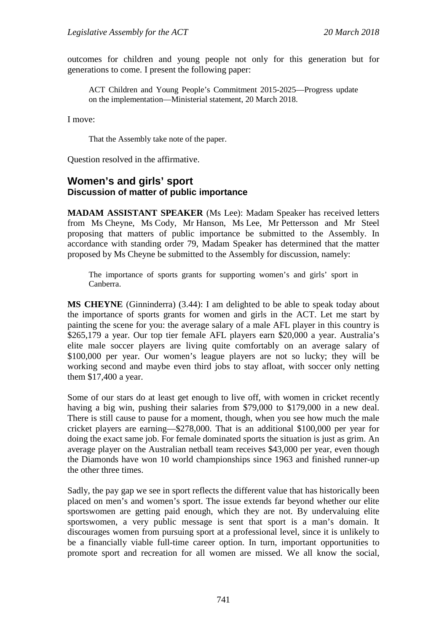outcomes for children and young people not only for this generation but for generations to come. I present the following paper:

ACT Children and Young People's Commitment 2015-2025—Progress update on the implementation—Ministerial statement, 20 March 2018.

I move:

That the Assembly take note of the paper.

Question resolved in the affirmative.

### **Women's and girls' sport Discussion of matter of public importance**

**MADAM ASSISTANT SPEAKER** (Ms Lee): Madam Speaker has received letters from Ms Cheyne, Ms Cody, Mr Hanson, Ms Lee, Mr Pettersson and Mr Steel proposing that matters of public importance be submitted to the Assembly. In accordance with standing order 79, Madam Speaker has determined that the matter proposed by Ms Cheyne be submitted to the Assembly for discussion, namely:

The importance of sports grants for supporting women's and girls' sport in Canberra.

**MS CHEYNE** (Ginninderra) (3.44): I am delighted to be able to speak today about the importance of sports grants for women and girls in the ACT. Let me start by painting the scene for you: the average salary of a male AFL player in this country is \$265,179 a year. Our top tier female AFL players earn \$20,000 a year. Australia's elite male soccer players are living quite comfortably on an average salary of \$100,000 per year. Our women's league players are not so lucky; they will be working second and maybe even third jobs to stay afloat, with soccer only netting them \$17,400 a year.

Some of our stars do at least get enough to live off, with women in cricket recently having a big win, pushing their salaries from \$79,000 to \$179,000 in a new deal. There is still cause to pause for a moment, though, when you see how much the male cricket players are earning—\$278,000. That is an additional \$100,000 per year for doing the exact same job. For female dominated sports the situation is just as grim. An average player on the Australian netball team receives \$43,000 per year, even though the Diamonds have won 10 world championships since 1963 and finished runner-up the other three times.

Sadly, the pay gap we see in sport reflects the different value that has historically been placed on men's and women's sport. The issue extends far beyond whether our elite sportswomen are getting paid enough, which they are not. By undervaluing elite sportswomen, a very public message is sent that sport is a man's domain. It discourages women from pursuing sport at a professional level, since it is unlikely to be a financially viable full-time career option. In turn, important opportunities to promote sport and recreation for all women are missed. We all know the social,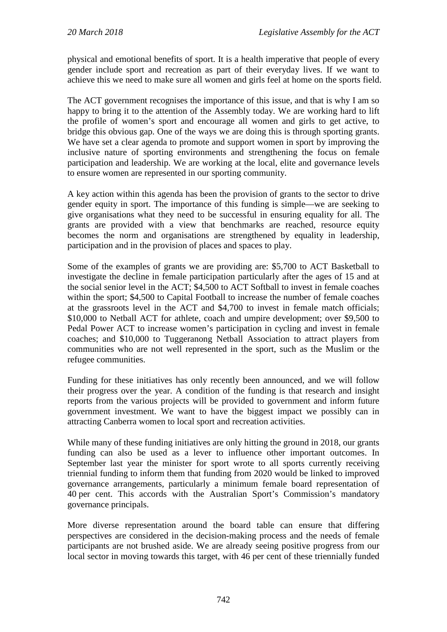physical and emotional benefits of sport. It is a health imperative that people of every gender include sport and recreation as part of their everyday lives. If we want to achieve this we need to make sure all women and girls feel at home on the sports field.

The ACT government recognises the importance of this issue, and that is why I am so happy to bring it to the attention of the Assembly today. We are working hard to lift the profile of women's sport and encourage all women and girls to get active, to bridge this obvious gap. One of the ways we are doing this is through sporting grants. We have set a clear agenda to promote and support women in sport by improving the inclusive nature of sporting environments and strengthening the focus on female participation and leadership. We are working at the local, elite and governance levels to ensure women are represented in our sporting community.

A key action within this agenda has been the provision of grants to the sector to drive gender equity in sport. The importance of this funding is simple—we are seeking to give organisations what they need to be successful in ensuring equality for all. The grants are provided with a view that benchmarks are reached, resource equity becomes the norm and organisations are strengthened by equality in leadership, participation and in the provision of places and spaces to play.

Some of the examples of grants we are providing are: \$5,700 to ACT Basketball to investigate the decline in female participation particularly after the ages of 15 and at the social senior level in the ACT; \$4,500 to ACT Softball to invest in female coaches within the sport; \$4,500 to Capital Football to increase the number of female coaches at the grassroots level in the ACT and \$4,700 to invest in female match officials; \$10,000 to Netball ACT for athlete, coach and umpire development; over \$9,500 to Pedal Power ACT to increase women's participation in cycling and invest in female coaches; and \$10,000 to Tuggeranong Netball Association to attract players from communities who are not well represented in the sport, such as the Muslim or the refugee communities.

Funding for these initiatives has only recently been announced, and we will follow their progress over the year. A condition of the funding is that research and insight reports from the various projects will be provided to government and inform future government investment. We want to have the biggest impact we possibly can in attracting Canberra women to local sport and recreation activities.

While many of these funding initiatives are only hitting the ground in 2018, our grants funding can also be used as a lever to influence other important outcomes. In September last year the minister for sport wrote to all sports currently receiving triennial funding to inform them that funding from 2020 would be linked to improved governance arrangements, particularly a minimum female board representation of 40 per cent. This accords with the Australian Sport's Commission's mandatory governance principals.

More diverse representation around the board table can ensure that differing perspectives are considered in the decision-making process and the needs of female participants are not brushed aside. We are already seeing positive progress from our local sector in moving towards this target, with 46 per cent of these triennially funded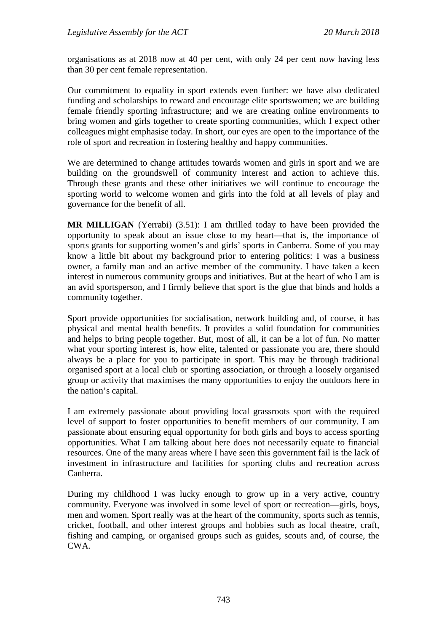organisations as at 2018 now at 40 per cent, with only 24 per cent now having less than 30 per cent female representation.

Our commitment to equality in sport extends even further: we have also dedicated funding and scholarships to reward and encourage elite sportswomen; we are building female friendly sporting infrastructure; and we are creating online environments to bring women and girls together to create sporting communities, which I expect other colleagues might emphasise today. In short, our eyes are open to the importance of the role of sport and recreation in fostering healthy and happy communities.

We are determined to change attitudes towards women and girls in sport and we are building on the groundswell of community interest and action to achieve this. Through these grants and these other initiatives we will continue to encourage the sporting world to welcome women and girls into the fold at all levels of play and governance for the benefit of all.

**MR MILLIGAN** (Yerrabi) (3.51): I am thrilled today to have been provided the opportunity to speak about an issue close to my heart—that is, the importance of sports grants for supporting women's and girls' sports in Canberra. Some of you may know a little bit about my background prior to entering politics: I was a business owner, a family man and an active member of the community. I have taken a keen interest in numerous community groups and initiatives. But at the heart of who I am is an avid sportsperson, and I firmly believe that sport is the glue that binds and holds a community together.

Sport provide opportunities for socialisation, network building and, of course, it has physical and mental health benefits. It provides a solid foundation for communities and helps to bring people together. But, most of all, it can be a lot of fun. No matter what your sporting interest is, how elite, talented or passionate you are, there should always be a place for you to participate in sport. This may be through traditional organised sport at a local club or sporting association, or through a loosely organised group or activity that maximises the many opportunities to enjoy the outdoors here in the nation's capital.

I am extremely passionate about providing local grassroots sport with the required level of support to foster opportunities to benefit members of our community. I am passionate about ensuring equal opportunity for both girls and boys to access sporting opportunities. What I am talking about here does not necessarily equate to financial resources. One of the many areas where I have seen this government fail is the lack of investment in infrastructure and facilities for sporting clubs and recreation across Canberra.

During my childhood I was lucky enough to grow up in a very active, country community. Everyone was involved in some level of sport or recreation—girls, boys, men and women. Sport really was at the heart of the community, sports such as tennis, cricket, football, and other interest groups and hobbies such as local theatre, craft, fishing and camping, or organised groups such as guides, scouts and, of course, the CWA.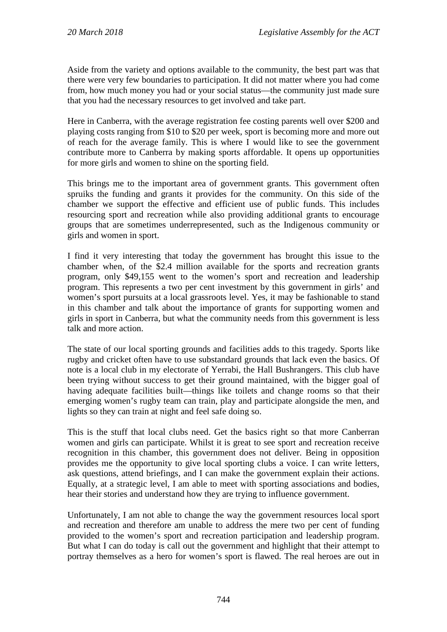Aside from the variety and options available to the community, the best part was that there were very few boundaries to participation. It did not matter where you had come from, how much money you had or your social status—the community just made sure that you had the necessary resources to get involved and take part.

Here in Canberra, with the average registration fee costing parents well over \$200 and playing costs ranging from \$10 to \$20 per week, sport is becoming more and more out of reach for the average family. This is where I would like to see the government contribute more to Canberra by making sports affordable. It opens up opportunities for more girls and women to shine on the sporting field.

This brings me to the important area of government grants. This government often spruiks the funding and grants it provides for the community. On this side of the chamber we support the effective and efficient use of public funds. This includes resourcing sport and recreation while also providing additional grants to encourage groups that are sometimes underrepresented, such as the Indigenous community or girls and women in sport.

I find it very interesting that today the government has brought this issue to the chamber when, of the \$2.4 million available for the sports and recreation grants program, only \$49,155 went to the women's sport and recreation and leadership program. This represents a two per cent investment by this government in girls' and women's sport pursuits at a local grassroots level. Yes, it may be fashionable to stand in this chamber and talk about the importance of grants for supporting women and girls in sport in Canberra, but what the community needs from this government is less talk and more action.

The state of our local sporting grounds and facilities adds to this tragedy. Sports like rugby and cricket often have to use substandard grounds that lack even the basics. Of note is a local club in my electorate of Yerrabi, the Hall Bushrangers. This club have been trying without success to get their ground maintained, with the bigger goal of having adequate facilities built—things like toilets and change rooms so that their emerging women's rugby team can train, play and participate alongside the men, and lights so they can train at night and feel safe doing so.

This is the stuff that local clubs need. Get the basics right so that more Canberran women and girls can participate. Whilst it is great to see sport and recreation receive recognition in this chamber, this government does not deliver. Being in opposition provides me the opportunity to give local sporting clubs a voice. I can write letters, ask questions, attend briefings, and I can make the government explain their actions. Equally, at a strategic level, I am able to meet with sporting associations and bodies, hear their stories and understand how they are trying to influence government.

Unfortunately, I am not able to change the way the government resources local sport and recreation and therefore am unable to address the mere two per cent of funding provided to the women's sport and recreation participation and leadership program. But what I can do today is call out the government and highlight that their attempt to portray themselves as a hero for women's sport is flawed. The real heroes are out in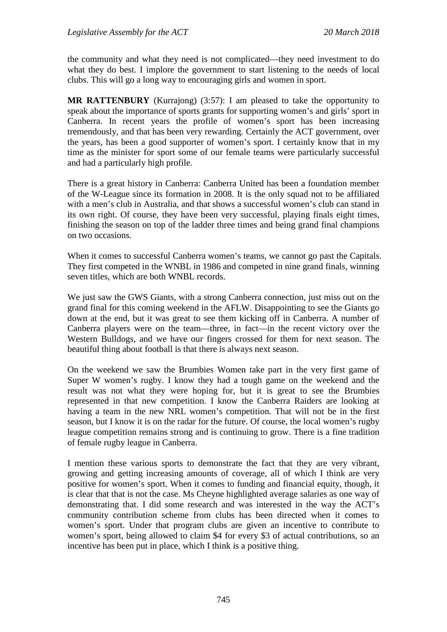the community and what they need is not complicated—they need investment to do what they do best. I implore the government to start listening to the needs of local clubs. This will go a long way to encouraging girls and women in sport.

**MR RATTENBURY** (Kurrajong) (3:57): I am pleased to take the opportunity to speak about the importance of sports grants for supporting women's and girls' sport in Canberra. In recent years the profile of women's sport has been increasing tremendously, and that has been very rewarding. Certainly the ACT government, over the years, has been a good supporter of women's sport. I certainly know that in my time as the minister for sport some of our female teams were particularly successful and had a particularly high profile.

There is a great history in Canberra: Canberra United has been a foundation member of the W-League since its formation in 2008. It is the only squad not to be affiliated with a men's club in Australia, and that shows a successful women's club can stand in its own right. Of course, they have been very successful, playing finals eight times, finishing the season on top of the ladder three times and being grand final champions on two occasions.

When it comes to successful Canberra women's teams, we cannot go past the Capitals. They first competed in the WNBL in 1986 and competed in nine grand finals, winning seven titles, which are both WNBL records.

We just saw the GWS Giants, with a strong Canberra connection, just miss out on the grand final for this coming weekend in the AFLW. Disappointing to see the Giants go down at the end, but it was great to see them kicking off in Canberra. A number of Canberra players were on the team—three, in fact—in the recent victory over the Western Bulldogs, and we have our fingers crossed for them for next season. The beautiful thing about football is that there is always next season.

On the weekend we saw the Brumbies Women take part in the very first game of Super W women's rugby. I know they had a tough game on the weekend and the result was not what they were hoping for, but it is great to see the Brumbies represented in that new competition. I know the Canberra Raiders are looking at having a team in the new NRL women's competition. That will not be in the first season, but I know it is on the radar for the future. Of course, the local women's rugby league competition remains strong and is continuing to grow. There is a fine tradition of female rugby league in Canberra.

I mention these various sports to demonstrate the fact that they are very vibrant, growing and getting increasing amounts of coverage, all of which I think are very positive for women's sport. When it comes to funding and financial equity, though, it is clear that that is not the case. Ms Cheyne highlighted average salaries as one way of demonstrating that. I did some research and was interested in the way the ACT's community contribution scheme from clubs has been directed when it comes to women's sport. Under that program clubs are given an incentive to contribute to women's sport, being allowed to claim \$4 for every \$3 of actual contributions, so an incentive has been put in place, which I think is a positive thing.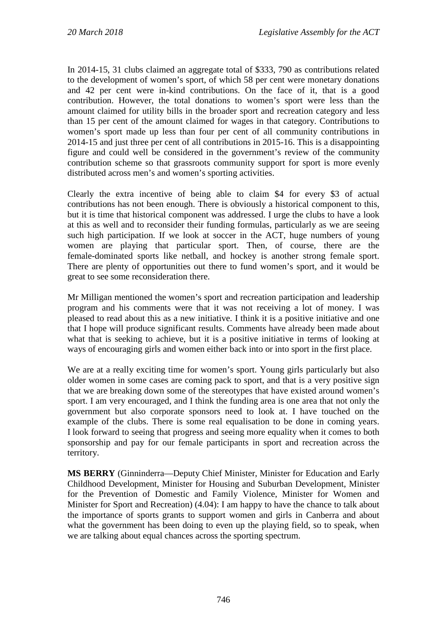In 2014-15, 31 clubs claimed an aggregate total of \$333, 790 as contributions related to the development of women's sport, of which 58 per cent were monetary donations and 42 per cent were in-kind contributions. On the face of it, that is a good contribution. However, the total donations to women's sport were less than the amount claimed for utility bills in the broader sport and recreation category and less than 15 per cent of the amount claimed for wages in that category. Contributions to women's sport made up less than four per cent of all community contributions in 2014-15 and just three per cent of all contributions in 2015-16. This is a disappointing figure and could well be considered in the government's review of the community contribution scheme so that grassroots community support for sport is more evenly distributed across men's and women's sporting activities.

Clearly the extra incentive of being able to claim \$4 for every \$3 of actual contributions has not been enough. There is obviously a historical component to this, but it is time that historical component was addressed. I urge the clubs to have a look at this as well and to reconsider their funding formulas, particularly as we are seeing such high participation. If we look at soccer in the ACT, huge numbers of young women are playing that particular sport. Then, of course, there are the female-dominated sports like netball, and hockey is another strong female sport. There are plenty of opportunities out there to fund women's sport, and it would be great to see some reconsideration there.

Mr Milligan mentioned the women's sport and recreation participation and leadership program and his comments were that it was not receiving a lot of money. I was pleased to read about this as a new initiative. I think it is a positive initiative and one that I hope will produce significant results. Comments have already been made about what that is seeking to achieve, but it is a positive initiative in terms of looking at ways of encouraging girls and women either back into or into sport in the first place.

We are at a really exciting time for women's sport. Young girls particularly but also older women in some cases are coming pack to sport, and that is a very positive sign that we are breaking down some of the stereotypes that have existed around women's sport. I am very encouraged, and I think the funding area is one area that not only the government but also corporate sponsors need to look at. I have touched on the example of the clubs. There is some real equalisation to be done in coming years. I look forward to seeing that progress and seeing more equality when it comes to both sponsorship and pay for our female participants in sport and recreation across the territory.

**MS BERRY** (Ginninderra—Deputy Chief Minister, Minister for Education and Early Childhood Development, Minister for Housing and Suburban Development, Minister for the Prevention of Domestic and Family Violence, Minister for Women and Minister for Sport and Recreation) (4.04): I am happy to have the chance to talk about the importance of sports grants to support women and girls in Canberra and about what the government has been doing to even up the playing field, so to speak, when we are talking about equal chances across the sporting spectrum.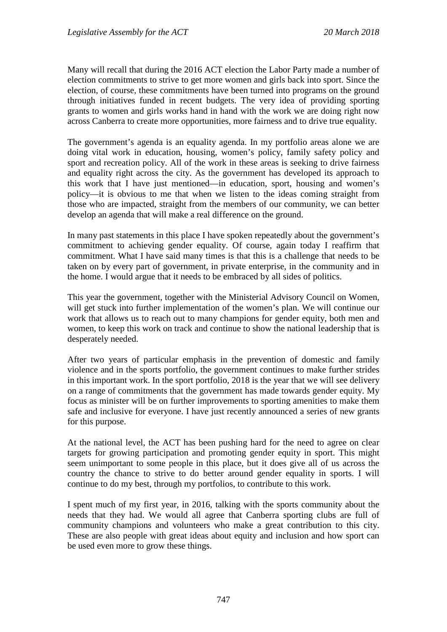Many will recall that during the 2016 ACT election the Labor Party made a number of election commitments to strive to get more women and girls back into sport. Since the election, of course, these commitments have been turned into programs on the ground through initiatives funded in recent budgets. The very idea of providing sporting grants to women and girls works hand in hand with the work we are doing right now across Canberra to create more opportunities, more fairness and to drive true equality.

The government's agenda is an equality agenda. In my portfolio areas alone we are doing vital work in education, housing, women's policy, family safety policy and sport and recreation policy. All of the work in these areas is seeking to drive fairness and equality right across the city. As the government has developed its approach to this work that I have just mentioned—in education, sport, housing and women's policy—it is obvious to me that when we listen to the ideas coming straight from those who are impacted, straight from the members of our community, we can better develop an agenda that will make a real difference on the ground.

In many past statements in this place I have spoken repeatedly about the government's commitment to achieving gender equality. Of course, again today I reaffirm that commitment. What I have said many times is that this is a challenge that needs to be taken on by every part of government, in private enterprise, in the community and in the home. I would argue that it needs to be embraced by all sides of politics.

This year the government, together with the Ministerial Advisory Council on Women, will get stuck into further implementation of the women's plan. We will continue our work that allows us to reach out to many champions for gender equity, both men and women, to keep this work on track and continue to show the national leadership that is desperately needed.

After two years of particular emphasis in the prevention of domestic and family violence and in the sports portfolio, the government continues to make further strides in this important work. In the sport portfolio, 2018 is the year that we will see delivery on a range of commitments that the government has made towards gender equity. My focus as minister will be on further improvements to sporting amenities to make them safe and inclusive for everyone. I have just recently announced a series of new grants for this purpose.

At the national level, the ACT has been pushing hard for the need to agree on clear targets for growing participation and promoting gender equity in sport. This might seem unimportant to some people in this place, but it does give all of us across the country the chance to strive to do better around gender equality in sports. I will continue to do my best, through my portfolios, to contribute to this work.

I spent much of my first year, in 2016, talking with the sports community about the needs that they had. We would all agree that Canberra sporting clubs are full of community champions and volunteers who make a great contribution to this city. These are also people with great ideas about equity and inclusion and how sport can be used even more to grow these things.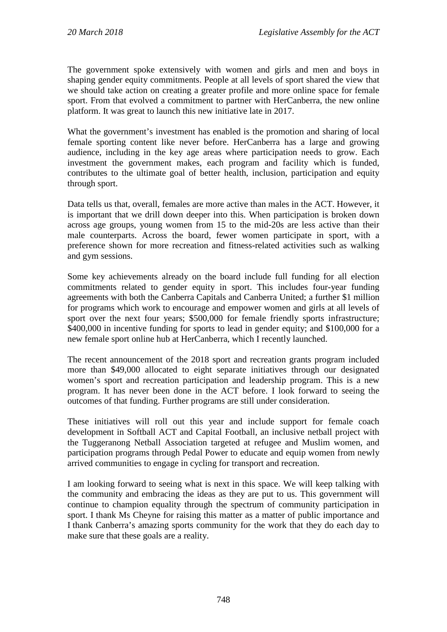The government spoke extensively with women and girls and men and boys in shaping gender equity commitments. People at all levels of sport shared the view that we should take action on creating a greater profile and more online space for female sport. From that evolved a commitment to partner with HerCanberra, the new online platform. It was great to launch this new initiative late in 2017.

What the government's investment has enabled is the promotion and sharing of local female sporting content like never before. HerCanberra has a large and growing audience, including in the key age areas where participation needs to grow. Each investment the government makes, each program and facility which is funded, contributes to the ultimate goal of better health, inclusion, participation and equity through sport.

Data tells us that, overall, females are more active than males in the ACT. However, it is important that we drill down deeper into this. When participation is broken down across age groups, young women from 15 to the mid-20s are less active than their male counterparts. Across the board, fewer women participate in sport, with a preference shown for more recreation and fitness-related activities such as walking and gym sessions.

Some key achievements already on the board include full funding for all election commitments related to gender equity in sport. This includes four-year funding agreements with both the Canberra Capitals and Canberra United; a further \$1 million for programs which work to encourage and empower women and girls at all levels of sport over the next four years; \$500,000 for female friendly sports infrastructure; \$400,000 in incentive funding for sports to lead in gender equity; and \$100,000 for a new female sport online hub at HerCanberra, which I recently launched.

The recent announcement of the 2018 sport and recreation grants program included more than \$49,000 allocated to eight separate initiatives through our designated women's sport and recreation participation and leadership program. This is a new program. It has never been done in the ACT before. I look forward to seeing the outcomes of that funding. Further programs are still under consideration.

These initiatives will roll out this year and include support for female coach development in Softball ACT and Capital Football, an inclusive netball project with the Tuggeranong Netball Association targeted at refugee and Muslim women, and participation programs through Pedal Power to educate and equip women from newly arrived communities to engage in cycling for transport and recreation.

I am looking forward to seeing what is next in this space. We will keep talking with the community and embracing the ideas as they are put to us. This government will continue to champion equality through the spectrum of community participation in sport. I thank Ms Cheyne for raising this matter as a matter of public importance and I thank Canberra's amazing sports community for the work that they do each day to make sure that these goals are a reality.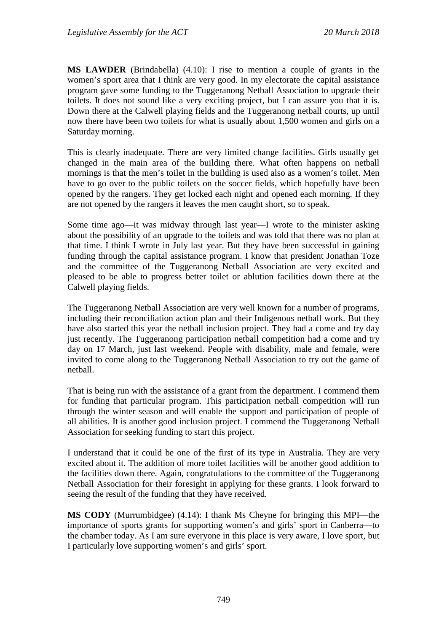**MS LAWDER** (Brindabella) (4.10): I rise to mention a couple of grants in the women's sport area that I think are very good. In my electorate the capital assistance program gave some funding to the Tuggeranong Netball Association to upgrade their toilets. It does not sound like a very exciting project, but I can assure you that it is. Down there at the Calwell playing fields and the Tuggeranong netball courts, up until now there have been two toilets for what is usually about 1,500 women and girls on a Saturday morning.

This is clearly inadequate. There are very limited change facilities. Girls usually get changed in the main area of the building there. What often happens on netball mornings is that the men's toilet in the building is used also as a women's toilet. Men have to go over to the public toilets on the soccer fields, which hopefully have been opened by the rangers. They get locked each night and opened each morning. If they are not opened by the rangers it leaves the men caught short, so to speak.

Some time ago—it was midway through last year—I wrote to the minister asking about the possibility of an upgrade to the toilets and was told that there was no plan at that time. I think I wrote in July last year. But they have been successful in gaining funding through the capital assistance program. I know that president Jonathan Toze and the committee of the Tuggeranong Netball Association are very excited and pleased to be able to progress better toilet or ablution facilities down there at the Calwell playing fields.

The Tuggeranong Netball Association are very well known for a number of programs, including their reconciliation action plan and their Indigenous netball work. But they have also started this year the netball inclusion project. They had a come and try day just recently. The Tuggeranong participation netball competition had a come and try day on 17 March, just last weekend. People with disability, male and female, were invited to come along to the Tuggeranong Netball Association to try out the game of netball.

That is being run with the assistance of a grant from the department. I commend them for funding that particular program. This participation netball competition will run through the winter season and will enable the support and participation of people of all abilities. It is another good inclusion project. I commend the Tuggeranong Netball Association for seeking funding to start this project.

I understand that it could be one of the first of its type in Australia. They are very excited about it. The addition of more toilet facilities will be another good addition to the facilities down there. Again, congratulations to the committee of the Tuggeranong Netball Association for their foresight in applying for these grants. I look forward to seeing the result of the funding that they have received.

**MS CODY** (Murrumbidgee) (4.14): I thank Ms Cheyne for bringing this MPI—the importance of sports grants for supporting women's and girls' sport in Canberra—to the chamber today. As I am sure everyone in this place is very aware, I love sport, but I particularly love supporting women's and girls' sport.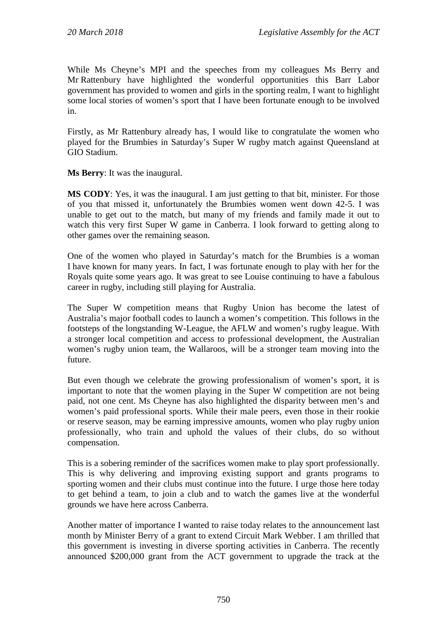While Ms Cheyne's MPI and the speeches from my colleagues Ms Berry and Mr Rattenbury have highlighted the wonderful opportunities this Barr Labor government has provided to women and girls in the sporting realm, I want to highlight some local stories of women's sport that I have been fortunate enough to be involved in.

Firstly, as Mr Rattenbury already has, I would like to congratulate the women who played for the Brumbies in Saturday's Super W rugby match against Queensland at GIO Stadium.

**Ms Berry**: It was the inaugural.

**MS CODY**: Yes, it was the inaugural. I am just getting to that bit, minister. For those of you that missed it, unfortunately the Brumbies women went down 42-5. I was unable to get out to the match, but many of my friends and family made it out to watch this very first Super W game in Canberra. I look forward to getting along to other games over the remaining season.

One of the women who played in Saturday's match for the Brumbies is a woman I have known for many years. In fact, I was fortunate enough to play with her for the Royals quite some years ago. It was great to see Louise continuing to have a fabulous career in rugby, including still playing for Australia.

The Super W competition means that Rugby Union has become the latest of Australia's major football codes to launch a women's competition. This follows in the footsteps of the longstanding W-League, the AFLW and women's rugby league. With a stronger local competition and access to professional development, the Australian women's rugby union team, the Wallaroos, will be a stronger team moving into the future.

But even though we celebrate the growing professionalism of women's sport, it is important to note that the women playing in the Super W competition are not being paid, not one cent. Ms Cheyne has also highlighted the disparity between men's and women's paid professional sports. While their male peers, even those in their rookie or reserve season, may be earning impressive amounts, women who play rugby union professionally, who train and uphold the values of their clubs, do so without compensation.

This is a sobering reminder of the sacrifices women make to play sport professionally. This is why delivering and improving existing support and grants programs to sporting women and their clubs must continue into the future. I urge those here today to get behind a team, to join a club and to watch the games live at the wonderful grounds we have here across Canberra.

Another matter of importance I wanted to raise today relates to the announcement last month by Minister Berry of a grant to extend Circuit Mark Webber. I am thrilled that this government is investing in diverse sporting activities in Canberra. The recently announced \$200,000 grant from the ACT government to upgrade the track at the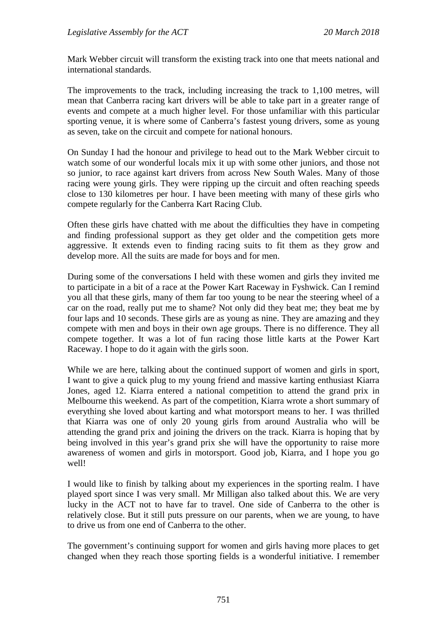Mark Webber circuit will transform the existing track into one that meets national and international standards.

The improvements to the track, including increasing the track to 1,100 metres, will mean that Canberra racing kart drivers will be able to take part in a greater range of events and compete at a much higher level. For those unfamiliar with this particular sporting venue, it is where some of Canberra's fastest young drivers, some as young as seven, take on the circuit and compete for national honours.

On Sunday I had the honour and privilege to head out to the Mark Webber circuit to watch some of our wonderful locals mix it up with some other juniors, and those not so junior, to race against kart drivers from across New South Wales. Many of those racing were young girls. They were ripping up the circuit and often reaching speeds close to 130 kilometres per hour. I have been meeting with many of these girls who compete regularly for the Canberra Kart Racing Club.

Often these girls have chatted with me about the difficulties they have in competing and finding professional support as they get older and the competition gets more aggressive. It extends even to finding racing suits to fit them as they grow and develop more. All the suits are made for boys and for men.

During some of the conversations I held with these women and girls they invited me to participate in a bit of a race at the Power Kart Raceway in Fyshwick. Can I remind you all that these girls, many of them far too young to be near the steering wheel of a car on the road, really put me to shame? Not only did they beat me; they beat me by four laps and 10 seconds. These girls are as young as nine. They are amazing and they compete with men and boys in their own age groups. There is no difference. They all compete together. It was a lot of fun racing those little karts at the Power Kart Raceway. I hope to do it again with the girls soon.

While we are here, talking about the continued support of women and girls in sport, I want to give a quick plug to my young friend and massive karting enthusiast Kiarra Jones, aged 12. Kiarra entered a national competition to attend the grand prix in Melbourne this weekend. As part of the competition, Kiarra wrote a short summary of everything she loved about karting and what motorsport means to her. I was thrilled that Kiarra was one of only 20 young girls from around Australia who will be attending the grand prix and joining the drivers on the track. Kiarra is hoping that by being involved in this year's grand prix she will have the opportunity to raise more awareness of women and girls in motorsport. Good job, Kiarra, and I hope you go well!

I would like to finish by talking about my experiences in the sporting realm. I have played sport since I was very small. Mr Milligan also talked about this. We are very lucky in the ACT not to have far to travel. One side of Canberra to the other is relatively close. But it still puts pressure on our parents, when we are young, to have to drive us from one end of Canberra to the other.

The government's continuing support for women and girls having more places to get changed when they reach those sporting fields is a wonderful initiative. I remember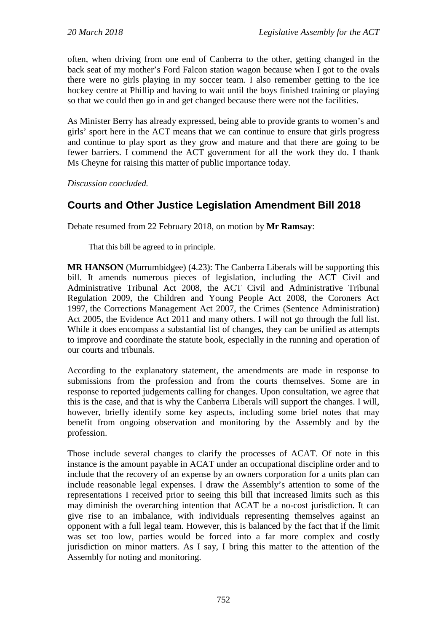often, when driving from one end of Canberra to the other, getting changed in the back seat of my mother's Ford Falcon station wagon because when I got to the ovals there were no girls playing in my soccer team. I also remember getting to the ice hockey centre at Phillip and having to wait until the boys finished training or playing so that we could then go in and get changed because there were not the facilities.

As Minister Berry has already expressed, being able to provide grants to women's and girls' sport here in the ACT means that we can continue to ensure that girls progress and continue to play sport as they grow and mature and that there are going to be fewer barriers. I commend the ACT government for all the work they do. I thank Ms Cheyne for raising this matter of public importance today.

*Discussion concluded.*

# **Courts and Other Justice Legislation Amendment Bill 2018**

Debate resumed from 22 February 2018, on motion by **Mr Ramsay**:

That this bill be agreed to in principle.

**MR HANSON** (Murrumbidgee) (4.23): The Canberra Liberals will be supporting this bill. It amends numerous pieces of legislation, including the ACT Civil and Administrative Tribunal Act 2008, the ACT Civil and Administrative Tribunal Regulation 2009, the Children and Young People Act 2008, the Coroners Act 1997, the Corrections Management Act 2007, the Crimes (Sentence Administration) Act 2005, the Evidence Act 2011 and many others. I will not go through the full list. While it does encompass a substantial list of changes, they can be unified as attempts to improve and coordinate the statute book, especially in the running and operation of our courts and tribunals.

According to the explanatory statement, the amendments are made in response to submissions from the profession and from the courts themselves. Some are in response to reported judgements calling for changes. Upon consultation, we agree that this is the case, and that is why the Canberra Liberals will support the changes. I will, however, briefly identify some key aspects, including some brief notes that may benefit from ongoing observation and monitoring by the Assembly and by the profession.

Those include several changes to clarify the processes of ACAT. Of note in this instance is the amount payable in ACAT under an occupational discipline order and to include that the recovery of an expense by an owners corporation for a units plan can include reasonable legal expenses. I draw the Assembly's attention to some of the representations I received prior to seeing this bill that increased limits such as this may diminish the overarching intention that ACAT be a no-cost jurisdiction. It can give rise to an imbalance, with individuals representing themselves against an opponent with a full legal team. However, this is balanced by the fact that if the limit was set too low, parties would be forced into a far more complex and costly jurisdiction on minor matters. As I say, I bring this matter to the attention of the Assembly for noting and monitoring.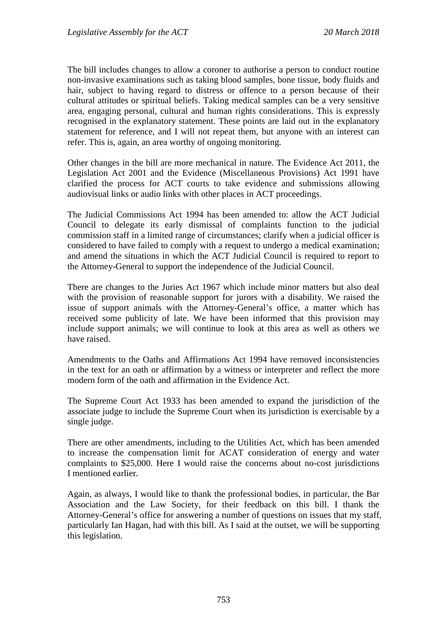The bill includes changes to allow a coroner to authorise a person to conduct routine non-invasive examinations such as taking blood samples, bone tissue, body fluids and hair, subject to having regard to distress or offence to a person because of their cultural attitudes or spiritual beliefs. Taking medical samples can be a very sensitive area, engaging personal, cultural and human rights considerations. This is expressly recognised in the explanatory statement. These points are laid out in the explanatory statement for reference, and I will not repeat them, but anyone with an interest can refer. This is, again, an area worthy of ongoing monitoring.

Other changes in the bill are more mechanical in nature. The Evidence Act 2011, the Legislation Act 2001 and the Evidence (Miscellaneous Provisions) Act 1991 have clarified the process for ACT courts to take evidence and submissions allowing audiovisual links or audio links with other places in ACT proceedings.

The Judicial Commissions Act 1994 has been amended to: allow the ACT Judicial Council to delegate its early dismissal of complaints function to the judicial commission staff in a limited range of circumstances; clarify when a judicial officer is considered to have failed to comply with a request to undergo a medical examination; and amend the situations in which the ACT Judicial Council is required to report to the Attorney-General to support the independence of the Judicial Council.

There are changes to the Juries Act 1967 which include minor matters but also deal with the provision of reasonable support for jurors with a disability. We raised the issue of support animals with the Attorney-General's office, a matter which has received some publicity of late. We have been informed that this provision may include support animals; we will continue to look at this area as well as others we have raised.

Amendments to the Oaths and Affirmations Act 1994 have removed inconsistencies in the text for an oath or affirmation by a witness or interpreter and reflect the more modern form of the oath and affirmation in the Evidence Act.

The Supreme Court Act 1933 has been amended to expand the jurisdiction of the associate judge to include the Supreme Court when its jurisdiction is exercisable by a single judge.

There are other amendments, including to the Utilities Act, which has been amended to increase the compensation limit for ACAT consideration of energy and water complaints to \$25,000. Here I would raise the concerns about no-cost jurisdictions I mentioned earlier.

Again, as always, I would like to thank the professional bodies, in particular, the Bar Association and the Law Society, for their feedback on this bill. I thank the Attorney-General's office for answering a number of questions on issues that my staff, particularly Ian Hagan, had with this bill. As I said at the outset, we will be supporting this legislation.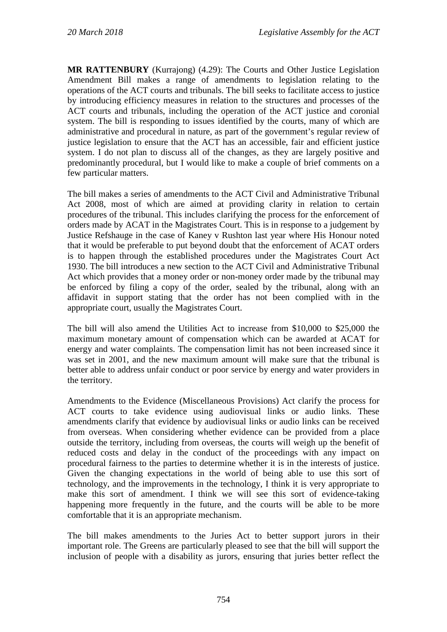**MR RATTENBURY** (Kurrajong) (4.29): The Courts and Other Justice Legislation Amendment Bill makes a range of amendments to legislation relating to the operations of the ACT courts and tribunals. The bill seeks to facilitate access to justice by introducing efficiency measures in relation to the structures and processes of the ACT courts and tribunals, including the operation of the ACT justice and coronial system. The bill is responding to issues identified by the courts, many of which are administrative and procedural in nature, as part of the government's regular review of justice legislation to ensure that the ACT has an accessible, fair and efficient justice system. I do not plan to discuss all of the changes, as they are largely positive and predominantly procedural, but I would like to make a couple of brief comments on a few particular matters.

The bill makes a series of amendments to the ACT Civil and Administrative Tribunal Act 2008, most of which are aimed at providing clarity in relation to certain procedures of the tribunal. This includes clarifying the process for the enforcement of orders made by ACAT in the Magistrates Court. This is in response to a judgement by Justice Refshauge in the case of Kaney v Rushton last year where His Honour noted that it would be preferable to put beyond doubt that the enforcement of ACAT orders is to happen through the established procedures under the Magistrates Court Act 1930. The bill introduces a new section to the ACT Civil and Administrative Tribunal Act which provides that a money order or non-money order made by the tribunal may be enforced by filing a copy of the order, sealed by the tribunal, along with an affidavit in support stating that the order has not been complied with in the appropriate court, usually the Magistrates Court.

The bill will also amend the Utilities Act to increase from \$10,000 to \$25,000 the maximum monetary amount of compensation which can be awarded at ACAT for energy and water complaints. The compensation limit has not been increased since it was set in 2001, and the new maximum amount will make sure that the tribunal is better able to address unfair conduct or poor service by energy and water providers in the territory.

Amendments to the Evidence (Miscellaneous Provisions) Act clarify the process for ACT courts to take evidence using audiovisual links or audio links. These amendments clarify that evidence by audiovisual links or audio links can be received from overseas. When considering whether evidence can be provided from a place outside the territory, including from overseas, the courts will weigh up the benefit of reduced costs and delay in the conduct of the proceedings with any impact on procedural fairness to the parties to determine whether it is in the interests of justice. Given the changing expectations in the world of being able to use this sort of technology, and the improvements in the technology, I think it is very appropriate to make this sort of amendment. I think we will see this sort of evidence-taking happening more frequently in the future, and the courts will be able to be more comfortable that it is an appropriate mechanism.

The bill makes amendments to the Juries Act to better support jurors in their important role. The Greens are particularly pleased to see that the bill will support the inclusion of people with a disability as jurors, ensuring that juries better reflect the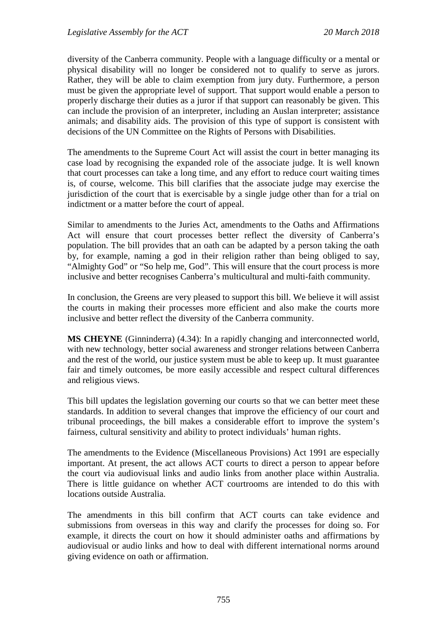diversity of the Canberra community. People with a language difficulty or a mental or physical disability will no longer be considered not to qualify to serve as jurors. Rather, they will be able to claim exemption from jury duty. Furthermore, a person must be given the appropriate level of support. That support would enable a person to properly discharge their duties as a juror if that support can reasonably be given. This can include the provision of an interpreter, including an Auslan interpreter; assistance animals; and disability aids. The provision of this type of support is consistent with decisions of the UN Committee on the Rights of Persons with Disabilities.

The amendments to the Supreme Court Act will assist the court in better managing its case load by recognising the expanded role of the associate judge. It is well known that court processes can take a long time, and any effort to reduce court waiting times is, of course, welcome. This bill clarifies that the associate judge may exercise the jurisdiction of the court that is exercisable by a single judge other than for a trial on indictment or a matter before the court of appeal.

Similar to amendments to the Juries Act, amendments to the Oaths and Affirmations Act will ensure that court processes better reflect the diversity of Canberra's population. The bill provides that an oath can be adapted by a person taking the oath by, for example, naming a god in their religion rather than being obliged to say, "Almighty God" or "So help me, God". This will ensure that the court process is more inclusive and better recognises Canberra's multicultural and multi-faith community.

In conclusion, the Greens are very pleased to support this bill. We believe it will assist the courts in making their processes more efficient and also make the courts more inclusive and better reflect the diversity of the Canberra community.

**MS CHEYNE** (Ginninderra) (4.34): In a rapidly changing and interconnected world, with new technology, better social awareness and stronger relations between Canberra and the rest of the world, our justice system must be able to keep up. It must guarantee fair and timely outcomes, be more easily accessible and respect cultural differences and religious views.

This bill updates the legislation governing our courts so that we can better meet these standards. In addition to several changes that improve the efficiency of our court and tribunal proceedings, the bill makes a considerable effort to improve the system's fairness, cultural sensitivity and ability to protect individuals' human rights.

The amendments to the Evidence (Miscellaneous Provisions) Act 1991 are especially important. At present, the act allows ACT courts to direct a person to appear before the court via audiovisual links and audio links from another place within Australia. There is little guidance on whether ACT courtrooms are intended to do this with locations outside Australia.

The amendments in this bill confirm that ACT courts can take evidence and submissions from overseas in this way and clarify the processes for doing so. For example, it directs the court on how it should administer oaths and affirmations by audiovisual or audio links and how to deal with different international norms around giving evidence on oath or affirmation.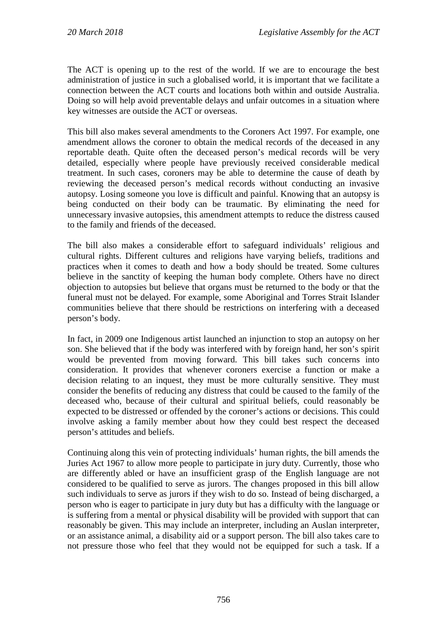The ACT is opening up to the rest of the world. If we are to encourage the best administration of justice in such a globalised world, it is important that we facilitate a connection between the ACT courts and locations both within and outside Australia. Doing so will help avoid preventable delays and unfair outcomes in a situation where key witnesses are outside the ACT or overseas.

This bill also makes several amendments to the Coroners Act 1997. For example, one amendment allows the coroner to obtain the medical records of the deceased in any reportable death. Quite often the deceased person's medical records will be very detailed, especially where people have previously received considerable medical treatment. In such cases, coroners may be able to determine the cause of death by reviewing the deceased person's medical records without conducting an invasive autopsy. Losing someone you love is difficult and painful. Knowing that an autopsy is being conducted on their body can be traumatic. By eliminating the need for unnecessary invasive autopsies, this amendment attempts to reduce the distress caused to the family and friends of the deceased.

The bill also makes a considerable effort to safeguard individuals' religious and cultural rights. Different cultures and religions have varying beliefs, traditions and practices when it comes to death and how a body should be treated. Some cultures believe in the sanctity of keeping the human body complete. Others have no direct objection to autopsies but believe that organs must be returned to the body or that the funeral must not be delayed. For example, some Aboriginal and Torres Strait Islander communities believe that there should be restrictions on interfering with a deceased person's body.

In fact, in 2009 one Indigenous artist launched an injunction to stop an autopsy on her son. She believed that if the body was interfered with by foreign hand, her son's spirit would be prevented from moving forward. This bill takes such concerns into consideration. It provides that whenever coroners exercise a function or make a decision relating to an inquest, they must be more culturally sensitive. They must consider the benefits of reducing any distress that could be caused to the family of the deceased who, because of their cultural and spiritual beliefs, could reasonably be expected to be distressed or offended by the coroner's actions or decisions. This could involve asking a family member about how they could best respect the deceased person's attitudes and beliefs.

Continuing along this vein of protecting individuals' human rights, the bill amends the Juries Act 1967 to allow more people to participate in jury duty. Currently, those who are differently abled or have an insufficient grasp of the English language are not considered to be qualified to serve as jurors. The changes proposed in this bill allow such individuals to serve as jurors if they wish to do so. Instead of being discharged, a person who is eager to participate in jury duty but has a difficulty with the language or is suffering from a mental or physical disability will be provided with support that can reasonably be given. This may include an interpreter, including an Auslan interpreter, or an assistance animal, a disability aid or a support person. The bill also takes care to not pressure those who feel that they would not be equipped for such a task. If a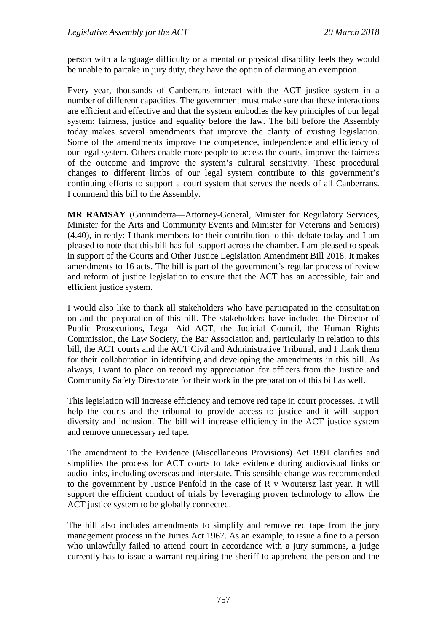person with a language difficulty or a mental or physical disability feels they would be unable to partake in jury duty, they have the option of claiming an exemption.

Every year, thousands of Canberrans interact with the ACT justice system in a number of different capacities. The government must make sure that these interactions are efficient and effective and that the system embodies the key principles of our legal system: fairness, justice and equality before the law. The bill before the Assembly today makes several amendments that improve the clarity of existing legislation. Some of the amendments improve the competence, independence and efficiency of our legal system. Others enable more people to access the courts, improve the fairness of the outcome and improve the system's cultural sensitivity. These procedural changes to different limbs of our legal system contribute to this government's continuing efforts to support a court system that serves the needs of all Canberrans. I commend this bill to the Assembly.

**MR RAMSAY** (Ginninderra—Attorney-General, Minister for Regulatory Services, Minister for the Arts and Community Events and Minister for Veterans and Seniors) (4.40), in reply: I thank members for their contribution to this debate today and I am pleased to note that this bill has full support across the chamber. I am pleased to speak in support of the Courts and Other Justice Legislation Amendment Bill 2018. It makes amendments to 16 acts. The bill is part of the government's regular process of review and reform of justice legislation to ensure that the ACT has an accessible, fair and efficient justice system.

I would also like to thank all stakeholders who have participated in the consultation on and the preparation of this bill. The stakeholders have included the Director of Public Prosecutions, Legal Aid ACT, the Judicial Council, the Human Rights Commission, the Law Society, the Bar Association and, particularly in relation to this bill, the ACT courts and the ACT Civil and Administrative Tribunal, and I thank them for their collaboration in identifying and developing the amendments in this bill. As always, I want to place on record my appreciation for officers from the Justice and Community Safety Directorate for their work in the preparation of this bill as well.

This legislation will increase efficiency and remove red tape in court processes. It will help the courts and the tribunal to provide access to justice and it will support diversity and inclusion. The bill will increase efficiency in the ACT justice system and remove unnecessary red tape.

The amendment to the Evidence (Miscellaneous Provisions) Act 1991 clarifies and simplifies the process for ACT courts to take evidence during audiovisual links or audio links, including overseas and interstate. This sensible change was recommended to the government by Justice Penfold in the case of R v Woutersz last year. It will support the efficient conduct of trials by leveraging proven technology to allow the ACT justice system to be globally connected.

The bill also includes amendments to simplify and remove red tape from the jury management process in the Juries Act 1967. As an example, to issue a fine to a person who unlawfully failed to attend court in accordance with a jury summons, a judge currently has to issue a warrant requiring the sheriff to apprehend the person and the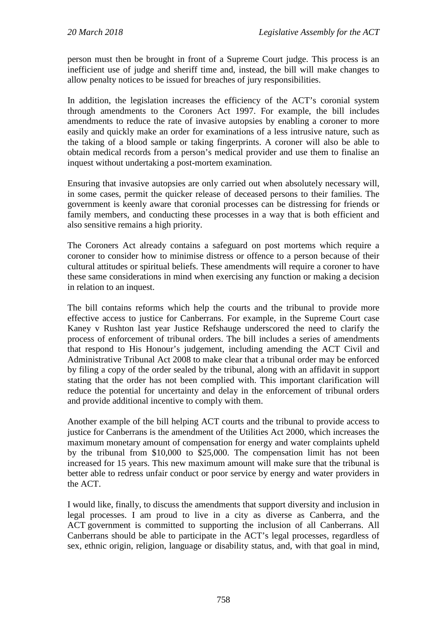person must then be brought in front of a Supreme Court judge. This process is an inefficient use of judge and sheriff time and, instead, the bill will make changes to allow penalty notices to be issued for breaches of jury responsibilities.

In addition, the legislation increases the efficiency of the ACT's coronial system through amendments to the Coroners Act 1997. For example, the bill includes amendments to reduce the rate of invasive autopsies by enabling a coroner to more easily and quickly make an order for examinations of a less intrusive nature, such as the taking of a blood sample or taking fingerprints. A coroner will also be able to obtain medical records from a person's medical provider and use them to finalise an inquest without undertaking a post-mortem examination.

Ensuring that invasive autopsies are only carried out when absolutely necessary will, in some cases, permit the quicker release of deceased persons to their families. The government is keenly aware that coronial processes can be distressing for friends or family members, and conducting these processes in a way that is both efficient and also sensitive remains a high priority.

The Coroners Act already contains a safeguard on post mortems which require a coroner to consider how to minimise distress or offence to a person because of their cultural attitudes or spiritual beliefs. These amendments will require a coroner to have these same considerations in mind when exercising any function or making a decision in relation to an inquest.

The bill contains reforms which help the courts and the tribunal to provide more effective access to justice for Canberrans. For example, in the Supreme Court case Kaney v Rushton last year Justice Refshauge underscored the need to clarify the process of enforcement of tribunal orders. The bill includes a series of amendments that respond to His Honour's judgement, including amending the ACT Civil and Administrative Tribunal Act 2008 to make clear that a tribunal order may be enforced by filing a copy of the order sealed by the tribunal, along with an affidavit in support stating that the order has not been complied with. This important clarification will reduce the potential for uncertainty and delay in the enforcement of tribunal orders and provide additional incentive to comply with them.

Another example of the bill helping ACT courts and the tribunal to provide access to justice for Canberrans is the amendment of the Utilities Act 2000, which increases the maximum monetary amount of compensation for energy and water complaints upheld by the tribunal from \$10,000 to \$25,000. The compensation limit has not been increased for 15 years. This new maximum amount will make sure that the tribunal is better able to redress unfair conduct or poor service by energy and water providers in the ACT.

I would like, finally, to discuss the amendments that support diversity and inclusion in legal processes. I am proud to live in a city as diverse as Canberra, and the ACT government is committed to supporting the inclusion of all Canberrans. All Canberrans should be able to participate in the ACT's legal processes, regardless of sex, ethnic origin, religion, language or disability status, and, with that goal in mind,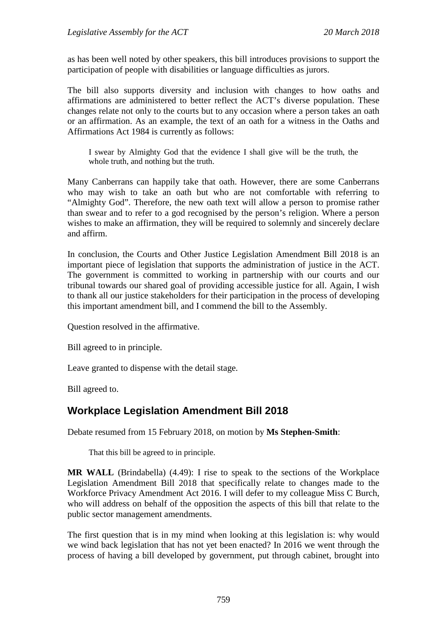as has been well noted by other speakers, this bill introduces provisions to support the participation of people with disabilities or language difficulties as jurors.

The bill also supports diversity and inclusion with changes to how oaths and affirmations are administered to better reflect the ACT's diverse population. These changes relate not only to the courts but to any occasion where a person takes an oath or an affirmation. As an example, the text of an oath for a witness in the Oaths and Affirmations Act 1984 is currently as follows:

I swear by Almighty God that the evidence I shall give will be the truth, the whole truth, and nothing but the truth.

Many Canberrans can happily take that oath. However, there are some Canberrans who may wish to take an oath but who are not comfortable with referring to "Almighty God". Therefore, the new oath text will allow a person to promise rather than swear and to refer to a god recognised by the person's religion. Where a person wishes to make an affirmation, they will be required to solemnly and sincerely declare and affirm.

In conclusion, the Courts and Other Justice Legislation Amendment Bill 2018 is an important piece of legislation that supports the administration of justice in the ACT. The government is committed to working in partnership with our courts and our tribunal towards our shared goal of providing accessible justice for all. Again, I wish to thank all our justice stakeholders for their participation in the process of developing this important amendment bill, and I commend the bill to the Assembly.

Question resolved in the affirmative.

Bill agreed to in principle.

Leave granted to dispense with the detail stage.

Bill agreed to.

# **Workplace Legislation Amendment Bill 2018**

Debate resumed from 15 February 2018, on motion by **Ms Stephen-Smith**:

That this bill be agreed to in principle.

**MR WALL** (Brindabella) (4.49): I rise to speak to the sections of the Workplace Legislation Amendment Bill 2018 that specifically relate to changes made to the Workforce Privacy Amendment Act 2016. I will defer to my colleague Miss C Burch, who will address on behalf of the opposition the aspects of this bill that relate to the public sector management amendments.

The first question that is in my mind when looking at this legislation is: why would we wind back legislation that has not yet been enacted? In 2016 we went through the process of having a bill developed by government, put through cabinet, brought into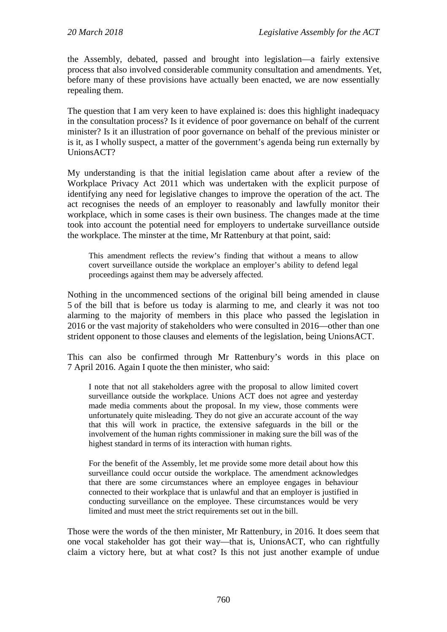the Assembly, debated, passed and brought into legislation—a fairly extensive process that also involved considerable community consultation and amendments. Yet, before many of these provisions have actually been enacted, we are now essentially repealing them.

The question that I am very keen to have explained is: does this highlight inadequacy in the consultation process? Is it evidence of poor governance on behalf of the current minister? Is it an illustration of poor governance on behalf of the previous minister or is it, as I wholly suspect, a matter of the government's agenda being run externally by UnionsACT?

My understanding is that the initial legislation came about after a review of the Workplace Privacy Act 2011 which was undertaken with the explicit purpose of identifying any need for legislative changes to improve the operation of the act. The act recognises the needs of an employer to reasonably and lawfully monitor their workplace, which in some cases is their own business. The changes made at the time took into account the potential need for employers to undertake surveillance outside the workplace. The minster at the time, Mr Rattenbury at that point, said:

This amendment reflects the review's finding that without a means to allow covert surveillance outside the workplace an employer's ability to defend legal proceedings against them may be adversely affected.

Nothing in the uncommenced sections of the original bill being amended in clause 5 of the bill that is before us today is alarming to me, and clearly it was not too alarming to the majority of members in this place who passed the legislation in 2016 or the vast majority of stakeholders who were consulted in 2016—other than one strident opponent to those clauses and elements of the legislation, being UnionsACT.

This can also be confirmed through Mr Rattenbury's words in this place on 7 April 2016. Again I quote the then minister, who said:

I note that not all stakeholders agree with the proposal to allow limited covert surveillance outside the workplace. Unions ACT does not agree and yesterday made media comments about the proposal. In my view, those comments were unfortunately quite misleading. They do not give an accurate account of the way that this will work in practice, the extensive safeguards in the bill or the involvement of the human rights commissioner in making sure the bill was of the highest standard in terms of its interaction with human rights.

For the benefit of the Assembly, let me provide some more detail about how this surveillance could occur outside the workplace. The amendment acknowledges that there are some circumstances where an employee engages in behaviour connected to their workplace that is unlawful and that an employer is justified in conducting surveillance on the employee. These circumstances would be very limited and must meet the strict requirements set out in the bill.

Those were the words of the then minister, Mr Rattenbury, in 2016. It does seem that one vocal stakeholder has got their way—that is, UnionsACT, who can rightfully claim a victory here, but at what cost? Is this not just another example of undue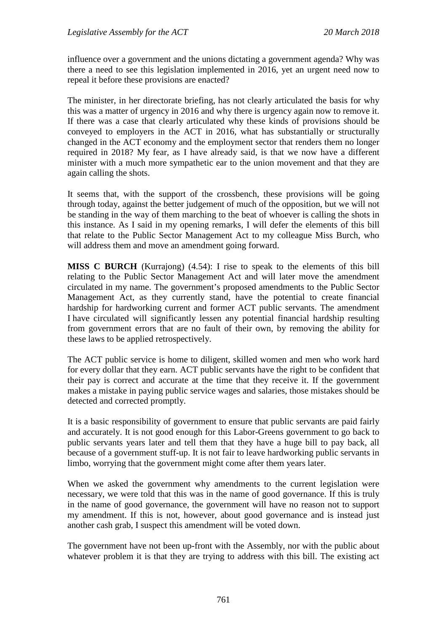influence over a government and the unions dictating a government agenda? Why was there a need to see this legislation implemented in 2016, yet an urgent need now to repeal it before these provisions are enacted?

The minister, in her directorate briefing, has not clearly articulated the basis for why this was a matter of urgency in 2016 and why there is urgency again now to remove it. If there was a case that clearly articulated why these kinds of provisions should be conveyed to employers in the ACT in 2016, what has substantially or structurally changed in the ACT economy and the employment sector that renders them no longer required in 2018? My fear, as I have already said, is that we now have a different minister with a much more sympathetic ear to the union movement and that they are again calling the shots.

It seems that, with the support of the crossbench, these provisions will be going through today, against the better judgement of much of the opposition, but we will not be standing in the way of them marching to the beat of whoever is calling the shots in this instance. As I said in my opening remarks, I will defer the elements of this bill that relate to the Public Sector Management Act to my colleague Miss Burch, who will address them and move an amendment going forward.

**MISS C BURCH** (Kurrajong) (4.54): I rise to speak to the elements of this bill relating to the Public Sector Management Act and will later move the amendment circulated in my name. The government's proposed amendments to the Public Sector Management Act, as they currently stand, have the potential to create financial hardship for hardworking current and former ACT public servants. The amendment I have circulated will significantly lessen any potential financial hardship resulting from government errors that are no fault of their own, by removing the ability for these laws to be applied retrospectively.

The ACT public service is home to diligent, skilled women and men who work hard for every dollar that they earn. ACT public servants have the right to be confident that their pay is correct and accurate at the time that they receive it. If the government makes a mistake in paying public service wages and salaries, those mistakes should be detected and corrected promptly.

It is a basic responsibility of government to ensure that public servants are paid fairly and accurately. It is not good enough for this Labor-Greens government to go back to public servants years later and tell them that they have a huge bill to pay back, all because of a government stuff-up. It is not fair to leave hardworking public servants in limbo, worrying that the government might come after them years later.

When we asked the government why amendments to the current legislation were necessary, we were told that this was in the name of good governance. If this is truly in the name of good governance, the government will have no reason not to support my amendment. If this is not, however, about good governance and is instead just another cash grab, I suspect this amendment will be voted down.

The government have not been up-front with the Assembly, nor with the public about whatever problem it is that they are trying to address with this bill. The existing act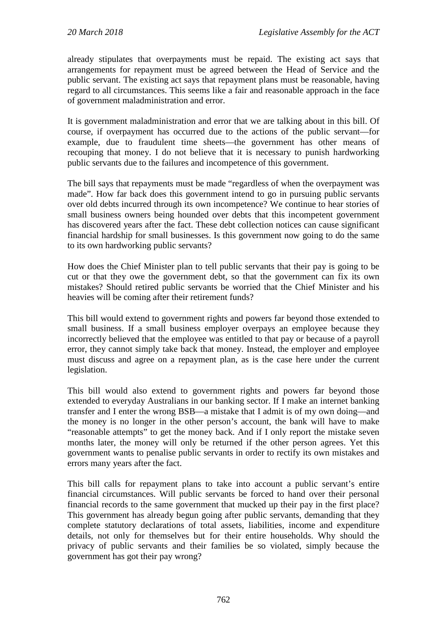already stipulates that overpayments must be repaid. The existing act says that arrangements for repayment must be agreed between the Head of Service and the public servant. The existing act says that repayment plans must be reasonable, having regard to all circumstances. This seems like a fair and reasonable approach in the face of government maladministration and error.

It is government maladministration and error that we are talking about in this bill. Of course, if overpayment has occurred due to the actions of the public servant—for example, due to fraudulent time sheets—the government has other means of recouping that money. I do not believe that it is necessary to punish hardworking public servants due to the failures and incompetence of this government.

The bill says that repayments must be made "regardless of when the overpayment was made". How far back does this government intend to go in pursuing public servants over old debts incurred through its own incompetence? We continue to hear stories of small business owners being hounded over debts that this incompetent government has discovered years after the fact. These debt collection notices can cause significant financial hardship for small businesses. Is this government now going to do the same to its own hardworking public servants?

How does the Chief Minister plan to tell public servants that their pay is going to be cut or that they owe the government debt, so that the government can fix its own mistakes? Should retired public servants be worried that the Chief Minister and his heavies will be coming after their retirement funds?

This bill would extend to government rights and powers far beyond those extended to small business. If a small business employer overpays an employee because they incorrectly believed that the employee was entitled to that pay or because of a payroll error, they cannot simply take back that money. Instead, the employer and employee must discuss and agree on a repayment plan, as is the case here under the current legislation.

This bill would also extend to government rights and powers far beyond those extended to everyday Australians in our banking sector. If I make an internet banking transfer and I enter the wrong BSB—a mistake that I admit is of my own doing—and the money is no longer in the other person's account, the bank will have to make "reasonable attempts" to get the money back. And if I only report the mistake seven months later, the money will only be returned if the other person agrees. Yet this government wants to penalise public servants in order to rectify its own mistakes and errors many years after the fact.

This bill calls for repayment plans to take into account a public servant's entire financial circumstances. Will public servants be forced to hand over their personal financial records to the same government that mucked up their pay in the first place? This government has already begun going after public servants, demanding that they complete statutory declarations of total assets, liabilities, income and expenditure details, not only for themselves but for their entire households. Why should the privacy of public servants and their families be so violated, simply because the government has got their pay wrong?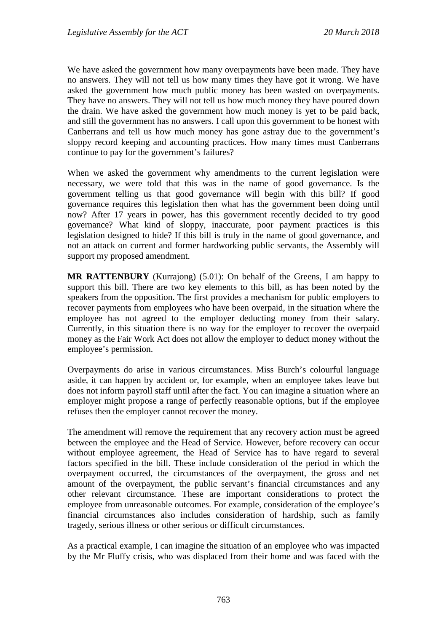We have asked the government how many overpayments have been made. They have no answers. They will not tell us how many times they have got it wrong. We have asked the government how much public money has been wasted on overpayments. They have no answers. They will not tell us how much money they have poured down the drain. We have asked the government how much money is yet to be paid back, and still the government has no answers. I call upon this government to be honest with Canberrans and tell us how much money has gone astray due to the government's sloppy record keeping and accounting practices. How many times must Canberrans continue to pay for the government's failures?

When we asked the government why amendments to the current legislation were necessary, we were told that this was in the name of good governance. Is the government telling us that good governance will begin with this bill? If good governance requires this legislation then what has the government been doing until now? After 17 years in power, has this government recently decided to try good governance? What kind of sloppy, inaccurate, poor payment practices is this legislation designed to hide? If this bill is truly in the name of good governance, and not an attack on current and former hardworking public servants, the Assembly will support my proposed amendment.

**MR RATTENBURY** (Kurrajong) (5.01): On behalf of the Greens, I am happy to support this bill. There are two key elements to this bill, as has been noted by the speakers from the opposition. The first provides a mechanism for public employers to recover payments from employees who have been overpaid, in the situation where the employee has not agreed to the employer deducting money from their salary. Currently, in this situation there is no way for the employer to recover the overpaid money as the Fair Work Act does not allow the employer to deduct money without the employee's permission.

Overpayments do arise in various circumstances. Miss Burch's colourful language aside, it can happen by accident or, for example, when an employee takes leave but does not inform payroll staff until after the fact. You can imagine a situation where an employer might propose a range of perfectly reasonable options, but if the employee refuses then the employer cannot recover the money.

The amendment will remove the requirement that any recovery action must be agreed between the employee and the Head of Service. However, before recovery can occur without employee agreement, the Head of Service has to have regard to several factors specified in the bill. These include consideration of the period in which the overpayment occurred, the circumstances of the overpayment, the gross and net amount of the overpayment, the public servant's financial circumstances and any other relevant circumstance. These are important considerations to protect the employee from unreasonable outcomes. For example, consideration of the employee's financial circumstances also includes consideration of hardship, such as family tragedy, serious illness or other serious or difficult circumstances.

As a practical example, I can imagine the situation of an employee who was impacted by the Mr Fluffy crisis, who was displaced from their home and was faced with the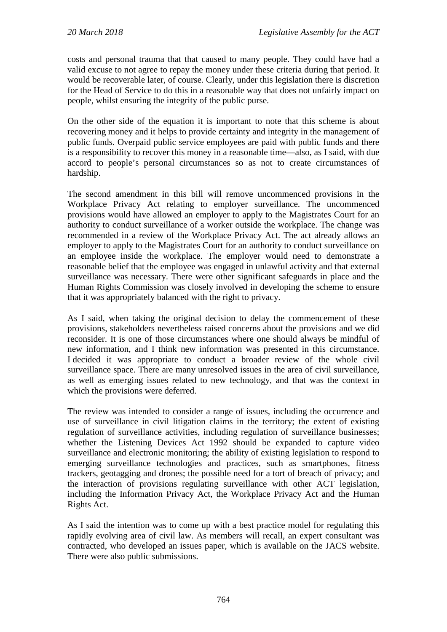costs and personal trauma that that caused to many people. They could have had a valid excuse to not agree to repay the money under these criteria during that period. It would be recoverable later, of course. Clearly, under this legislation there is discretion for the Head of Service to do this in a reasonable way that does not unfairly impact on people, whilst ensuring the integrity of the public purse.

On the other side of the equation it is important to note that this scheme is about recovering money and it helps to provide certainty and integrity in the management of public funds. Overpaid public service employees are paid with public funds and there is a responsibility to recover this money in a reasonable time—also, as I said, with due accord to people's personal circumstances so as not to create circumstances of hardship.

The second amendment in this bill will remove uncommenced provisions in the Workplace Privacy Act relating to employer surveillance. The uncommenced provisions would have allowed an employer to apply to the Magistrates Court for an authority to conduct surveillance of a worker outside the workplace. The change was recommended in a review of the Workplace Privacy Act. The act already allows an employer to apply to the Magistrates Court for an authority to conduct surveillance on an employee inside the workplace. The employer would need to demonstrate a reasonable belief that the employee was engaged in unlawful activity and that external surveillance was necessary. There were other significant safeguards in place and the Human Rights Commission was closely involved in developing the scheme to ensure that it was appropriately balanced with the right to privacy.

As I said, when taking the original decision to delay the commencement of these provisions, stakeholders nevertheless raised concerns about the provisions and we did reconsider. It is one of those circumstances where one should always be mindful of new information, and I think new information was presented in this circumstance. I decided it was appropriate to conduct a broader review of the whole civil surveillance space. There are many unresolved issues in the area of civil surveillance, as well as emerging issues related to new technology, and that was the context in which the provisions were deferred.

The review was intended to consider a range of issues, including the occurrence and use of surveillance in civil litigation claims in the territory; the extent of existing regulation of surveillance activities, including regulation of surveillance businesses; whether the Listening Devices Act 1992 should be expanded to capture video surveillance and electronic monitoring; the ability of existing legislation to respond to emerging surveillance technologies and practices, such as smartphones, fitness trackers, geotagging and drones; the possible need for a tort of breach of privacy; and the interaction of provisions regulating surveillance with other ACT legislation, including the Information Privacy Act, the Workplace Privacy Act and the Human Rights Act.

As I said the intention was to come up with a best practice model for regulating this rapidly evolving area of civil law. As members will recall, an expert consultant was contracted, who developed an issues paper, which is available on the JACS website. There were also public submissions.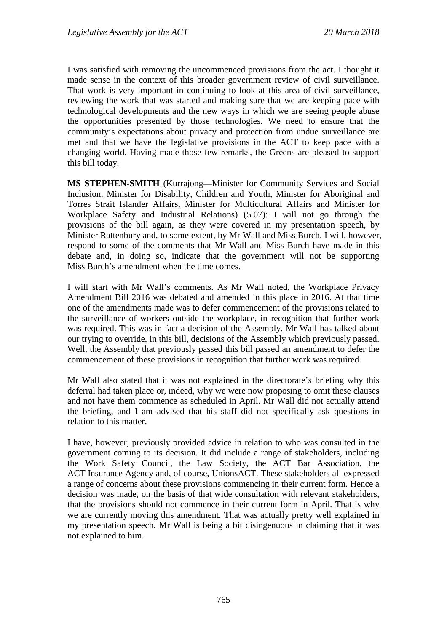I was satisfied with removing the uncommenced provisions from the act. I thought it made sense in the context of this broader government review of civil surveillance. That work is very important in continuing to look at this area of civil surveillance, reviewing the work that was started and making sure that we are keeping pace with technological developments and the new ways in which we are seeing people abuse the opportunities presented by those technologies. We need to ensure that the community's expectations about privacy and protection from undue surveillance are met and that we have the legislative provisions in the ACT to keep pace with a changing world. Having made those few remarks, the Greens are pleased to support this bill today.

**MS STEPHEN-SMITH** (Kurrajong—Minister for Community Services and Social Inclusion, Minister for Disability, Children and Youth, Minister for Aboriginal and Torres Strait Islander Affairs, Minister for Multicultural Affairs and Minister for Workplace Safety and Industrial Relations) (5.07): I will not go through the provisions of the bill again, as they were covered in my presentation speech, by Minister Rattenbury and, to some extent, by Mr Wall and Miss Burch. I will, however, respond to some of the comments that Mr Wall and Miss Burch have made in this debate and, in doing so, indicate that the government will not be supporting Miss Burch's amendment when the time comes.

I will start with Mr Wall's comments. As Mr Wall noted, the Workplace Privacy Amendment Bill 2016 was debated and amended in this place in 2016. At that time one of the amendments made was to defer commencement of the provisions related to the surveillance of workers outside the workplace, in recognition that further work was required. This was in fact a decision of the Assembly. Mr Wall has talked about our trying to override, in this bill, decisions of the Assembly which previously passed. Well, the Assembly that previously passed this bill passed an amendment to defer the commencement of these provisions in recognition that further work was required.

Mr Wall also stated that it was not explained in the directorate's briefing why this deferral had taken place or, indeed, why we were now proposing to omit these clauses and not have them commence as scheduled in April. Mr Wall did not actually attend the briefing, and I am advised that his staff did not specifically ask questions in relation to this matter.

I have, however, previously provided advice in relation to who was consulted in the government coming to its decision. It did include a range of stakeholders, including the Work Safety Council, the Law Society, the ACT Bar Association, the ACT Insurance Agency and, of course, UnionsACT. These stakeholders all expressed a range of concerns about these provisions commencing in their current form. Hence a decision was made, on the basis of that wide consultation with relevant stakeholders, that the provisions should not commence in their current form in April. That is why we are currently moving this amendment. That was actually pretty well explained in my presentation speech. Mr Wall is being a bit disingenuous in claiming that it was not explained to him.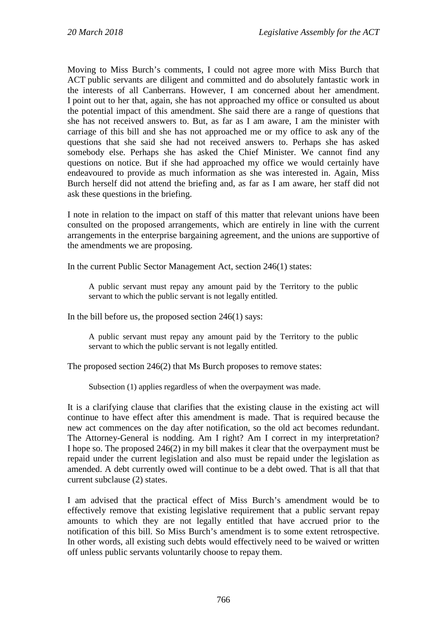Moving to Miss Burch's comments, I could not agree more with Miss Burch that ACT public servants are diligent and committed and do absolutely fantastic work in the interests of all Canberrans. However, I am concerned about her amendment. I point out to her that, again, she has not approached my office or consulted us about the potential impact of this amendment. She said there are a range of questions that she has not received answers to. But, as far as I am aware, I am the minister with carriage of this bill and she has not approached me or my office to ask any of the questions that she said she had not received answers to. Perhaps she has asked somebody else. Perhaps she has asked the Chief Minister. We cannot find any questions on notice. But if she had approached my office we would certainly have endeavoured to provide as much information as she was interested in. Again, Miss Burch herself did not attend the briefing and, as far as I am aware, her staff did not ask these questions in the briefing.

I note in relation to the impact on staff of this matter that relevant unions have been consulted on the proposed arrangements, which are entirely in line with the current arrangements in the enterprise bargaining agreement, and the unions are supportive of the amendments we are proposing.

In the current Public Sector Management Act, section 246(1) states:

A public servant must repay any amount paid by the Territory to the public servant to which the public servant is not legally entitled.

In the bill before us, the proposed section  $246(1)$  says:

A public servant must repay any amount paid by the Territory to the public servant to which the public servant is not legally entitled.

The proposed section 246(2) that Ms Burch proposes to remove states:

Subsection (1) applies regardless of when the overpayment was made.

It is a clarifying clause that clarifies that the existing clause in the existing act will continue to have effect after this amendment is made. That is required because the new act commences on the day after notification, so the old act becomes redundant. The Attorney-General is nodding. Am I right? Am I correct in my interpretation? I hope so. The proposed 246(2) in my bill makes it clear that the overpayment must be repaid under the current legislation and also must be repaid under the legislation as amended. A debt currently owed will continue to be a debt owed. That is all that that current subclause (2) states.

I am advised that the practical effect of Miss Burch's amendment would be to effectively remove that existing legislative requirement that a public servant repay amounts to which they are not legally entitled that have accrued prior to the notification of this bill. So Miss Burch's amendment is to some extent retrospective. In other words, all existing such debts would effectively need to be waived or written off unless public servants voluntarily choose to repay them.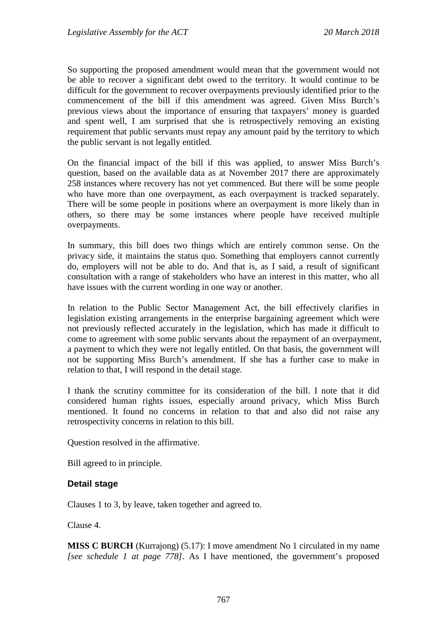So supporting the proposed amendment would mean that the government would not be able to recover a significant debt owed to the territory. It would continue to be difficult for the government to recover overpayments previously identified prior to the commencement of the bill if this amendment was agreed. Given Miss Burch's previous views about the importance of ensuring that taxpayers' money is guarded and spent well, I am surprised that she is retrospectively removing an existing requirement that public servants must repay any amount paid by the territory to which the public servant is not legally entitled.

On the financial impact of the bill if this was applied, to answer Miss Burch's question, based on the available data as at November 2017 there are approximately 258 instances where recovery has not yet commenced. But there will be some people who have more than one overpayment, as each overpayment is tracked separately. There will be some people in positions where an overpayment is more likely than in others, so there may be some instances where people have received multiple overpayments.

In summary, this bill does two things which are entirely common sense. On the privacy side, it maintains the status quo. Something that employers cannot currently do, employers will not be able to do. And that is, as I said, a result of significant consultation with a range of stakeholders who have an interest in this matter, who all have issues with the current wording in one way or another.

In relation to the Public Sector Management Act, the bill effectively clarifies in legislation existing arrangements in the enterprise bargaining agreement which were not previously reflected accurately in the legislation, which has made it difficult to come to agreement with some public servants about the repayment of an overpayment, a payment to which they were not legally entitled. On that basis, the government will not be supporting Miss Burch's amendment. If she has a further case to make in relation to that, I will respond in the detail stage.

I thank the scrutiny committee for its consideration of the bill. I note that it did considered human rights issues, especially around privacy, which Miss Burch mentioned. It found no concerns in relation to that and also did not raise any retrospectivity concerns in relation to this bill.

Question resolved in the affirmative.

Bill agreed to in principle.

#### **Detail stage**

Clauses 1 to 3, by leave, taken together and agreed to.

Clause 4.

**MISS C BURCH** (Kurrajong) (5.17): I move amendment No 1 circulated in my name *[see schedule 1 at page 778]*. As I have mentioned, the government's proposed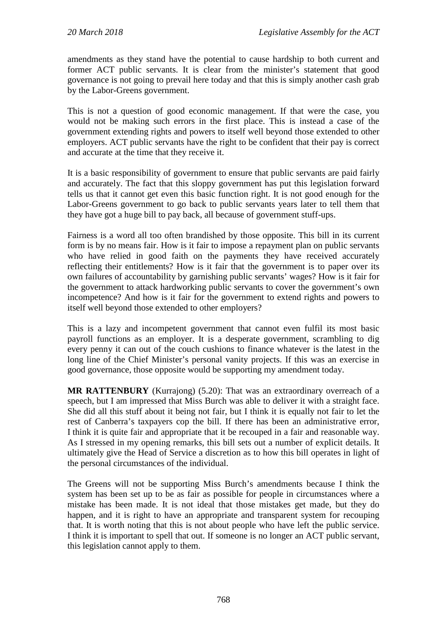amendments as they stand have the potential to cause hardship to both current and former ACT public servants. It is clear from the minister's statement that good governance is not going to prevail here today and that this is simply another cash grab by the Labor-Greens government.

This is not a question of good economic management. If that were the case, you would not be making such errors in the first place. This is instead a case of the government extending rights and powers to itself well beyond those extended to other employers. ACT public servants have the right to be confident that their pay is correct and accurate at the time that they receive it.

It is a basic responsibility of government to ensure that public servants are paid fairly and accurately. The fact that this sloppy government has put this legislation forward tells us that it cannot get even this basic function right. It is not good enough for the Labor-Greens government to go back to public servants years later to tell them that they have got a huge bill to pay back, all because of government stuff-ups.

Fairness is a word all too often brandished by those opposite. This bill in its current form is by no means fair. How is it fair to impose a repayment plan on public servants who have relied in good faith on the payments they have received accurately reflecting their entitlements? How is it fair that the government is to paper over its own failures of accountability by garnishing public servants' wages? How is it fair for the government to attack hardworking public servants to cover the government's own incompetence? And how is it fair for the government to extend rights and powers to itself well beyond those extended to other employers?

This is a lazy and incompetent government that cannot even fulfil its most basic payroll functions as an employer. It is a desperate government, scrambling to dig every penny it can out of the couch cushions to finance whatever is the latest in the long line of the Chief Minister's personal vanity projects. If this was an exercise in good governance, those opposite would be supporting my amendment today.

**MR RATTENBURY** (Kurrajong) (5.20): That was an extraordinary overreach of a speech, but I am impressed that Miss Burch was able to deliver it with a straight face. She did all this stuff about it being not fair, but I think it is equally not fair to let the rest of Canberra's taxpayers cop the bill. If there has been an administrative error, I think it is quite fair and appropriate that it be recouped in a fair and reasonable way. As I stressed in my opening remarks, this bill sets out a number of explicit details. It ultimately give the Head of Service a discretion as to how this bill operates in light of the personal circumstances of the individual.

The Greens will not be supporting Miss Burch's amendments because I think the system has been set up to be as fair as possible for people in circumstances where a mistake has been made. It is not ideal that those mistakes get made, but they do happen, and it is right to have an appropriate and transparent system for recouping that. It is worth noting that this is not about people who have left the public service. I think it is important to spell that out. If someone is no longer an ACT public servant, this legislation cannot apply to them.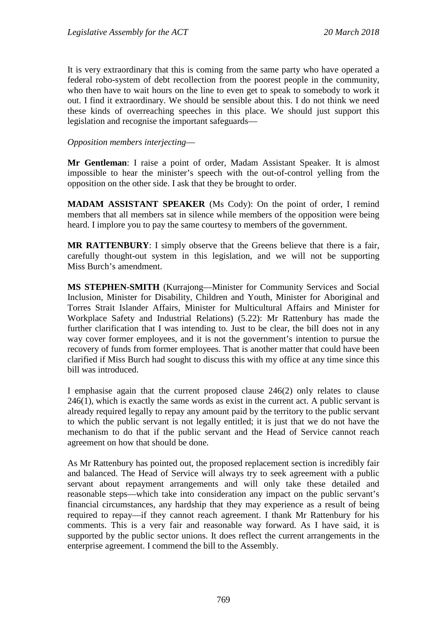It is very extraordinary that this is coming from the same party who have operated a federal robo-system of debt recollection from the poorest people in the community, who then have to wait hours on the line to even get to speak to somebody to work it out. I find it extraordinary. We should be sensible about this. I do not think we need these kinds of overreaching speeches in this place. We should just support this legislation and recognise the important safeguards—

#### *Opposition members interjecting*—

**Mr Gentleman**: I raise a point of order, Madam Assistant Speaker. It is almost impossible to hear the minister's speech with the out-of-control yelling from the opposition on the other side. I ask that they be brought to order.

**MADAM ASSISTANT SPEAKER** (Ms Cody): On the point of order, I remind members that all members sat in silence while members of the opposition were being heard. I implore you to pay the same courtesy to members of the government.

**MR RATTENBURY**: I simply observe that the Greens believe that there is a fair, carefully thought-out system in this legislation, and we will not be supporting Miss Burch's amendment.

**MS STEPHEN-SMITH** (Kurrajong—Minister for Community Services and Social Inclusion, Minister for Disability, Children and Youth, Minister for Aboriginal and Torres Strait Islander Affairs, Minister for Multicultural Affairs and Minister for Workplace Safety and Industrial Relations) (5.22): Mr Rattenbury has made the further clarification that I was intending to. Just to be clear, the bill does not in any way cover former employees, and it is not the government's intention to pursue the recovery of funds from former employees. That is another matter that could have been clarified if Miss Burch had sought to discuss this with my office at any time since this bill was introduced.

I emphasise again that the current proposed clause 246(2) only relates to clause 246(1), which is exactly the same words as exist in the current act. A public servant is already required legally to repay any amount paid by the territory to the public servant to which the public servant is not legally entitled; it is just that we do not have the mechanism to do that if the public servant and the Head of Service cannot reach agreement on how that should be done.

As Mr Rattenbury has pointed out, the proposed replacement section is incredibly fair and balanced. The Head of Service will always try to seek agreement with a public servant about repayment arrangements and will only take these detailed and reasonable steps—which take into consideration any impact on the public servant's financial circumstances, any hardship that they may experience as a result of being required to repay—if they cannot reach agreement. I thank Mr Rattenbury for his comments. This is a very fair and reasonable way forward. As I have said, it is supported by the public sector unions. It does reflect the current arrangements in the enterprise agreement. I commend the bill to the Assembly.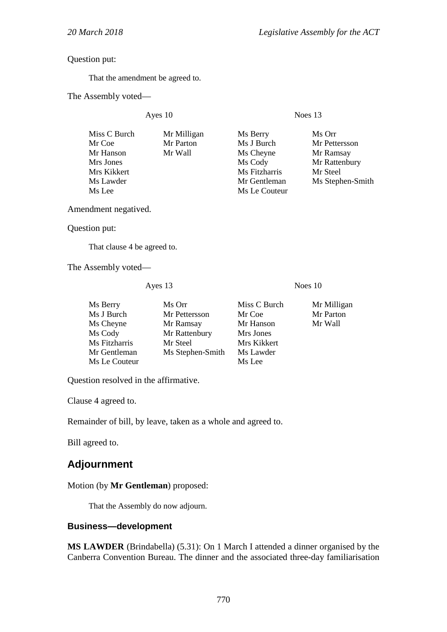#### Question put:

That the amendment be agreed to.

The Assembly voted—

Ayes 10 Noes 13

| Miss C Burch | Mr Milligan | Ms Berry      | Ms Orr           |
|--------------|-------------|---------------|------------------|
| Mr Coe       | Mr Parton   | Ms J Burch    | Mr Pettersson    |
| Mr Hanson    | Mr Wall     | Ms Cheyne     | Mr Ramsay        |
| Mrs Jones    |             | Ms Cody       | Mr Rattenbury    |
| Mrs Kikkert  |             | Ms Fitzharris | Mr Steel         |
| Ms Lawder    |             | Mr Gentleman  | Ms Stephen-Smith |
| Ms Lee       |             | Ms Le Couteur |                  |
|              |             |               |                  |

Amendment negatived.

Question put:

That clause 4 be agreed to.

The Assembly voted—

Ayes 13 Noes 10

| Ms Berry      | Ms Orr           | Miss C Burch | Mr Milligan |
|---------------|------------------|--------------|-------------|
| Ms J Burch    | Mr Pettersson    | Mr Coe       | Mr Parton   |
| Ms Cheyne     | Mr Ramsay        | Mr Hanson    | Mr Wall     |
| Ms Cody       | Mr Rattenbury    | Mrs Jones    |             |
| Ms Fitzharris | Mr Steel         | Mrs Kikkert  |             |
| Mr Gentleman  | Ms Stephen-Smith | Ms Lawder    |             |
| Ms Le Couteur |                  | Ms Lee       |             |

Question resolved in the affirmative.

Clause 4 agreed to.

Remainder of bill, by leave, taken as a whole and agreed to.

Bill agreed to.

# **Adjournment**

Motion (by **Mr Gentleman**) proposed:

That the Assembly do now adjourn.

#### **Business—development**

**MS LAWDER** (Brindabella) (5.31): On 1 March I attended a dinner organised by the Canberra Convention Bureau. The dinner and the associated three-day familiarisation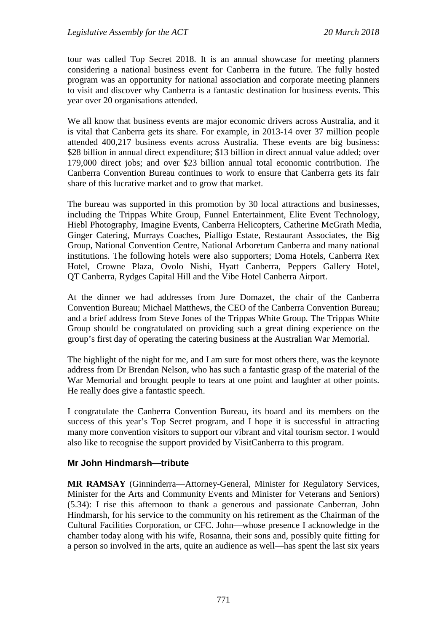tour was called Top Secret 2018. It is an annual showcase for meeting planners considering a national business event for Canberra in the future. The fully hosted program was an opportunity for national association and corporate meeting planners to visit and discover why Canberra is a fantastic destination for business events. This year over 20 organisations attended.

We all know that business events are major economic drivers across Australia, and it is vital that Canberra gets its share. For example, in 2013-14 over 37 million people attended 400,217 business events across Australia. These events are big business: \$28 billion in annual direct expenditure; \$13 billion in direct annual value added; over 179,000 direct jobs; and over \$23 billion annual total economic contribution. The Canberra Convention Bureau continues to work to ensure that Canberra gets its fair share of this lucrative market and to grow that market.

The bureau was supported in this promotion by 30 local attractions and businesses, including the Trippas White Group, Funnel Entertainment, Elite Event Technology, Hiebl Photography, Imagine Events, Canberra Helicopters, Catherine McGrath Media, Ginger Catering, Murrays Coaches, Pialligo Estate, Restaurant Associates, the Big Group, National Convention Centre, National Arboretum Canberra and many national institutions. The following hotels were also supporters; Doma Hotels, Canberra Rex Hotel, Crowne Plaza, Ovolo Nishi, Hyatt Canberra, Peppers Gallery Hotel, QT Canberra, Rydges Capital Hill and the Vibe Hotel Canberra Airport.

At the dinner we had addresses from Jure Domazet, the chair of the Canberra Convention Bureau; Michael Matthews, the CEO of the Canberra Convention Bureau; and a brief address from Steve Jones of the Trippas White Group. The Trippas White Group should be congratulated on providing such a great dining experience on the group's first day of operating the catering business at the Australian War Memorial.

The highlight of the night for me, and I am sure for most others there, was the keynote address from Dr Brendan Nelson, who has such a fantastic grasp of the material of the War Memorial and brought people to tears at one point and laughter at other points. He really does give a fantastic speech.

I congratulate the Canberra Convention Bureau, its board and its members on the success of this year's Top Secret program, and I hope it is successful in attracting many more convention visitors to support our vibrant and vital tourism sector. I would also like to recognise the support provided by VisitCanberra to this program.

### **Mr John Hindmarsh—tribute**

**MR RAMSAY** (Ginninderra—Attorney-General, Minister for Regulatory Services, Minister for the Arts and Community Events and Minister for Veterans and Seniors) (5.34): I rise this afternoon to thank a generous and passionate Canberran, John Hindmarsh, for his service to the community on his retirement as the Chairman of the Cultural Facilities Corporation, or CFC. John—whose presence I acknowledge in the chamber today along with his wife, Rosanna, their sons and, possibly quite fitting for a person so involved in the arts, quite an audience as well—has spent the last six years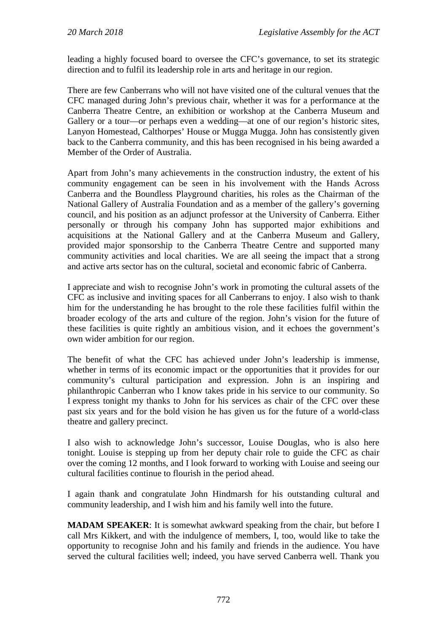leading a highly focused board to oversee the CFC's governance, to set its strategic direction and to fulfil its leadership role in arts and heritage in our region.

There are few Canberrans who will not have visited one of the cultural venues that the CFC managed during John's previous chair, whether it was for a performance at the Canberra Theatre Centre, an exhibition or workshop at the Canberra Museum and Gallery or a tour—or perhaps even a wedding—at one of our region's historic sites, Lanyon Homestead, Calthorpes' House or Mugga Mugga. John has consistently given back to the Canberra community, and this has been recognised in his being awarded a Member of the Order of Australia.

Apart from John's many achievements in the construction industry, the extent of his community engagement can be seen in his involvement with the Hands Across Canberra and the Boundless Playground charities, his roles as the Chairman of the National Gallery of Australia Foundation and as a member of the gallery's governing council, and his position as an adjunct professor at the University of Canberra. Either personally or through his company John has supported major exhibitions and acquisitions at the National Gallery and at the Canberra Museum and Gallery, provided major sponsorship to the Canberra Theatre Centre and supported many community activities and local charities. We are all seeing the impact that a strong and active arts sector has on the cultural, societal and economic fabric of Canberra.

I appreciate and wish to recognise John's work in promoting the cultural assets of the CFC as inclusive and inviting spaces for all Canberrans to enjoy. I also wish to thank him for the understanding he has brought to the role these facilities fulfil within the broader ecology of the arts and culture of the region. John's vision for the future of these facilities is quite rightly an ambitious vision, and it echoes the government's own wider ambition for our region.

The benefit of what the CFC has achieved under John's leadership is immense, whether in terms of its economic impact or the opportunities that it provides for our community's cultural participation and expression. John is an inspiring and philanthropic Canberran who I know takes pride in his service to our community. So I express tonight my thanks to John for his services as chair of the CFC over these past six years and for the bold vision he has given us for the future of a world-class theatre and gallery precinct.

I also wish to acknowledge John's successor, Louise Douglas, who is also here tonight. Louise is stepping up from her deputy chair role to guide the CFC as chair over the coming 12 months, and I look forward to working with Louise and seeing our cultural facilities continue to flourish in the period ahead.

I again thank and congratulate John Hindmarsh for his outstanding cultural and community leadership, and I wish him and his family well into the future.

**MADAM SPEAKER**: It is somewhat awkward speaking from the chair, but before I call Mrs Kikkert, and with the indulgence of members, I, too, would like to take the opportunity to recognise John and his family and friends in the audience. You have served the cultural facilities well; indeed, you have served Canberra well. Thank you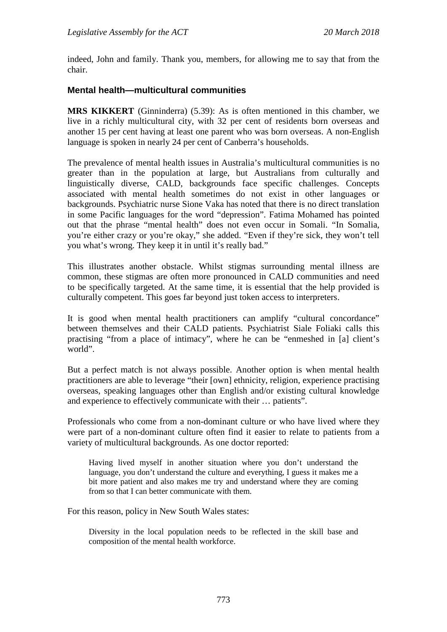indeed, John and family. Thank you, members, for allowing me to say that from the chair.

## **Mental health—multicultural communities**

**MRS KIKKERT** (Ginninderra) (5.39): As is often mentioned in this chamber, we live in a richly multicultural city, with 32 per cent of residents born overseas and another 15 per cent having at least one parent who was born overseas. A non-English language is spoken in nearly 24 per cent of Canberra's households.

The prevalence of mental health issues in Australia's multicultural communities is no greater than in the population at large, but Australians from culturally and linguistically diverse, CALD, backgrounds face specific challenges. Concepts associated with mental health sometimes do not exist in other languages or backgrounds. Psychiatric nurse Sione Vaka has noted that there is no direct translation in some Pacific languages for the word "depression". Fatima Mohamed has pointed out that the phrase "mental health" does not even occur in Somali. "In Somalia, you're either crazy or you're okay," she added. "Even if they're sick, they won't tell you what's wrong. They keep it in until it's really bad."

This illustrates another obstacle. Whilst stigmas surrounding mental illness are common, these stigmas are often more pronounced in CALD communities and need to be specifically targeted. At the same time, it is essential that the help provided is culturally competent. This goes far beyond just token access to interpreters.

It is good when mental health practitioners can amplify "cultural concordance" between themselves and their CALD patients. Psychiatrist Siale Foliaki calls this practising "from a place of intimacy", where he can be "enmeshed in [a] client's world".

But a perfect match is not always possible. Another option is when mental health practitioners are able to leverage "their [own] ethnicity, religion, experience practising overseas, speaking languages other than English and/or existing cultural knowledge and experience to effectively communicate with their … patients".

Professionals who come from a non-dominant culture or who have lived where they were part of a non-dominant culture often find it easier to relate to patients from a variety of multicultural backgrounds. As one doctor reported:

Having lived myself in another situation where you don't understand the language, you don't understand the culture and everything, I guess it makes me a bit more patient and also makes me try and understand where they are coming from so that I can better communicate with them.

For this reason, policy in New South Wales states:

Diversity in the local population needs to be reflected in the skill base and composition of the mental health workforce.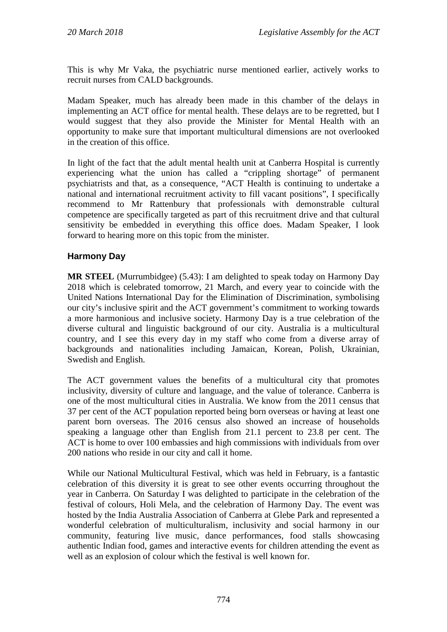This is why Mr Vaka, the psychiatric nurse mentioned earlier, actively works to recruit nurses from CALD backgrounds.

Madam Speaker, much has already been made in this chamber of the delays in implementing an ACT office for mental health. These delays are to be regretted, but I would suggest that they also provide the Minister for Mental Health with an opportunity to make sure that important multicultural dimensions are not overlooked in the creation of this office.

In light of the fact that the adult mental health unit at Canberra Hospital is currently experiencing what the union has called a "crippling shortage" of permanent psychiatrists and that, as a consequence, "ACT Health is continuing to undertake a national and international recruitment activity to fill vacant positions", I specifically recommend to Mr Rattenbury that professionals with demonstrable cultural competence are specifically targeted as part of this recruitment drive and that cultural sensitivity be embedded in everything this office does. Madam Speaker, I look forward to hearing more on this topic from the minister.

## **Harmony Day**

**MR STEEL** (Murrumbidgee) (5.43): I am delighted to speak today on Harmony Day 2018 which is celebrated tomorrow, 21 March, and every year to coincide with the United Nations International Day for the Elimination of Discrimination, symbolising our city's inclusive spirit and the ACT government's commitment to working towards a more harmonious and inclusive society. Harmony Day is a true celebration of the diverse cultural and linguistic background of our city. Australia is a multicultural country, and I see this every day in my staff who come from a diverse array of backgrounds and nationalities including Jamaican, Korean, Polish, Ukrainian, Swedish and English.

The ACT government values the benefits of a multicultural city that promotes inclusivity, diversity of culture and language, and the value of tolerance. Canberra is one of the most multicultural cities in Australia. We know from the 2011 census that 37 per cent of the ACT population reported being born overseas or having at least one parent born overseas. The 2016 census also showed an increase of households speaking a language other than English from 21.1 percent to 23.8 per cent. The ACT is home to over 100 embassies and high commissions with individuals from over 200 nations who reside in our city and call it home.

While our National Multicultural Festival, which was held in February, is a fantastic celebration of this diversity it is great to see other events occurring throughout the year in Canberra. On Saturday I was delighted to participate in the celebration of the festival of colours, Holi Mela, and the celebration of Harmony Day. The event was hosted by the India Australia Association of Canberra at Glebe Park and represented a wonderful celebration of multiculturalism, inclusivity and social harmony in our community, featuring live music, dance performances, food stalls showcasing authentic Indian food, games and interactive events for children attending the event as well as an explosion of colour which the festival is well known for.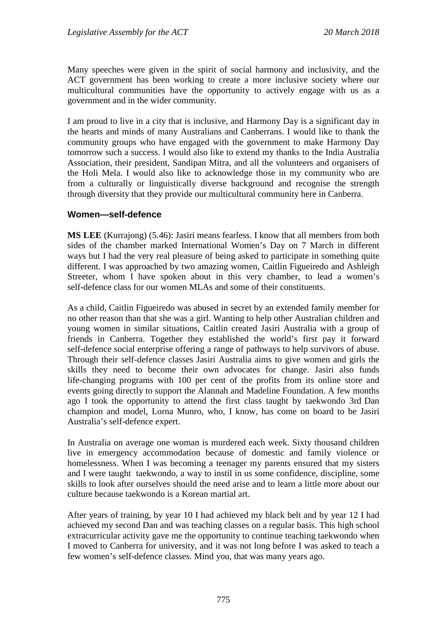Many speeches were given in the spirit of social harmony and inclusivity, and the ACT government has been working to create a more inclusive society where our multicultural communities have the opportunity to actively engage with us as a government and in the wider community.

I am proud to live in a city that is inclusive, and Harmony Day is a significant day in the hearts and minds of many Australians and Canberrans. I would like to thank the community groups who have engaged with the government to make Harmony Day tomorrow such a success. I would also like to extend my thanks to the India Australia Association, their president, Sandipan Mitra, and all the volunteers and organisers of the Holi Mela. I would also like to acknowledge those in my community who are from a culturally or linguistically diverse background and recognise the strength through diversity that they provide our multicultural community here in Canberra.

#### **Women—self-defence**

**MS LEE** (Kurrajong) (5.46): Jasiri means fearless. I know that all members from both sides of the chamber marked International Women's Day on 7 March in different ways but I had the very real pleasure of being asked to participate in something quite different. I was approached by two amazing women, Caitlin Figueiredo and Ashleigh Streeter, whom I have spoken about in this very chamber, to lead a women's self-defence class for our women MLAs and some of their constituents.

As a child, Caitlin Figueiredo was abused in secret by an extended family member for no other reason than that she was a girl. Wanting to help other Australian children and young women in similar situations, Caitlin created Jasiri Australia with a group of friends in Canberra. Together they established the world's first pay it forward self-defence social enterprise offering a range of pathways to help survivors of abuse. Through their self-defence classes Jasiri Australia aims to give women and girls the skills they need to become their own advocates for change. Jasiri also funds life-changing programs with 100 per cent of the profits from its online store and events going directly to support the Alannah and Madeline Foundation. A few months ago I took the opportunity to attend the first class taught by taekwondo 3rd Dan champion and model, Lorna Munro, who, I know, has come on board to be Jasiri Australia's self-defence expert.

In Australia on average one woman is murdered each week. Sixty thousand children live in emergency accommodation because of domestic and family violence or homelessness. When I was becoming a teenager my parents ensured that my sisters and I were taught taekwondo, a way to instil in us some confidence, discipline, some skills to look after ourselves should the need arise and to learn a little more about our culture because taekwondo is a Korean martial art.

After years of training, by year 10 I had achieved my black belt and by year 12 I had achieved my second Dan and was teaching classes on a regular basis. This high school extracurricular activity gave me the opportunity to continue teaching taekwondo when I moved to Canberra for university, and it was not long before I was asked to teach a few women's self-defence classes. Mind you, that was many years ago.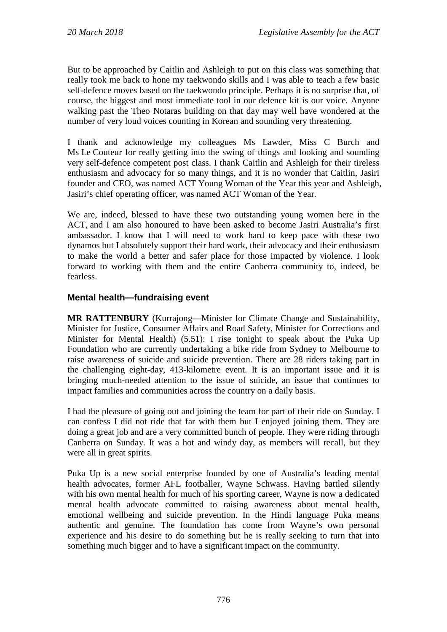But to be approached by Caitlin and Ashleigh to put on this class was something that really took me back to hone my taekwondo skills and I was able to teach a few basic self-defence moves based on the taekwondo principle. Perhaps it is no surprise that, of course, the biggest and most immediate tool in our defence kit is our voice. Anyone walking past the Theo Notaras building on that day may well have wondered at the number of very loud voices counting in Korean and sounding very threatening.

I thank and acknowledge my colleagues Ms Lawder, Miss C Burch and Ms Le Couteur for really getting into the swing of things and looking and sounding very self-defence competent post class. I thank Caitlin and Ashleigh for their tireless enthusiasm and advocacy for so many things, and it is no wonder that Caitlin, Jasiri founder and CEO, was named ACT Young Woman of the Year this year and Ashleigh, Jasiri's chief operating officer, was named ACT Woman of the Year.

We are, indeed, blessed to have these two outstanding young women here in the ACT, and I am also honoured to have been asked to become Jasiri Australia's first ambassador. I know that I will need to work hard to keep pace with these two dynamos but I absolutely support their hard work, their advocacy and their enthusiasm to make the world a better and safer place for those impacted by violence. I look forward to working with them and the entire Canberra community to, indeed, be fearless.

## **Mental health—fundraising event**

**MR RATTENBURY** (Kurrajong—Minister for Climate Change and Sustainability, Minister for Justice, Consumer Affairs and Road Safety, Minister for Corrections and Minister for Mental Health) (5.51): I rise tonight to speak about the Puka Up Foundation who are currently undertaking a bike ride from Sydney to Melbourne to raise awareness of suicide and suicide prevention. There are 28 riders taking part in the challenging eight-day, 413-kilometre event. It is an important issue and it is bringing much-needed attention to the issue of suicide, an issue that continues to impact families and communities across the country on a daily basis.

I had the pleasure of going out and joining the team for part of their ride on Sunday. I can confess I did not ride that far with them but I enjoyed joining them. They are doing a great job and are a very committed bunch of people. They were riding through Canberra on Sunday. It was a hot and windy day, as members will recall, but they were all in great spirits.

Puka Up is a new social enterprise founded by one of Australia's leading mental health advocates, former AFL footballer, Wayne Schwass. Having battled silently with his own mental health for much of his sporting career, Wayne is now a dedicated mental health advocate committed to raising awareness about mental health, emotional wellbeing and suicide prevention. In the Hindi language Puka means authentic and genuine. The foundation has come from Wayne's own personal experience and his desire to do something but he is really seeking to turn that into something much bigger and to have a significant impact on the community.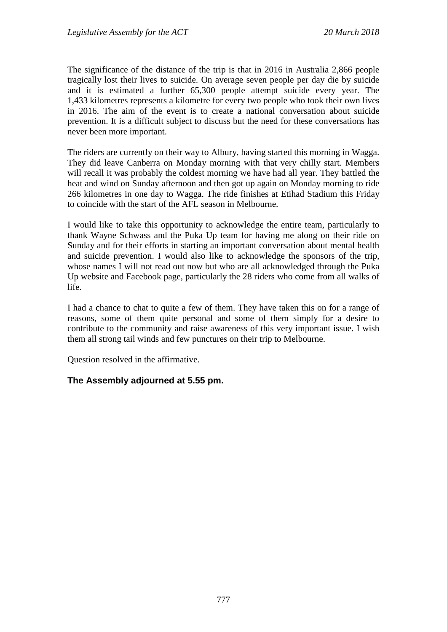The significance of the distance of the trip is that in 2016 in Australia 2,866 people tragically lost their lives to suicide. On average seven people per day die by suicide and it is estimated a further 65,300 people attempt suicide every year. The 1,433 kilometres represents a kilometre for every two people who took their own lives in 2016. The aim of the event is to create a national conversation about suicide prevention. It is a difficult subject to discuss but the need for these conversations has never been more important.

The riders are currently on their way to Albury, having started this morning in Wagga. They did leave Canberra on Monday morning with that very chilly start. Members will recall it was probably the coldest morning we have had all year. They battled the heat and wind on Sunday afternoon and then got up again on Monday morning to ride 266 kilometres in one day to Wagga. The ride finishes at Etihad Stadium this Friday to coincide with the start of the AFL season in Melbourne.

I would like to take this opportunity to acknowledge the entire team, particularly to thank Wayne Schwass and the Puka Up team for having me along on their ride on Sunday and for their efforts in starting an important conversation about mental health and suicide prevention. I would also like to acknowledge the sponsors of the trip, whose names I will not read out now but who are all acknowledged through the Puka Up website and Facebook page, particularly the 28 riders who come from all walks of life.

I had a chance to chat to quite a few of them. They have taken this on for a range of reasons, some of them quite personal and some of them simply for a desire to contribute to the community and raise awareness of this very important issue. I wish them all strong tail winds and few punctures on their trip to Melbourne.

Question resolved in the affirmative.

### **The Assembly adjourned at 5.55 pm.**